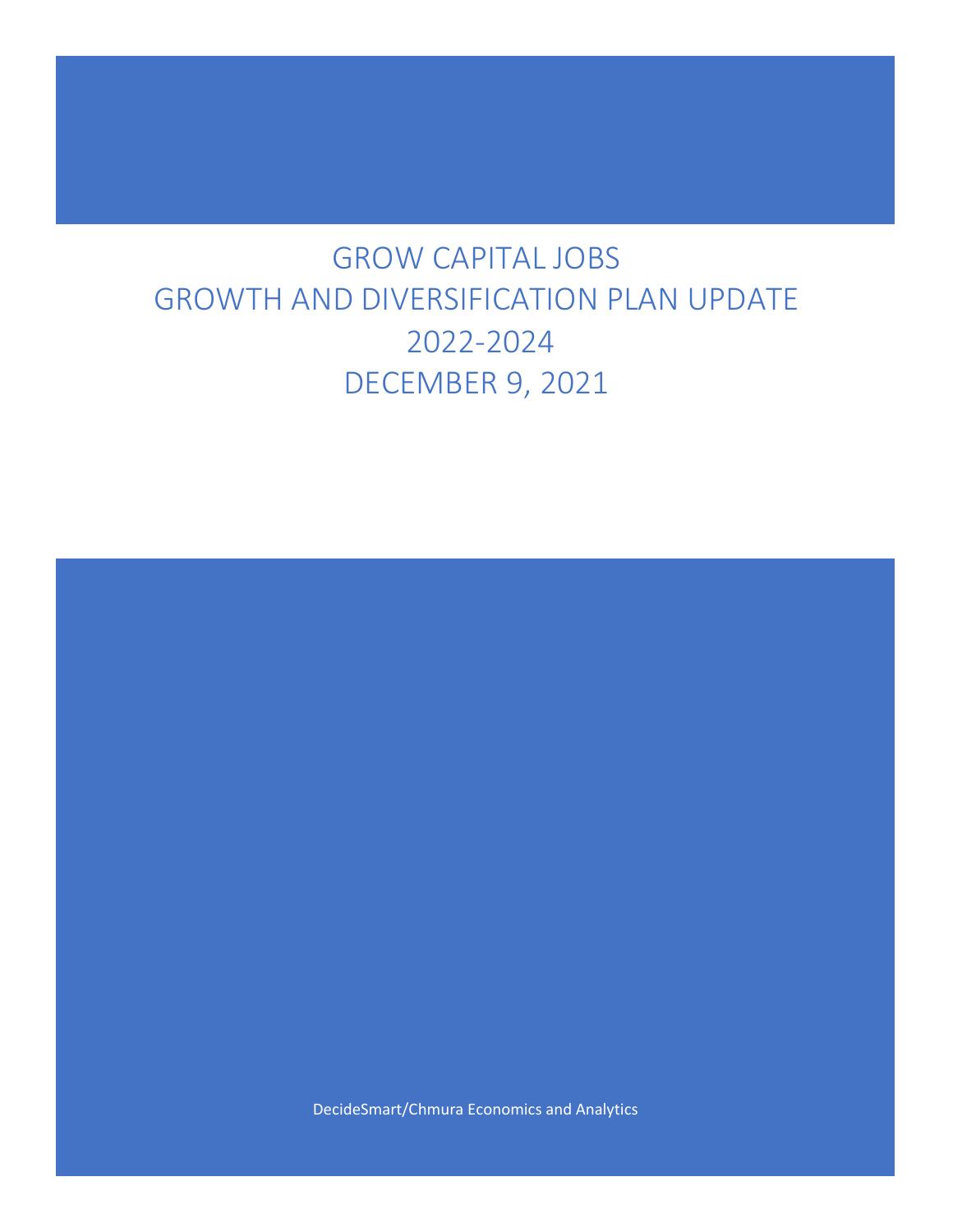# GROW CAPITAL JOBS GROWTH AND DIVERSIFICATION PLAN UPDATE 2022-2024 DECEMBER 9, 2021

DecideSmart/Chmura Economics and Analytics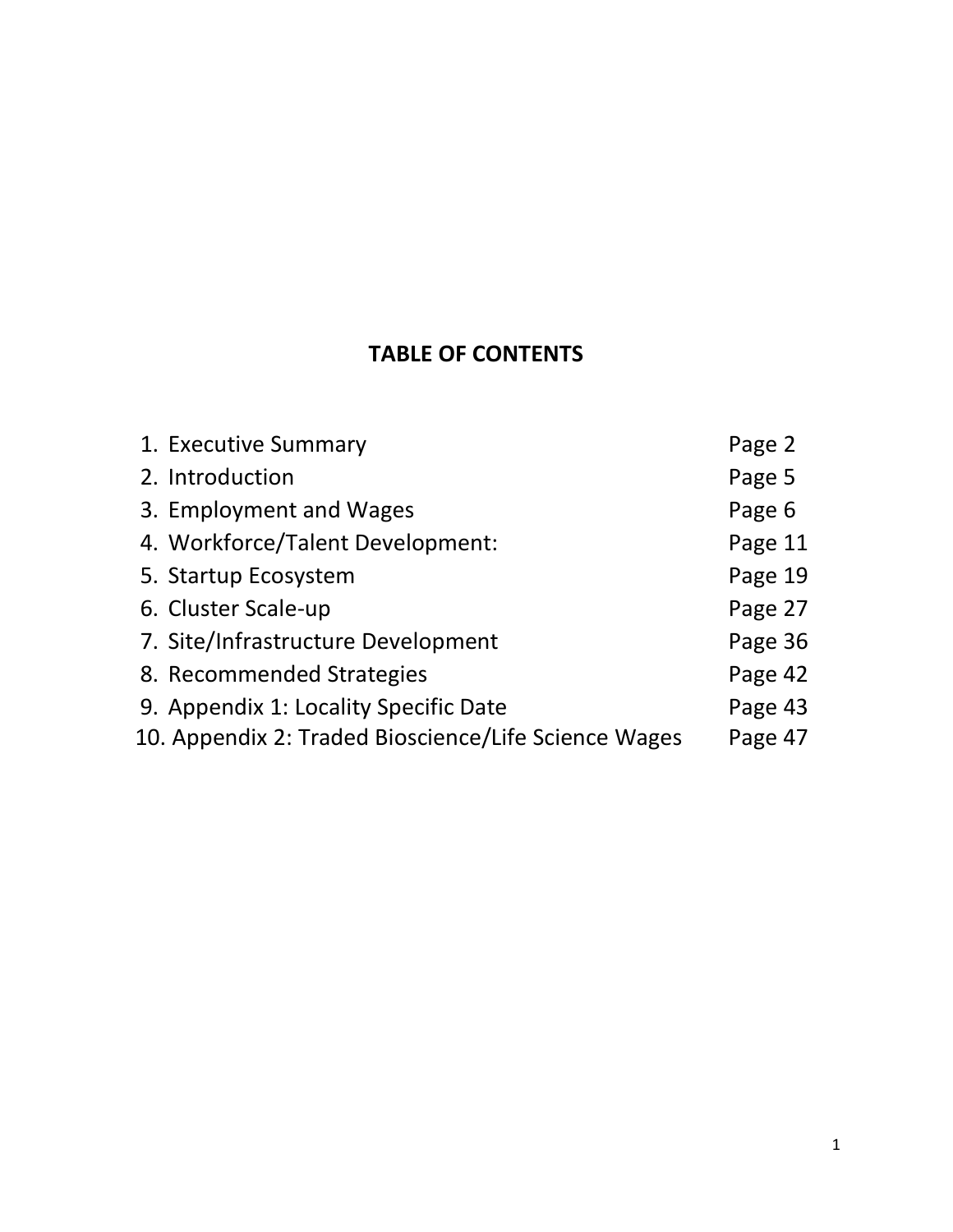## **TABLE OF CONTENTS**

| 1. Executive Summary                                 | Page 2  |
|------------------------------------------------------|---------|
| 2. Introduction                                      | Page 5  |
| 3. Employment and Wages                              | Page 6  |
| 4. Workforce/Talent Development:                     | Page 11 |
| 5. Startup Ecosystem                                 | Page 19 |
| 6. Cluster Scale-up                                  | Page 27 |
| 7. Site/Infrastructure Development                   | Page 36 |
| 8. Recommended Strategies                            | Page 42 |
| 9. Appendix 1: Locality Specific Date                | Page 43 |
| 10. Appendix 2: Traded Bioscience/Life Science Wages | Page 47 |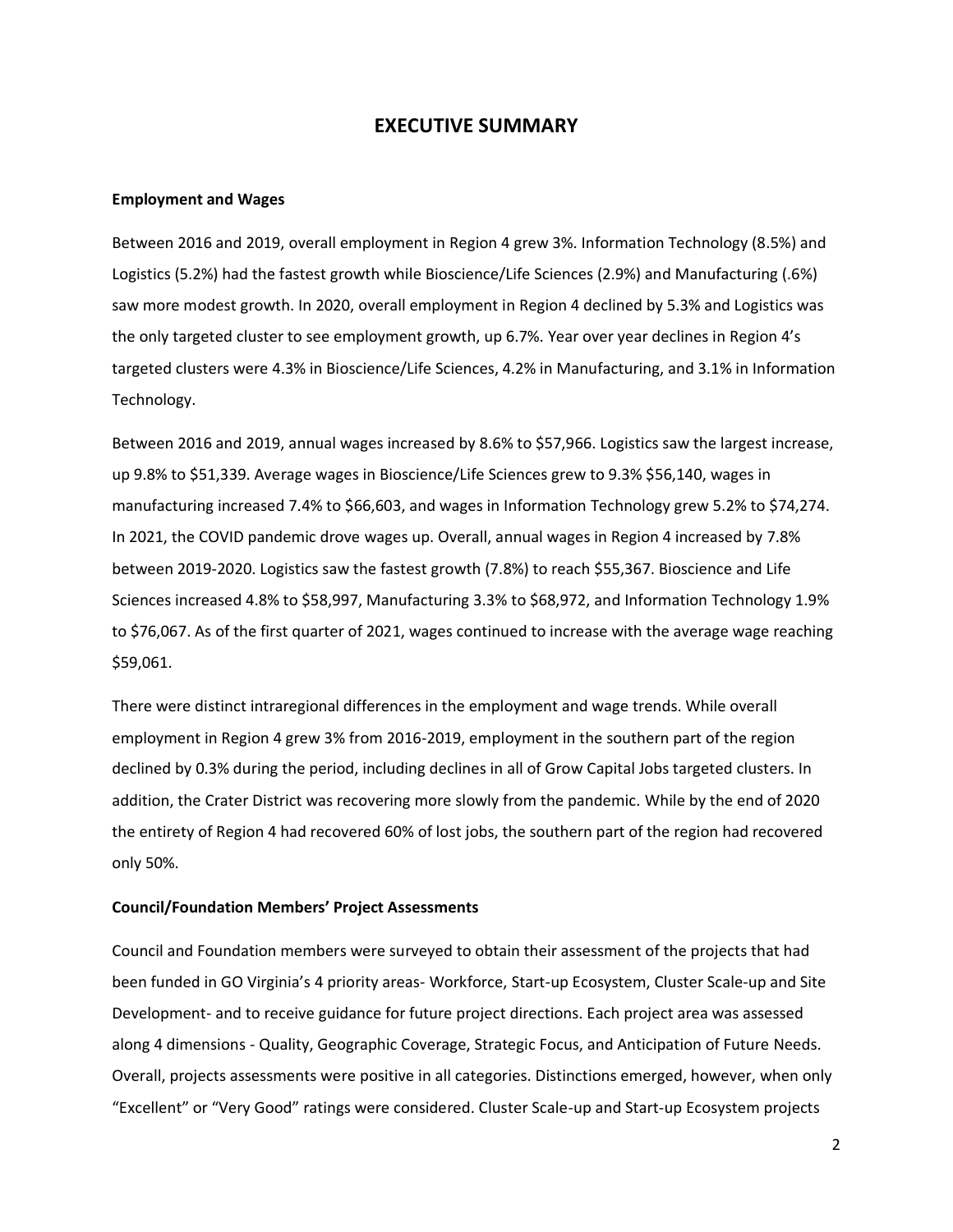#### **EXECUTIVE SUMMARY**

#### **Employment and Wages**

Between 2016 and 2019, overall employment in Region 4 grew 3%. Information Technology (8.5%) and Logistics (5.2%) had the fastest growth while Bioscience/Life Sciences (2.9%) and Manufacturing (.6%) saw more modest growth. In 2020, overall employment in Region 4 declined by 5.3% and Logistics was the only targeted cluster to see employment growth, up 6.7%. Year over year declines in Region 4's targeted clusters were 4.3% in Bioscience/Life Sciences, 4.2% in Manufacturing, and 3.1% in Information Technology.

Between 2016 and 2019, annual wages increased by 8.6% to \$57,966. Logistics saw the largest increase, up 9.8% to \$51,339. Average wages in Bioscience/Life Sciences grew to 9.3% \$56,140, wages in manufacturing increased 7.4% to \$66,603, and wages in Information Technology grew 5.2% to \$74,274. In 2021, the COVID pandemic drove wages up. Overall, annual wages in Region 4 increased by 7.8% between 2019-2020. Logistics saw the fastest growth (7.8%) to reach \$55,367. Bioscience and Life Sciences increased 4.8% to \$58,997, Manufacturing 3.3% to \$68,972, and Information Technology 1.9% to \$76,067. As of the first quarter of 2021, wages continued to increase with the average wage reaching \$59,061.

There were distinct intraregional differences in the employment and wage trends. While overall employment in Region 4 grew 3% from 2016-2019, employment in the southern part of the region declined by 0.3% during the period, including declines in all of Grow Capital Jobs targeted clusters. In addition, the Crater District was recovering more slowly from the pandemic. While by the end of 2020 the entirety of Region 4 had recovered 60% of lost jobs, the southern part of the region had recovered only 50%.

#### **Council/Foundation Members' Project Assessments**

Council and Foundation members were surveyed to obtain their assessment of the projects that had been funded in GO Virginia's 4 priority areas- Workforce, Start-up Ecosystem, Cluster Scale-up and Site Development- and to receive guidance for future project directions. Each project area was assessed along 4 dimensions - Quality, Geographic Coverage, Strategic Focus, and Anticipation of Future Needs. Overall, projects assessments were positive in all categories. Distinctions emerged, however, when only "Excellent" or "Very Good" ratings were considered. Cluster Scale-up and Start-up Ecosystem projects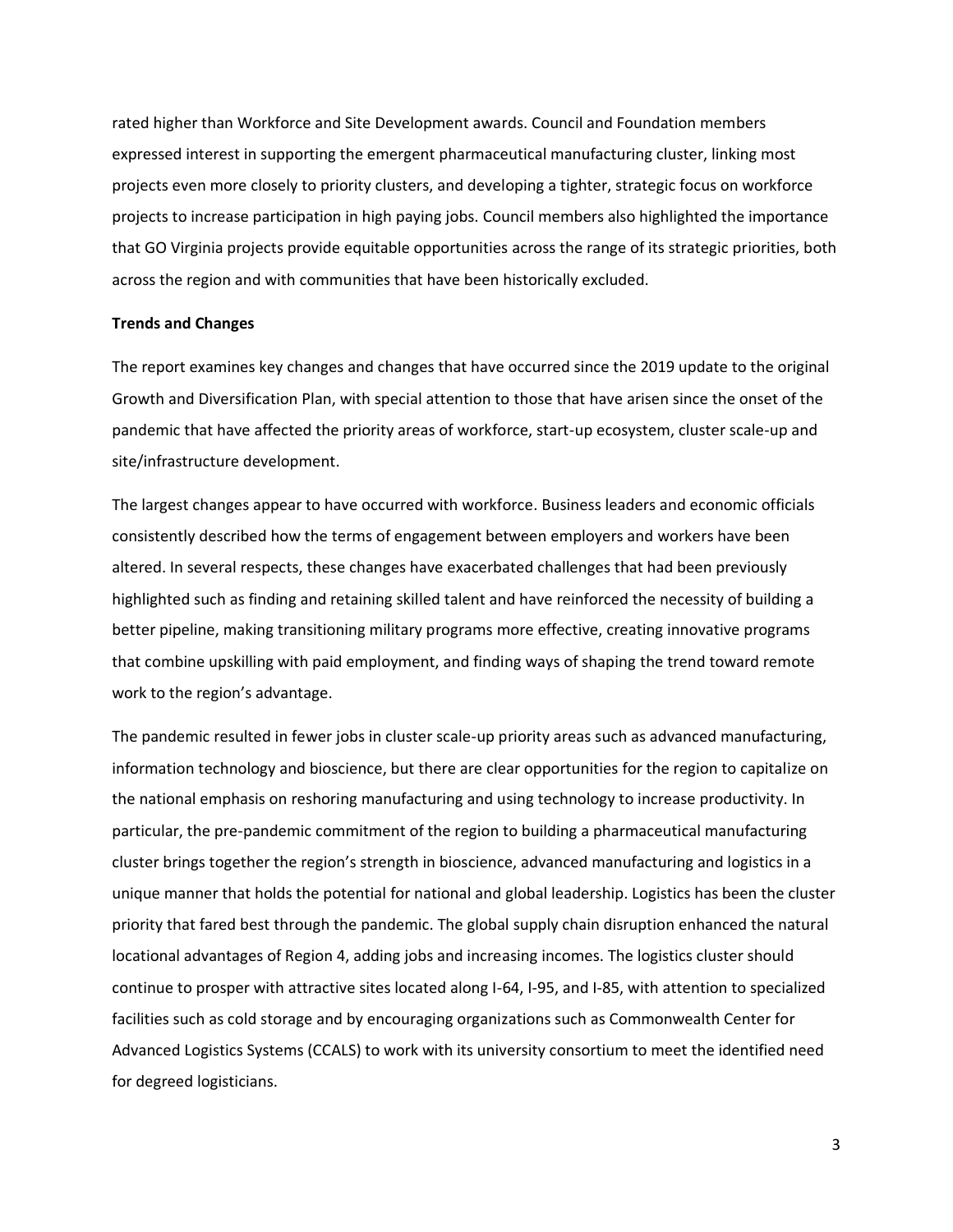rated higher than Workforce and Site Development awards. Council and Foundation members expressed interest in supporting the emergent pharmaceutical manufacturing cluster, linking most projects even more closely to priority clusters, and developing a tighter, strategic focus on workforce projects to increase participation in high paying jobs. Council members also highlighted the importance that GO Virginia projects provide equitable opportunities across the range of its strategic priorities, both across the region and with communities that have been historically excluded.

#### **Trends and Changes**

The report examines key changes and changes that have occurred since the 2019 update to the original Growth and Diversification Plan, with special attention to those that have arisen since the onset of the pandemic that have affected the priority areas of workforce, start-up ecosystem, cluster scale-up and site/infrastructure development.

The largest changes appear to have occurred with workforce. Business leaders and economic officials consistently described how the terms of engagement between employers and workers have been altered. In several respects, these changes have exacerbated challenges that had been previously highlighted such as finding and retaining skilled talent and have reinforced the necessity of building a better pipeline, making transitioning military programs more effective, creating innovative programs that combine upskilling with paid employment, and finding ways of shaping the trend toward remote work to the region's advantage.

The pandemic resulted in fewer jobs in cluster scale-up priority areas such as advanced manufacturing, information technology and bioscience, but there are clear opportunities for the region to capitalize on the national emphasis on reshoring manufacturing and using technology to increase productivity. In particular, the pre-pandemic commitment of the region to building a pharmaceutical manufacturing cluster brings together the region's strength in bioscience, advanced manufacturing and logistics in a unique manner that holds the potential for national and global leadership. Logistics has been the cluster priority that fared best through the pandemic. The global supply chain disruption enhanced the natural locational advantages of Region 4, adding jobs and increasing incomes. The logistics cluster should continue to prosper with attractive sites located along I-64, I-95, and I-85, with attention to specialized facilities such as cold storage and by encouraging organizations such as Commonwealth Center for Advanced Logistics Systems (CCALS) to work with its university consortium to meet the identified need for degreed logisticians.

3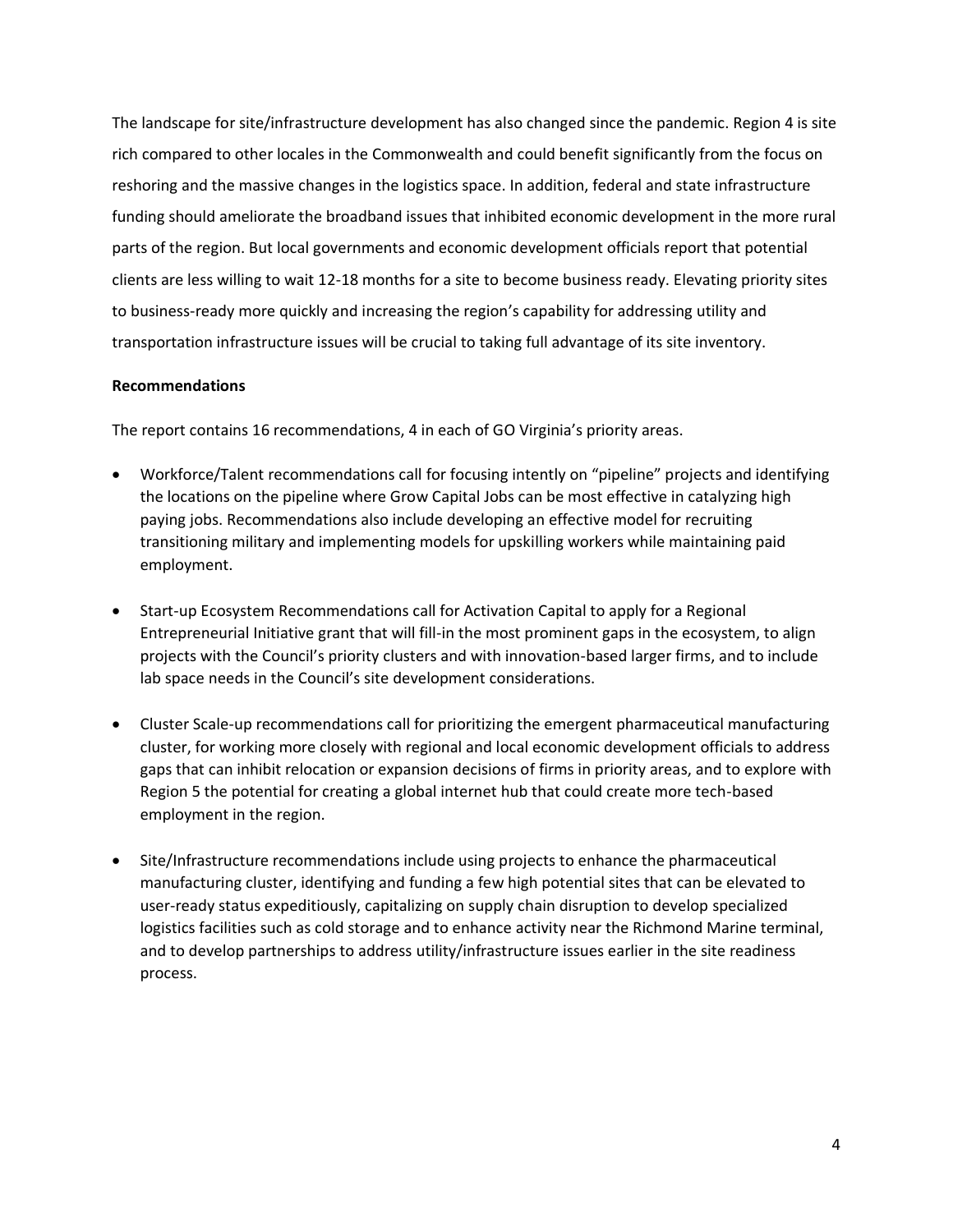The landscape for site/infrastructure development has also changed since the pandemic. Region 4 is site rich compared to other locales in the Commonwealth and could benefit significantly from the focus on reshoring and the massive changes in the logistics space. In addition, federal and state infrastructure funding should ameliorate the broadband issues that inhibited economic development in the more rural parts of the region. But local governments and economic development officials report that potential clients are less willing to wait 12-18 months for a site to become business ready. Elevating priority sites to business-ready more quickly and increasing the region's capability for addressing utility and transportation infrastructure issues will be crucial to taking full advantage of its site inventory.

#### **Recommendations**

The report contains 16 recommendations, 4 in each of GO Virginia's priority areas.

- Workforce/Talent recommendations call for focusing intently on "pipeline" projects and identifying the locations on the pipeline where Grow Capital Jobs can be most effective in catalyzing high paying jobs. Recommendations also include developing an effective model for recruiting transitioning military and implementing models for upskilling workers while maintaining paid employment.
- Start-up Ecosystem Recommendations call for Activation Capital to apply for a Regional Entrepreneurial Initiative grant that will fill-in the most prominent gaps in the ecosystem, to align projects with the Council's priority clusters and with innovation-based larger firms, and to include lab space needs in the Council's site development considerations.
- Cluster Scale-up recommendations call for prioritizing the emergent pharmaceutical manufacturing cluster, for working more closely with regional and local economic development officials to address gaps that can inhibit relocation or expansion decisions of firms in priority areas, and to explore with Region 5 the potential for creating a global internet hub that could create more tech-based employment in the region.
- Site/Infrastructure recommendations include using projects to enhance the pharmaceutical manufacturing cluster, identifying and funding a few high potential sites that can be elevated to user-ready status expeditiously, capitalizing on supply chain disruption to develop specialized logistics facilities such as cold storage and to enhance activity near the Richmond Marine terminal, and to develop partnerships to address utility/infrastructure issues earlier in the site readiness process.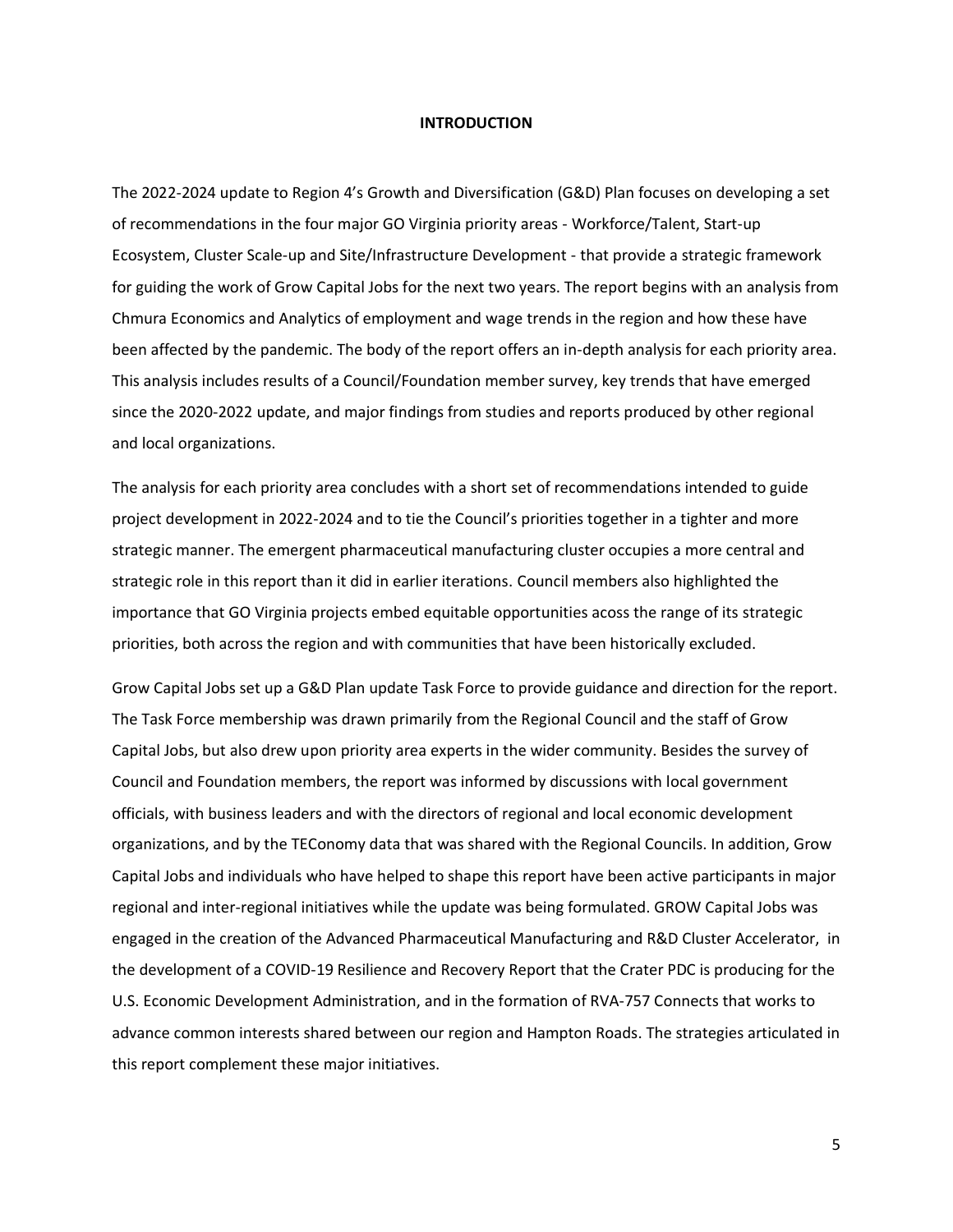#### **INTRODUCTION**

The 2022-2024 update to Region 4's Growth and Diversification (G&D) Plan focuses on developing a set of recommendations in the four major GO Virginia priority areas - Workforce/Talent, Start-up Ecosystem, Cluster Scale-up and Site/Infrastructure Development - that provide a strategic framework for guiding the work of Grow Capital Jobs for the next two years. The report begins with an analysis from Chmura Economics and Analytics of employment and wage trends in the region and how these have been affected by the pandemic. The body of the report offers an in-depth analysis for each priority area. This analysis includes results of a Council/Foundation member survey, key trends that have emerged since the 2020-2022 update, and major findings from studies and reports produced by other regional and local organizations.

The analysis for each priority area concludes with a short set of recommendations intended to guide project development in 2022-2024 and to tie the Council's priorities together in a tighter and more strategic manner. The emergent pharmaceutical manufacturing cluster occupies a more central and strategic role in this report than it did in earlier iterations. Council members also highlighted the importance that GO Virginia projects embed equitable opportunities acoss the range of its strategic priorities, both across the region and with communities that have been historically excluded.

Grow Capital Jobs set up a G&D Plan update Task Force to provide guidance and direction for the report. The Task Force membership was drawn primarily from the Regional Council and the staff of Grow Capital Jobs, but also drew upon priority area experts in the wider community. Besides the survey of Council and Foundation members, the report was informed by discussions with local government officials, with business leaders and with the directors of regional and local economic development organizations, and by the TEConomy data that was shared with the Regional Councils. In addition, Grow Capital Jobs and individuals who have helped to shape this report have been active participants in major regional and inter-regional initiatives while the update was being formulated. GROW Capital Jobs was engaged in the creation of the Advanced Pharmaceutical Manufacturing and R&D Cluster Accelerator, in the development of a COVID-19 Resilience and Recovery Report that the Crater PDC is producing for the U.S. Economic Development Administration, and in the formation of RVA-757 Connects that works to advance common interests shared between our region and Hampton Roads. The strategies articulated in this report complement these major initiatives.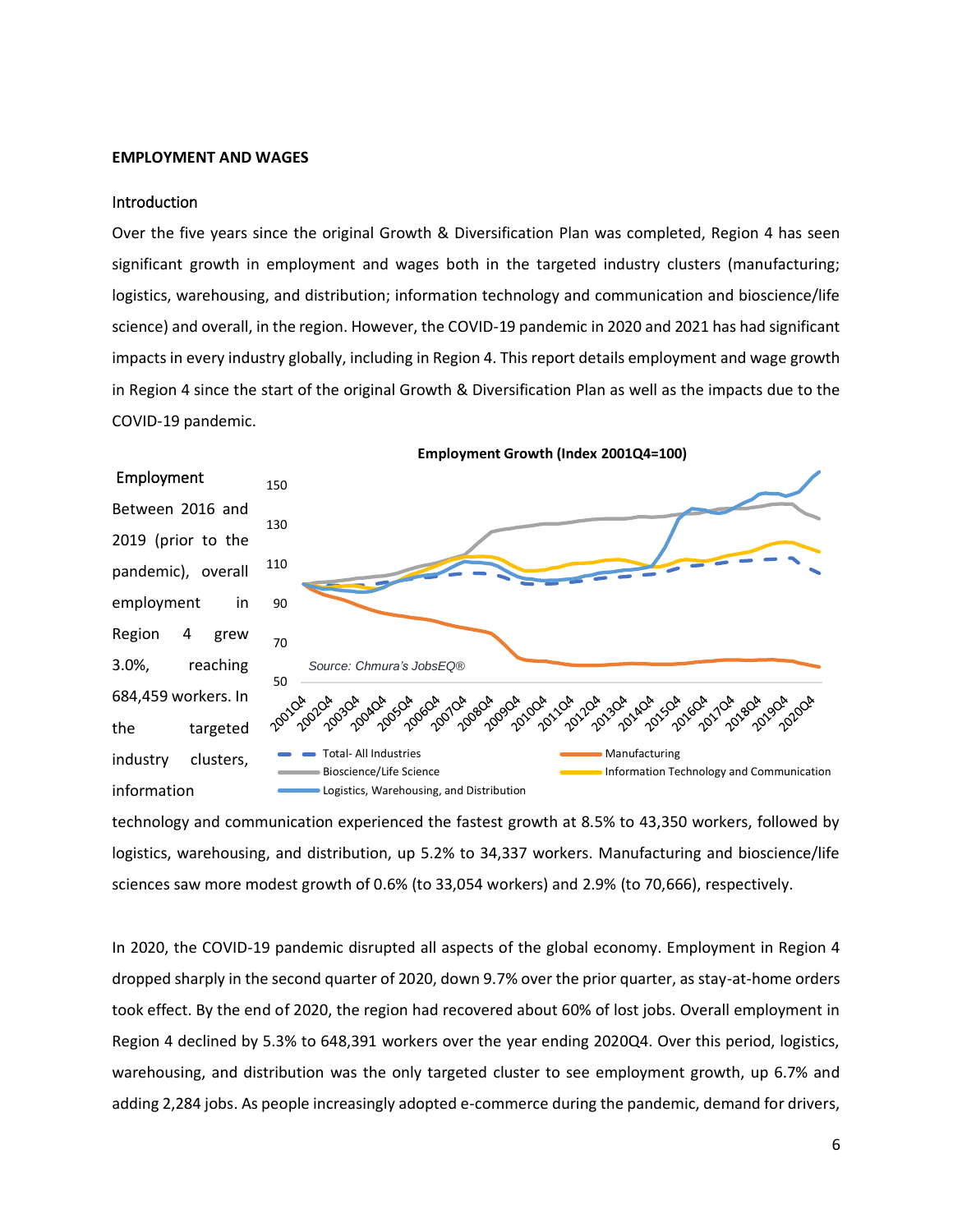#### **EMPLOYMENT AND WAGES**

#### Introduction

Over the five years since the original Growth & Diversification Plan was completed, Region 4 has seen significant growth in employment and wages both in the targeted industry clusters (manufacturing; logistics, warehousing, and distribution; information technology and communication and bioscience/life science) and overall, in the region. However, the COVID-19 pandemic in 2020 and 2021 has had significant impacts in every industry globally, including in Region 4. This report details employment and wage growth in Region 4 since the start of the original Growth & Diversification Plan as well as the impacts due to the COVID-19 pandemic.



technology and communication experienced the fastest growth at 8.5% to 43,350 workers, followed by logistics, warehousing, and distribution, up 5.2% to 34,337 workers. Manufacturing and bioscience/life sciences saw more modest growth of 0.6% (to 33,054 workers) and 2.9% (to 70,666), respectively.

In 2020, the COVID-19 pandemic disrupted all aspects of the global economy. Employment in Region 4 dropped sharply in the second quarter of 2020, down 9.7% over the prior quarter, as stay-at-home orders took effect. By the end of 2020, the region had recovered about 60% of lost jobs. Overall employment in Region 4 declined by 5.3% to 648,391 workers over the year ending 2020Q4. Over this period, logistics, warehousing, and distribution was the only targeted cluster to see employment growth, up 6.7% and adding 2,284 jobs. As people increasingly adopted e-commerce during the pandemic, demand for drivers,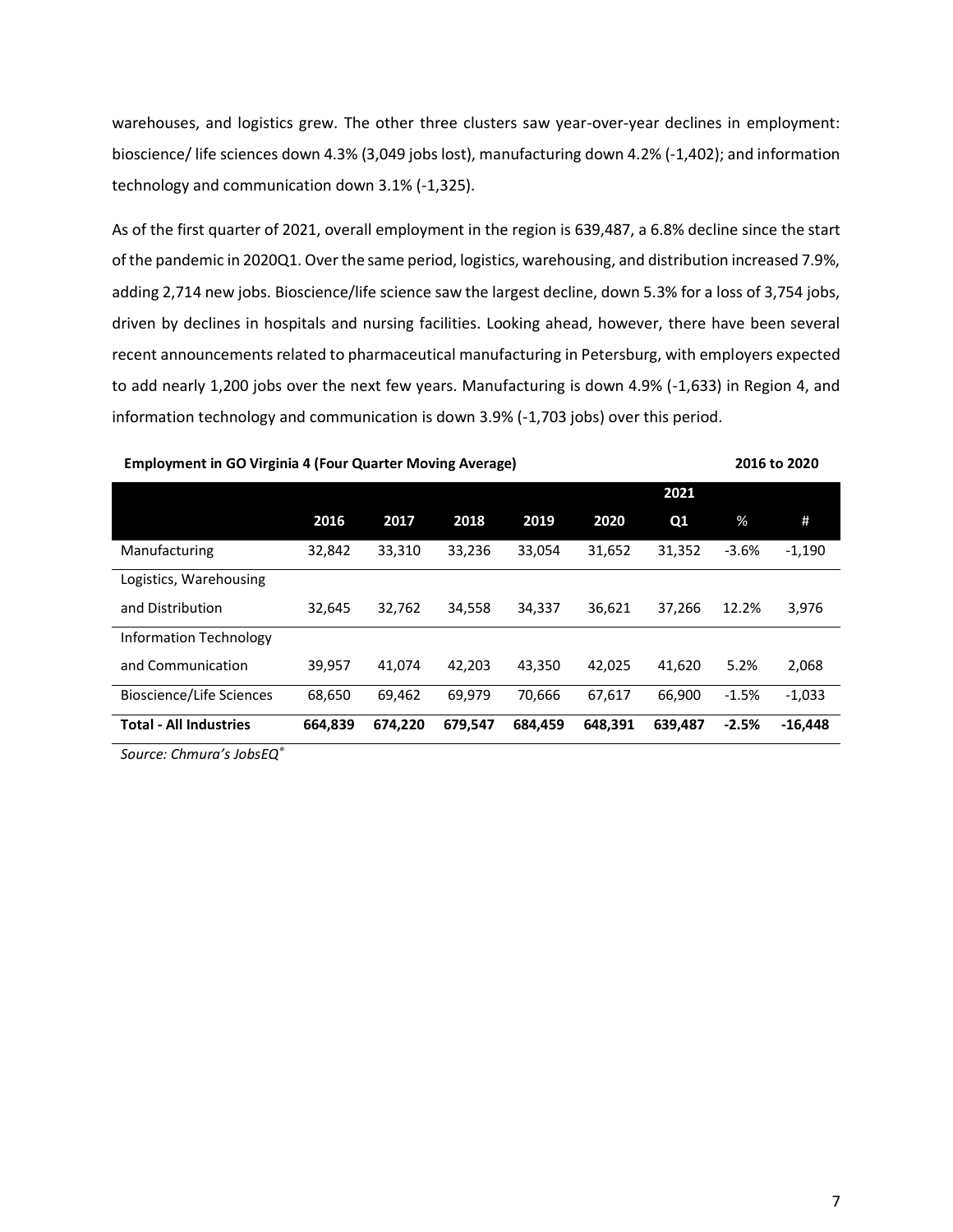warehouses, and logistics grew. The other three clusters saw year-over-year declines in employment: bioscience/ life sciences down 4.3% (3,049 jobs lost), manufacturing down 4.2% (-1,402); and information technology and communication down 3.1% (-1,325).

As of the first quarter of 2021, overall employment in the region is 639,487, a 6.8% decline since the start of the pandemic in 2020Q1. Over the same period, logistics, warehousing, and distribution increased 7.9%, adding 2,714 new jobs. Bioscience/life science saw the largest decline, down 5.3% for a loss of 3,754 jobs, driven by declines in hospitals and nursing facilities. Looking ahead, however, there have been several recent announcements related to pharmaceutical manufacturing in Petersburg, with employers expected to add nearly 1,200 jobs over the next few years. Manufacturing is down 4.9% (-1,633) in Region 4, and information technology and communication is down 3.9% (-1,703 jobs) over this period.

#### **Employment in GO Virginia 4 (Four Quarter Moving Average) 2016 to 2020**

|                               |         |         |         |         |         | 2021    |         |           |
|-------------------------------|---------|---------|---------|---------|---------|---------|---------|-----------|
|                               | 2016    | 2017    | 2018    | 2019    | 2020    | Q1      | %       | #         |
| Manufacturing                 | 32,842  | 33,310  | 33,236  | 33,054  | 31,652  | 31,352  | $-3.6%$ | $-1,190$  |
| Logistics, Warehousing        |         |         |         |         |         |         |         |           |
| and Distribution              | 32,645  | 32,762  | 34,558  | 34,337  | 36,621  | 37.266  | 12.2%   | 3,976     |
| <b>Information Technology</b> |         |         |         |         |         |         |         |           |
| and Communication             | 39,957  | 41.074  | 42.203  | 43.350  | 42.025  | 41.620  | 5.2%    | 2,068     |
| Bioscience/Life Sciences      | 68,650  | 69.462  | 69,979  | 70.666  | 67,617  | 66.900  | $-1.5%$ | $-1,033$  |
| <b>Total - All Industries</b> | 664,839 | 674.220 | 679,547 | 684.459 | 648.391 | 639,487 | $-2.5%$ | $-16,448$ |

*Source: Chmura's JobsEQ®*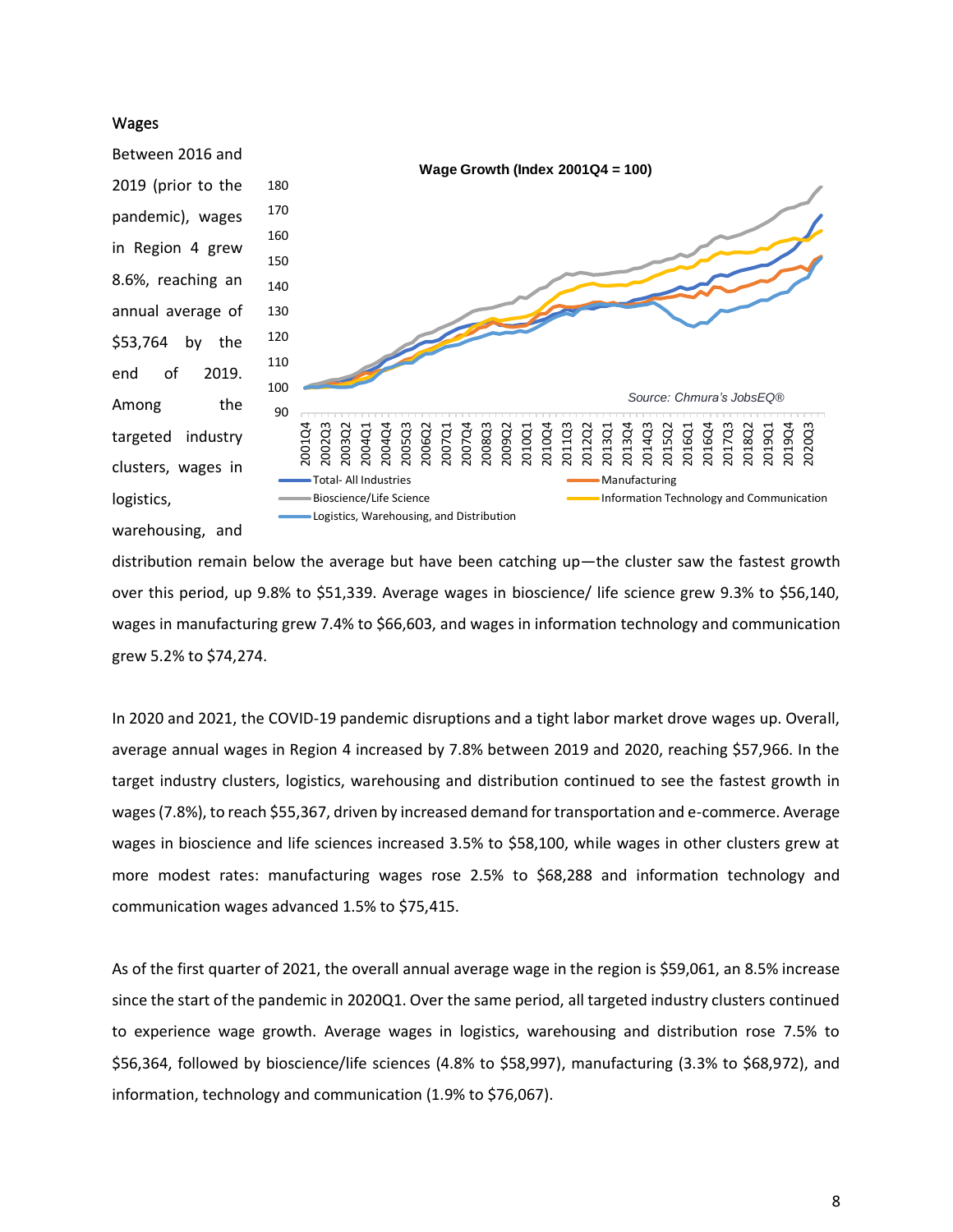#### Wages



distribution remain below the average but have been catching up—the cluster saw the fastest growth over this period, up 9.8% to \$51,339. Average wages in bioscience/ life science grew 9.3% to \$56,140, wages in manufacturing grew 7.4% to \$66,603, and wages in information technology and communication grew 5.2% to \$74,274.

In 2020 and 2021, the COVID-19 pandemic disruptions and a tight labor market drove wages up. Overall, average annual wages in Region 4 increased by 7.8% between 2019 and 2020, reaching \$57,966. In the target industry clusters, logistics, warehousing and distribution continued to see the fastest growth in wages (7.8%), to reach \$55,367, driven by increased demand for transportation and e-commerce. Average wages in bioscience and life sciences increased 3.5% to \$58,100, while wages in other clusters grew at more modest rates: manufacturing wages rose 2.5% to \$68,288 and information technology and communication wages advanced 1.5% to \$75,415.

As of the first quarter of 2021, the overall annual average wage in the region is \$59,061, an 8.5% increase since the start of the pandemic in 2020Q1. Over the same period, all targeted industry clusters continued to experience wage growth. Average wages in logistics, warehousing and distribution rose 7.5% to \$56,364, followed by bioscience/life sciences (4.8% to \$58,997), manufacturing (3.3% to \$68,972), and information, technology and communication (1.9% to \$76,067).

8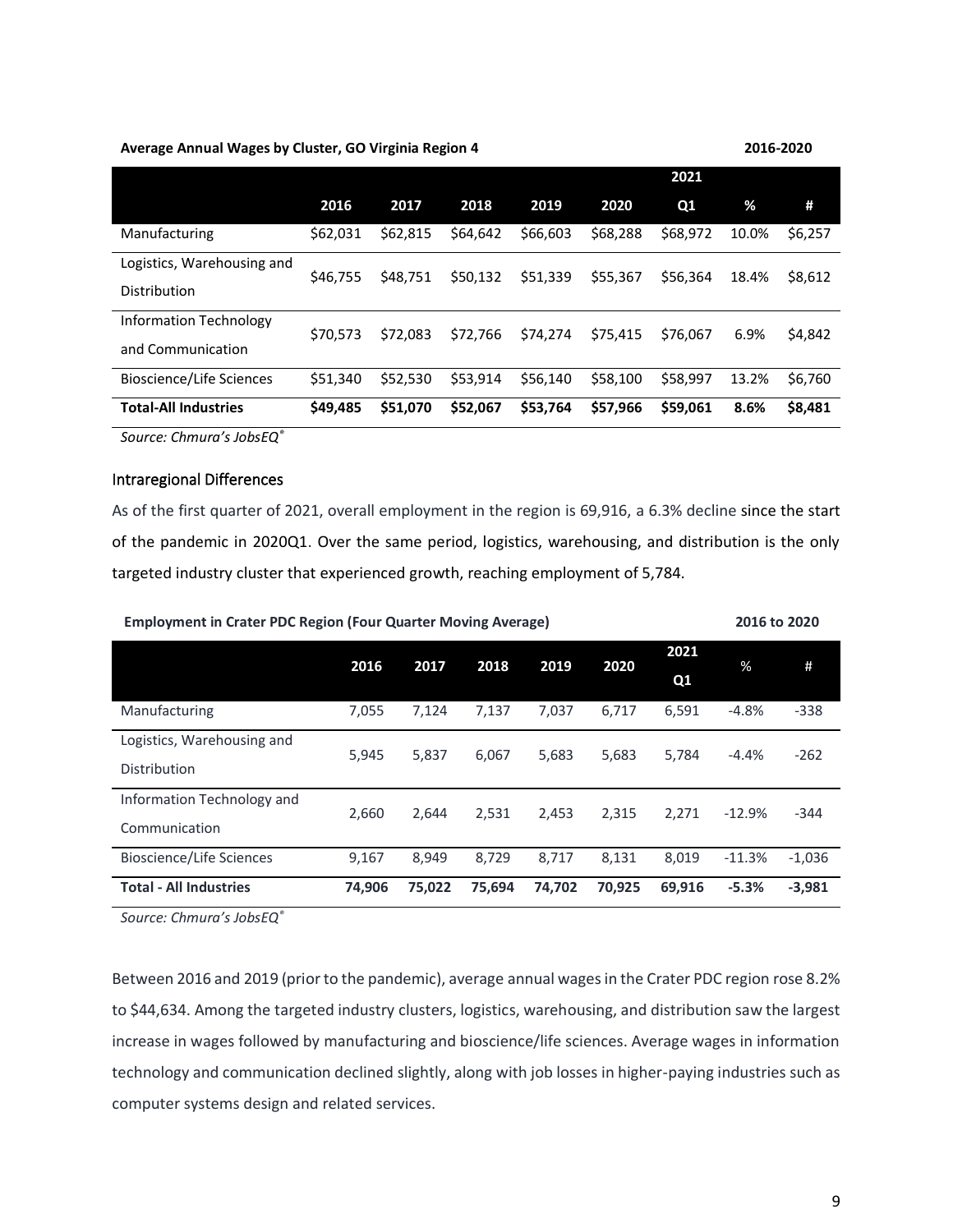#### **Average Annual Wages by Cluster, GO Virginia Region 4 2016-2020**

|                                                                  |          |          |          |          |          | 2021           |       |         |
|------------------------------------------------------------------|----------|----------|----------|----------|----------|----------------|-------|---------|
|                                                                  | 2016     | 2017     | 2018     | 2019     | 2020     | Q <sub>1</sub> | %     | #       |
| Manufacturing                                                    | \$62,031 | \$62.815 | \$64.642 | \$66,603 | \$68,288 | \$68.972       | 10.0% | \$6,257 |
| Logistics, Warehousing and                                       | \$46.755 | \$48.751 | \$50.132 | \$51,339 | \$55.367 | \$56.364       | 18.4% | \$8,612 |
| Distribution                                                     |          |          |          |          |          |                |       |         |
| <b>Information Technology</b>                                    | \$70.573 | \$72.083 | \$72.766 | \$74.274 | \$75.415 | \$76.067       | 6.9%  | \$4,842 |
| and Communication                                                |          |          |          |          |          |                |       |         |
| Bioscience/Life Sciences                                         | \$51,340 | \$52,530 | \$53.914 | \$56.140 | \$58,100 | \$58.997       | 13.2% | \$6,760 |
| <b>Total-All Industries</b>                                      | \$49,485 | \$51,070 | \$52,067 | \$53,764 | \$57,966 | \$59,061       | 8.6%  | \$8,481 |
| $C_{\text{max}}$ $C_{\text{max}}$ $\rightarrow$ $L_{\text{max}}$ |          |          |          |          |          |                |       |         |

*Source: Chmura's JobsEQ®*

#### Intraregional Differences

As of the first quarter of 2021, overall employment in the region is 69,916, a 6.3% decline since the start of the pandemic in 2020Q1. Over the same period, logistics, warehousing, and distribution is the only targeted industry cluster that experienced growth, reaching employment of 5,784.

| <b>Employment in Crater PDC Region (Four Quarter Moving Average)</b> |        |        |        |        | 2016 to 2020 |            |          |          |
|----------------------------------------------------------------------|--------|--------|--------|--------|--------------|------------|----------|----------|
|                                                                      | 2016   | 2017   | 2018   | 2019   | 2020         | 2021<br>Q1 | %        | #        |
| Manufacturing                                                        | 7,055  | 7,124  | 7,137  | 7,037  | 6,717        | 6,591      | $-4.8%$  | $-338$   |
| Logistics, Warehousing and<br>Distribution                           | 5,945  | 5,837  | 6,067  | 5,683  | 5,683        | 5.784      | $-4.4%$  | $-262$   |
| Information Technology and<br>Communication                          | 2,660  | 2,644  | 2,531  | 2,453  | 2,315        | 2,271      | $-12.9%$ | -344     |
| Bioscience/Life Sciences                                             | 9,167  | 8,949  | 8,729  | 8,717  | 8,131        | 8,019      | $-11.3%$ | $-1,036$ |
| <b>Total - All Industries</b>                                        | 74,906 | 75,022 | 75,694 | 74.702 | 70.925       | 69,916     | $-5.3%$  | $-3,981$ |

*Source: Chmura's JobsEQ®*

Between 2016 and 2019 (prior to the pandemic), average annual wages in the Crater PDC region rose 8.2% to \$44,634. Among the targeted industry clusters, logistics, warehousing, and distribution saw the largest increase in wages followed by manufacturing and bioscience/life sciences. Average wages in information technology and communication declined slightly, along with job losses in higher-paying industries such as computer systems design and related services.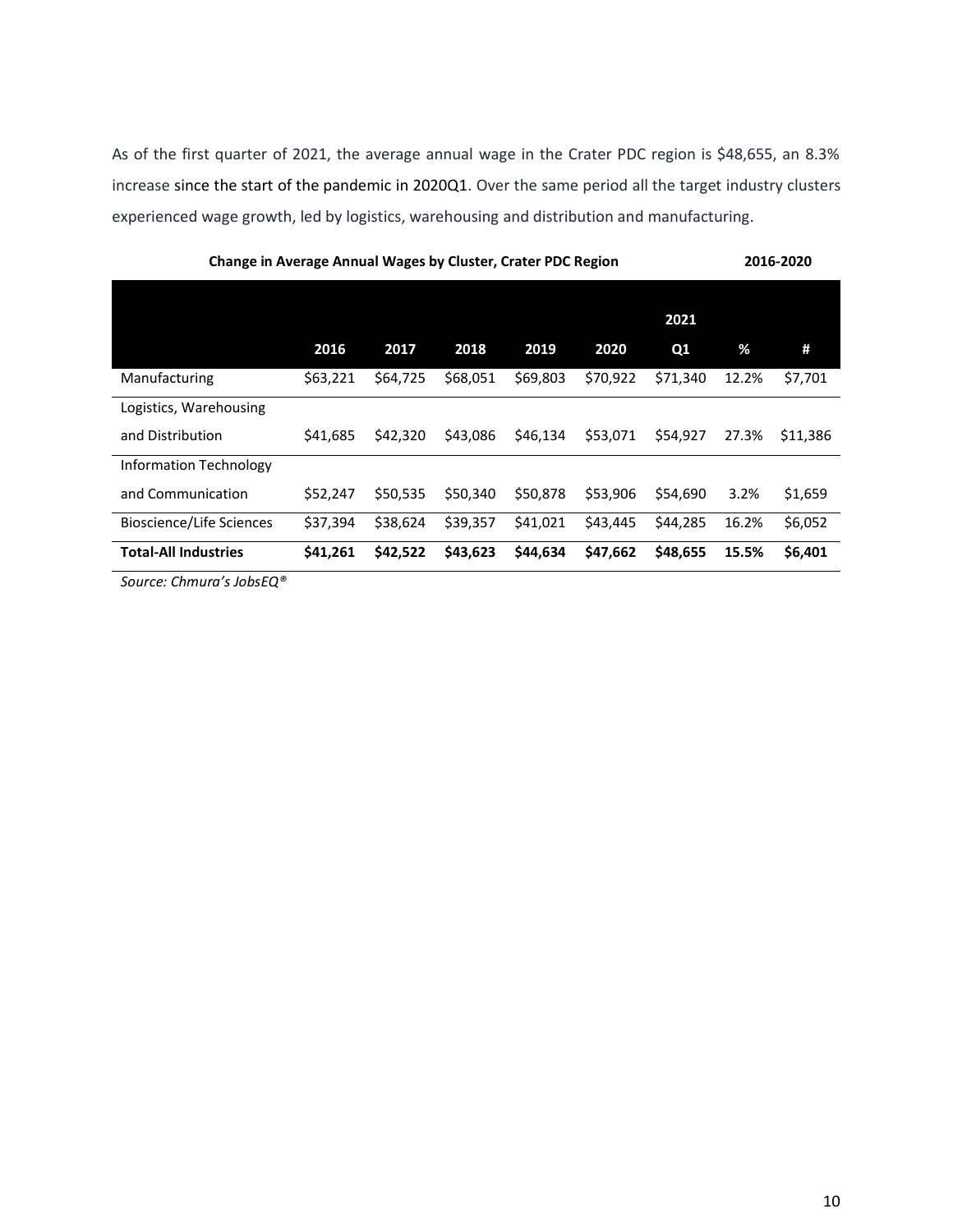As of the first quarter of 2021, the average annual wage in the Crater PDC region is \$48,655, an 8.3% increase since the start of the pandemic in 2020Q1. Over the same period all the target industry clusters experienced wage growth, led by logistics, warehousing and distribution and manufacturing.

|                               |          |          |          |          |          | 2021           |       |          |
|-------------------------------|----------|----------|----------|----------|----------|----------------|-------|----------|
|                               | 2016     | 2017     | 2018     | 2019     | 2020     | Q <sub>1</sub> | %     | #        |
| Manufacturing                 | \$63,221 | \$64,725 | \$68,051 | \$69,803 | \$70,922 | \$71,340       | 12.2% | \$7,701  |
| Logistics, Warehousing        |          |          |          |          |          |                |       |          |
| and Distribution              | \$41,685 | \$42,320 | \$43,086 | \$46,134 | \$53,071 | \$54,927       | 27.3% | \$11,386 |
| <b>Information Technology</b> |          |          |          |          |          |                |       |          |
| and Communication             | \$52,247 | \$50,535 | \$50,340 | \$50,878 | \$53,906 | \$54,690       | 3.2%  | \$1,659  |
| Bioscience/Life Sciences      | \$37,394 | \$38,624 | \$39,357 | \$41,021 | \$43,445 | \$44.285       | 16.2% | \$6,052  |
| <b>Total-All Industries</b>   | \$41,261 | \$42,522 | \$43,623 | \$44,634 | \$47,662 | \$48,655       | 15.5% | \$6,401  |
| $C = \frac{1}{2} C_1$         |          |          |          |          |          |                |       |          |

| Change in Average Annual Wages by Cluster, Crater PDC Region | 2016-2020 |
|--------------------------------------------------------------|-----------|
|--------------------------------------------------------------|-----------|

*Source: Chmura's JobsEQ®*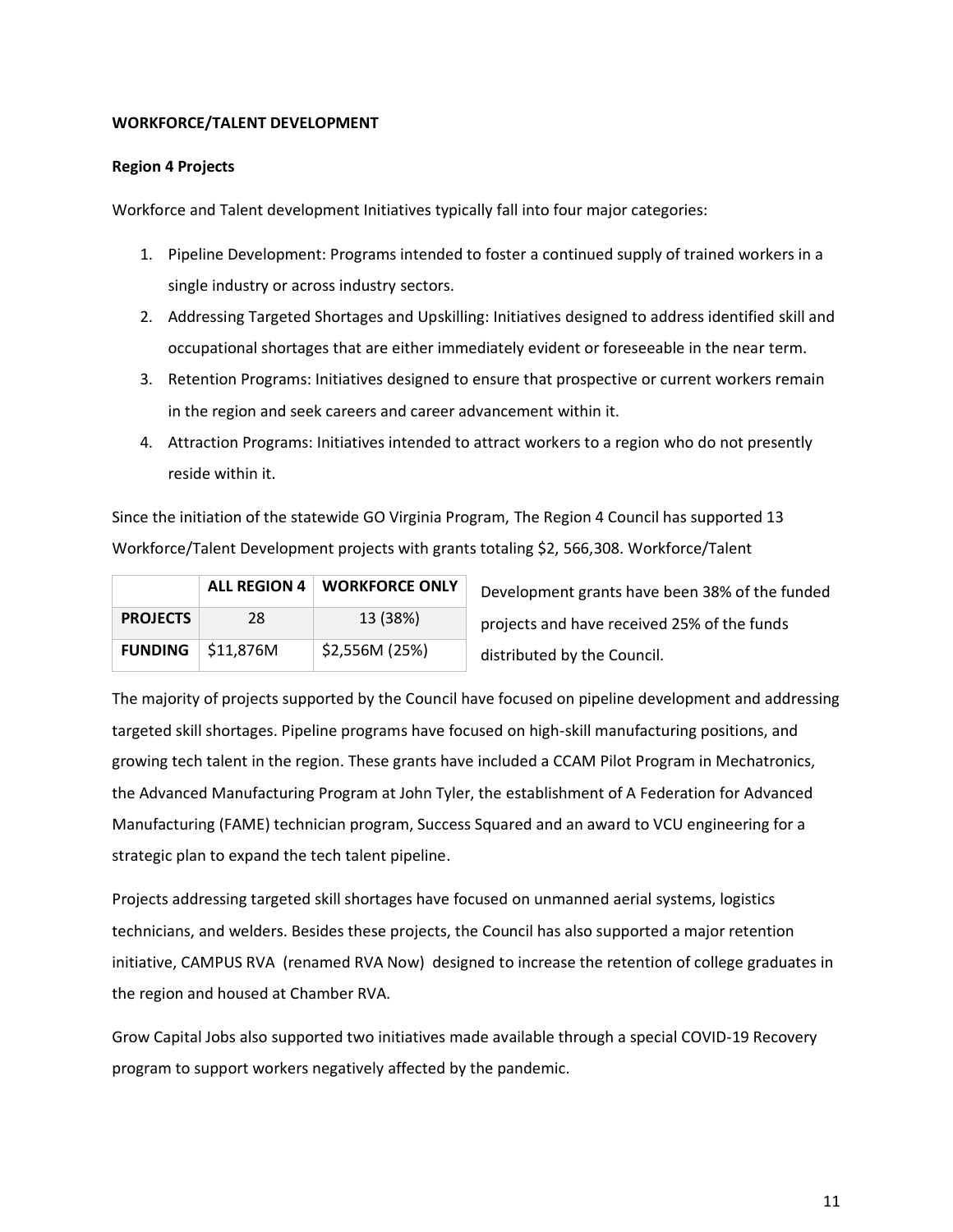#### **WORKFORCE/TALENT DEVELOPMENT**

#### **Region 4 Projects**

Workforce and Talent development Initiatives typically fall into four major categories:

- 1. Pipeline Development: Programs intended to foster a continued supply of trained workers in a single industry or across industry sectors.
- 2. Addressing Targeted Shortages and Upskilling: Initiatives designed to address identified skill and occupational shortages that are either immediately evident or foreseeable in the near term.
- 3. Retention Programs: Initiatives designed to ensure that prospective or current workers remain in the region and seek careers and career advancement within it.
- 4. Attraction Programs: Initiatives intended to attract workers to a region who do not presently reside within it.

Since the initiation of the statewide GO Virginia Program, The Region 4 Council has supported 13 Workforce/Talent Development projects with grants totaling \$2, 566,308. Workforce/Talent

|                 |                                  | ALL REGION 4   WORKFORCE ONLY |
|-----------------|----------------------------------|-------------------------------|
| <b>PROJECTS</b> | 28                               | 13 (38%)                      |
|                 | <b>FUNDING</b> $\vert$ \$11,876M | \$2,556M (25%)                |

Development grants have been 38% of the funded projects and have received 25% of the funds distributed by the Council.

The majority of projects supported by the Council have focused on pipeline development and addressing targeted skill shortages. Pipeline programs have focused on high-skill manufacturing positions, and growing tech talent in the region. These grants have included a CCAM Pilot Program in Mechatronics, the Advanced Manufacturing Program at John Tyler, the establishment of A Federation for Advanced Manufacturing (FAME) technician program, Success Squared and an award to VCU engineering for a strategic plan to expand the tech talent pipeline.

Projects addressing targeted skill shortages have focused on unmanned aerial systems, logistics technicians, and welders. Besides these projects, the Council has also supported a major retention initiative, CAMPUS RVA (renamed RVA Now) designed to increase the retention of college graduates in the region and housed at Chamber RVA.

Grow Capital Jobs also supported two initiatives made available through a special COVID-19 Recovery program to support workers negatively affected by the pandemic.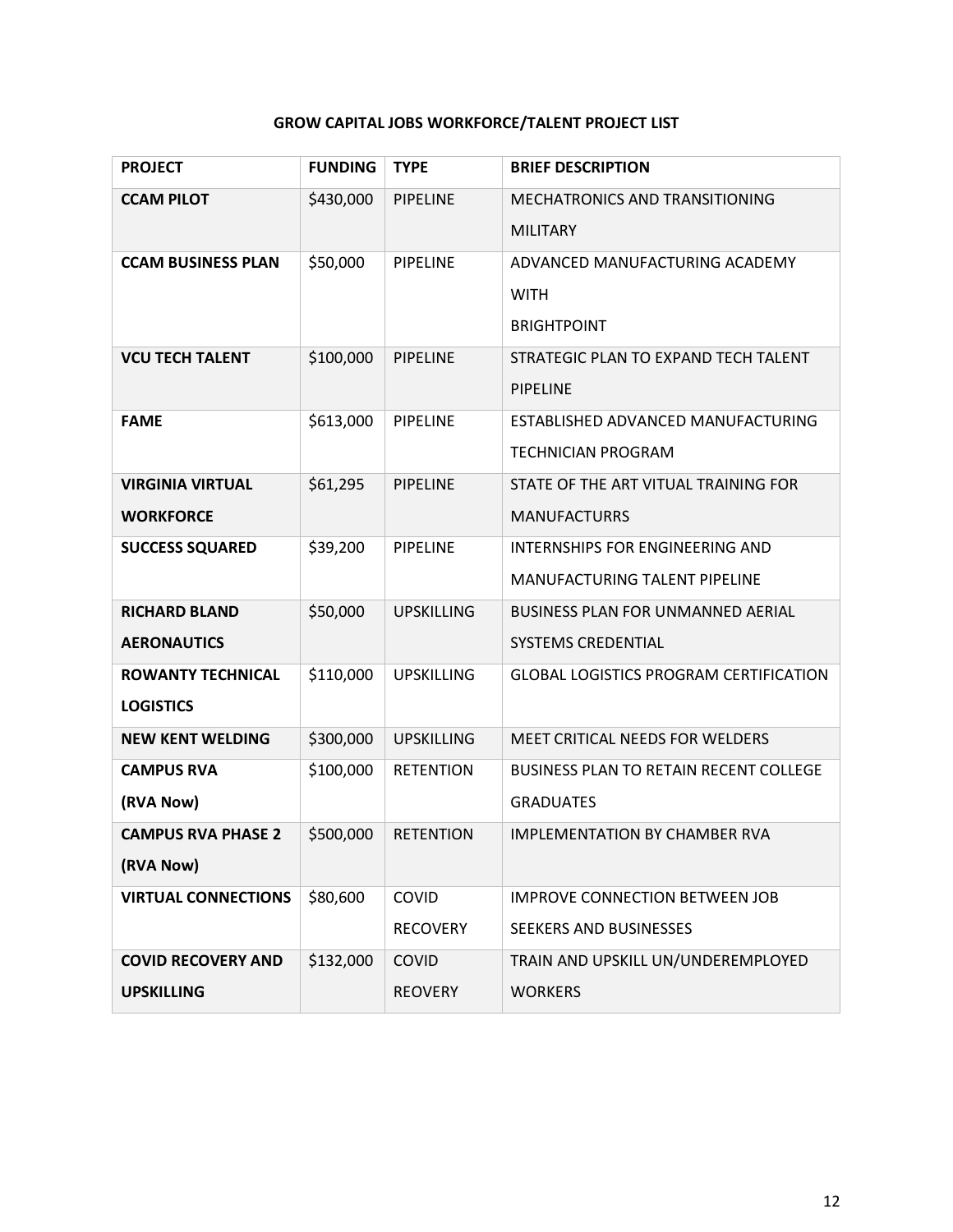## **GROW CAPITAL JOBS WORKFORCE/TALENT PROJECT LIST**

| <b>PROJECT</b>             | <b>FUNDING</b> | <b>TYPE</b>       | <b>BRIEF DESCRIPTION</b>                      |
|----------------------------|----------------|-------------------|-----------------------------------------------|
| <b>CCAM PILOT</b>          | \$430,000      | <b>PIPELINE</b>   | MECHATRONICS AND TRANSITIONING                |
|                            |                |                   | <b>MILITARY</b>                               |
| <b>CCAM BUSINESS PLAN</b>  | \$50,000       | PIPELINE          | ADVANCED MANUFACTURING ACADEMY                |
|                            |                |                   | <b>WITH</b>                                   |
|                            |                |                   | <b>BRIGHTPOINT</b>                            |
| <b>VCU TECH TALENT</b>     | \$100,000      | <b>PIPELINE</b>   | STRATEGIC PLAN TO EXPAND TECH TALENT          |
|                            |                |                   | <b>PIPELINE</b>                               |
| <b>FAME</b>                | \$613,000      | PIPELINE          | ESTABLISHED ADVANCED MANUFACTURING            |
|                            |                |                   | <b>TECHNICIAN PROGRAM</b>                     |
| <b>VIRGINIA VIRTUAL</b>    | \$61,295       | <b>PIPELINE</b>   | STATE OF THE ART VITUAL TRAINING FOR          |
| <b>WORKFORCE</b>           |                |                   | <b>MANUFACTURRS</b>                           |
| <b>SUCCESS SQUARED</b>     | \$39,200       | <b>PIPELINE</b>   | INTERNSHIPS FOR ENGINEERING AND               |
|                            |                |                   | MANUFACTURING TALENT PIPELINE                 |
| <b>RICHARD BLAND</b>       | \$50,000       | <b>UPSKILLING</b> | <b>BUSINESS PLAN FOR UNMANNED AERIAL</b>      |
| <b>AERONAUTICS</b>         |                |                   | SYSTEMS CREDENTIAL                            |
| <b>ROWANTY TECHNICAL</b>   | \$110,000      | <b>UPSKILLING</b> | <b>GLOBAL LOGISTICS PROGRAM CERTIFICATION</b> |
| <b>LOGISTICS</b>           |                |                   |                                               |
| <b>NEW KENT WELDING</b>    | \$300,000      | <b>UPSKILLING</b> | MEET CRITICAL NEEDS FOR WELDERS               |
| <b>CAMPUS RVA</b>          | \$100,000      | <b>RETENTION</b>  | <b>BUSINESS PLAN TO RETAIN RECENT COLLEGE</b> |
| (RVA Now)                  |                |                   | <b>GRADUATES</b>                              |
| <b>CAMPUS RVA PHASE 2</b>  | \$500,000      | <b>RETENTION</b>  | <b>IMPLEMENTATION BY CHAMBER RVA</b>          |
| (RVA Now)                  |                |                   |                                               |
| <b>VIRTUAL CONNECTIONS</b> | \$80,600       | COVID             | <b>IMPROVE CONNECTION BETWEEN JOB</b>         |
|                            |                | <b>RECOVERY</b>   | <b>SEEKERS AND BUSINESSES</b>                 |
| <b>COVID RECOVERY AND</b>  | \$132,000      | COVID             | TRAIN AND UPSKILL UN/UNDEREMPLOYED            |
| <b>UPSKILLING</b>          |                | <b>REOVERY</b>    | <b>WORKERS</b>                                |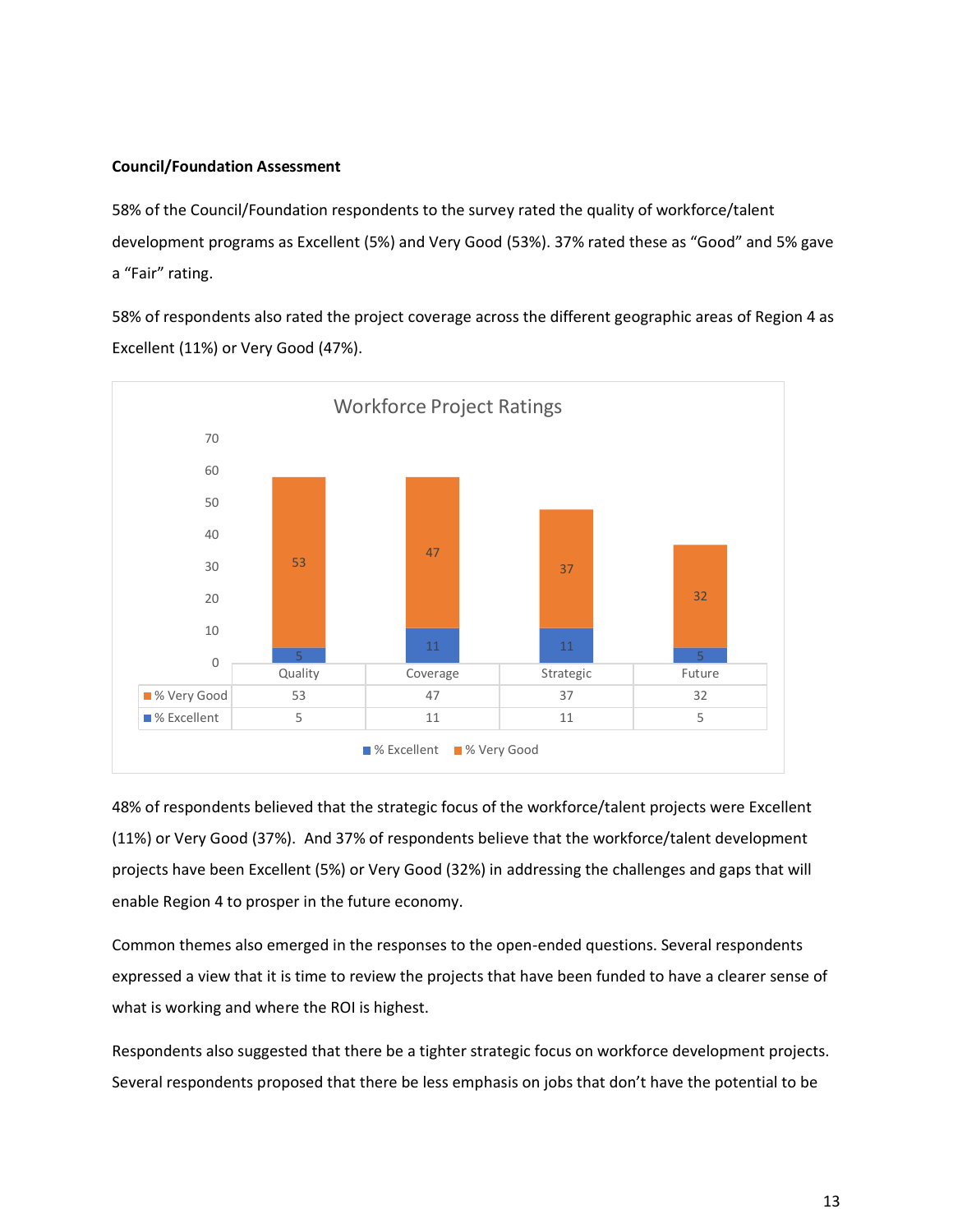#### **Council/Foundation Assessment**

58% of the Council/Foundation respondents to the survey rated the quality of workforce/talent development programs as Excellent (5%) and Very Good (53%). 37% rated these as "Good" and 5% gave a "Fair" rating.

58% of respondents also rated the project coverage across the different geographic areas of Region 4 as Excellent (11%) or Very Good (47%).



48% of respondents believed that the strategic focus of the workforce/talent projects were Excellent (11%) or Very Good (37%). And 37% of respondents believe that the workforce/talent development projects have been Excellent (5%) or Very Good (32%) in addressing the challenges and gaps that will enable Region 4 to prosper in the future economy.

Common themes also emerged in the responses to the open-ended questions. Several respondents expressed a view that it is time to review the projects that have been funded to have a clearer sense of what is working and where the ROI is highest.

Respondents also suggested that there be a tighter strategic focus on workforce development projects. Several respondents proposed that there be less emphasis on jobs that don't have the potential to be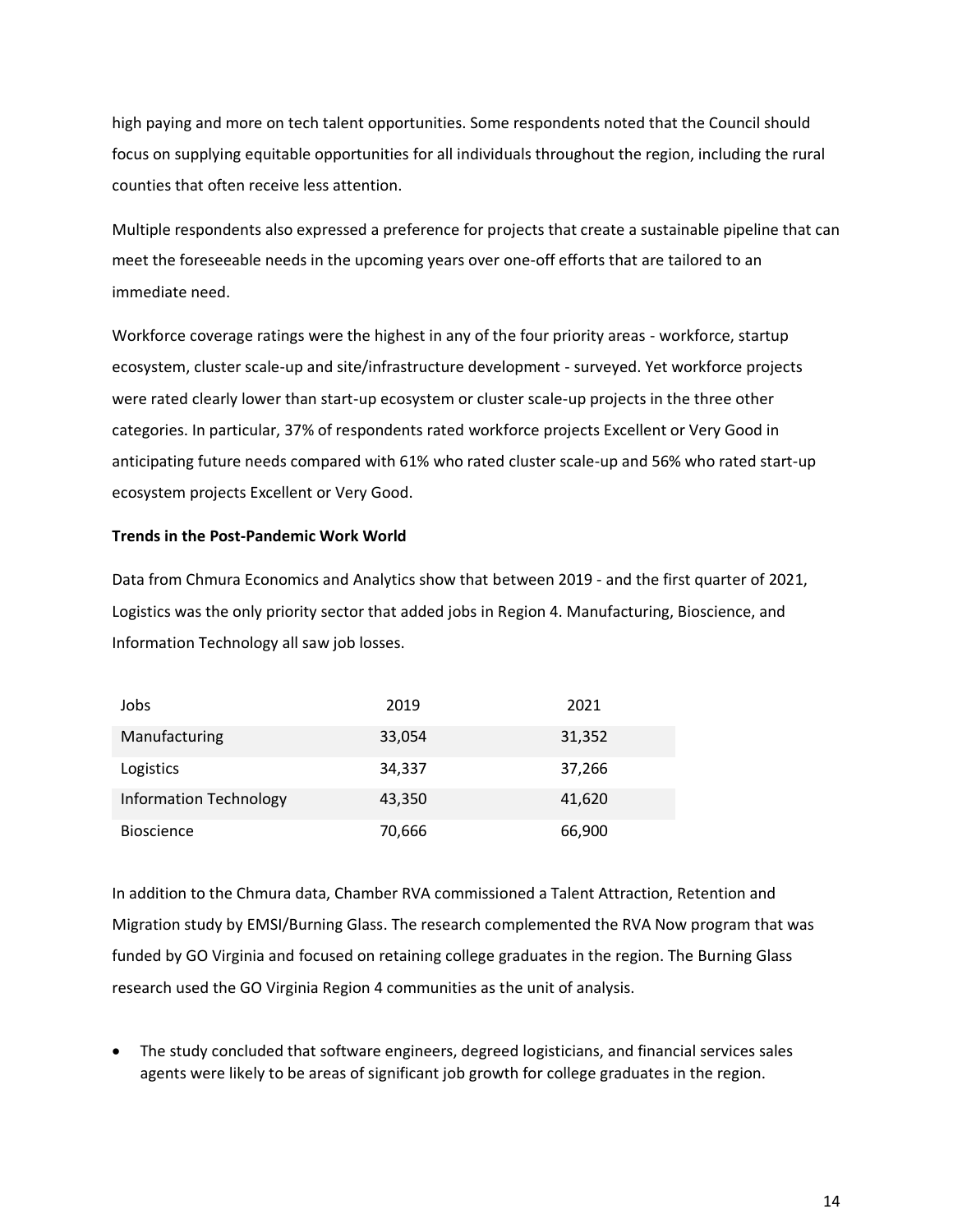high paying and more on tech talent opportunities. Some respondents noted that the Council should focus on supplying equitable opportunities for all individuals throughout the region, including the rural counties that often receive less attention.

Multiple respondents also expressed a preference for projects that create a sustainable pipeline that can meet the foreseeable needs in the upcoming years over one-off efforts that are tailored to an immediate need.

Workforce coverage ratings were the highest in any of the four priority areas - workforce, startup ecosystem, cluster scale-up and site/infrastructure development - surveyed. Yet workforce projects were rated clearly lower than start-up ecosystem or cluster scale-up projects in the three other categories. In particular, 37% of respondents rated workforce projects Excellent or Very Good in anticipating future needs compared with 61% who rated cluster scale-up and 56% who rated start-up ecosystem projects Excellent or Very Good.

#### **Trends in the Post-Pandemic Work World**

Data from Chmura Economics and Analytics show that between 2019 - and the first quarter of 2021, Logistics was the only priority sector that added jobs in Region 4. Manufacturing, Bioscience, and Information Technology all saw job losses.

| Jobs                          | 2019   | 2021   |
|-------------------------------|--------|--------|
| Manufacturing                 | 33,054 | 31,352 |
| Logistics                     | 34,337 | 37,266 |
| <b>Information Technology</b> | 43,350 | 41,620 |
| <b>Bioscience</b>             | 70,666 | 66,900 |

In addition to the Chmura data, Chamber RVA commissioned a Talent Attraction, Retention and Migration study by EMSI/Burning Glass. The research complemented the RVA Now program that was funded by GO Virginia and focused on retaining college graduates in the region. The Burning Glass research used the GO Virginia Region 4 communities as the unit of analysis.

• The study concluded that software engineers, degreed logisticians, and financial services sales agents were likely to be areas of significant job growth for college graduates in the region.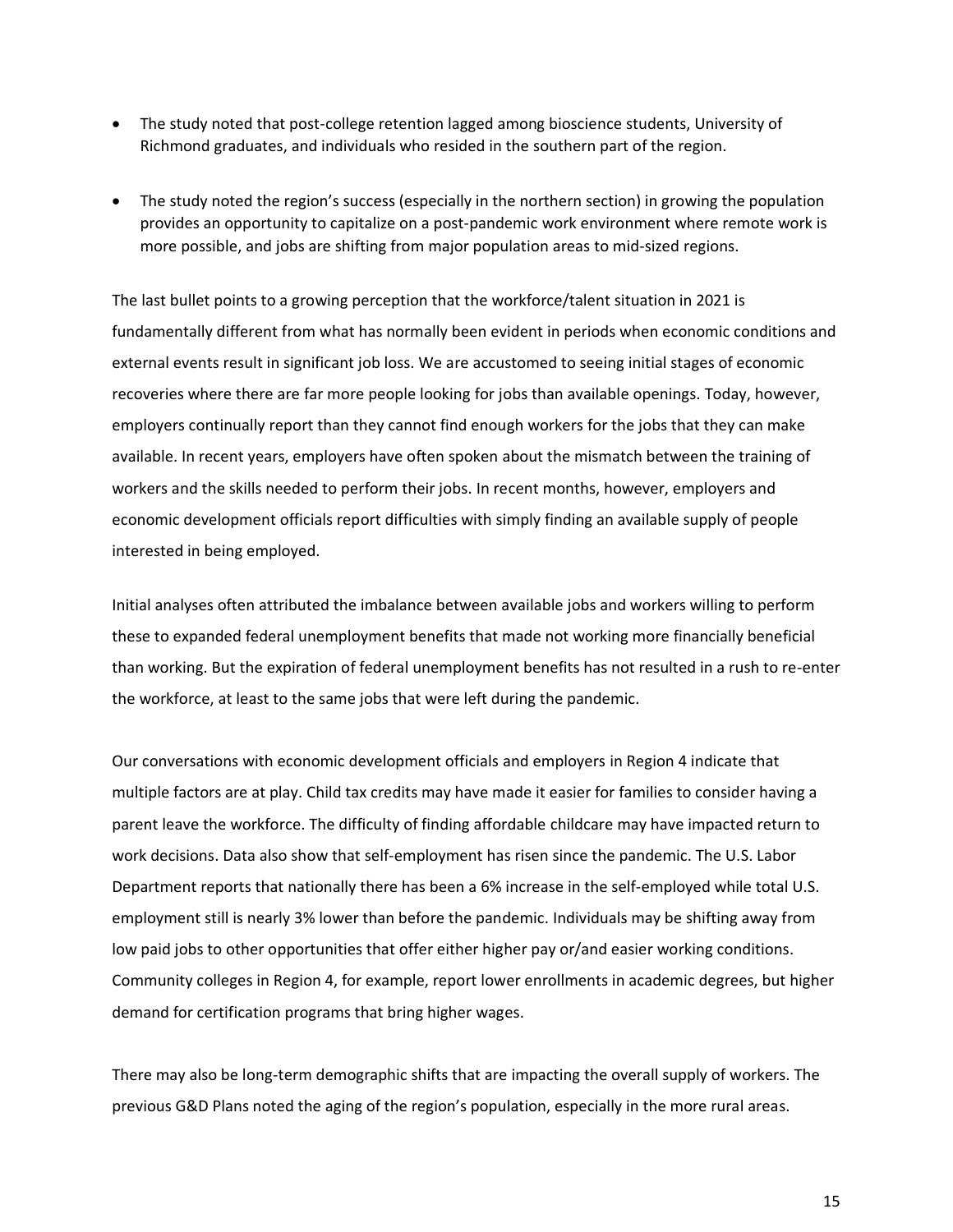- The study noted that post-college retention lagged among bioscience students, University of Richmond graduates, and individuals who resided in the southern part of the region.
- The study noted the region's success (especially in the northern section) in growing the population provides an opportunity to capitalize on a post-pandemic work environment where remote work is more possible, and jobs are shifting from major population areas to mid-sized regions.

The last bullet points to a growing perception that the workforce/talent situation in 2021 is fundamentally different from what has normally been evident in periods when economic conditions and external events result in significant job loss. We are accustomed to seeing initial stages of economic recoveries where there are far more people looking for jobs than available openings. Today, however, employers continually report than they cannot find enough workers for the jobs that they can make available. In recent years, employers have often spoken about the mismatch between the training of workers and the skills needed to perform their jobs. In recent months, however, employers and economic development officials report difficulties with simply finding an available supply of people interested in being employed.

Initial analyses often attributed the imbalance between available jobs and workers willing to perform these to expanded federal unemployment benefits that made not working more financially beneficial than working. But the expiration of federal unemployment benefits has not resulted in a rush to re-enter the workforce, at least to the same jobs that were left during the pandemic.

Our conversations with economic development officials and employers in Region 4 indicate that multiple factors are at play. Child tax credits may have made it easier for families to consider having a parent leave the workforce. The difficulty of finding affordable childcare may have impacted return to work decisions. Data also show that self-employment has risen since the pandemic. The U.S. Labor Department reports that nationally there has been a 6% increase in the self-employed while total U.S. employment still is nearly 3% lower than before the pandemic. Individuals may be shifting away from low paid jobs to other opportunities that offer either higher pay or/and easier working conditions. Community colleges in Region 4, for example, report lower enrollments in academic degrees, but higher demand for certification programs that bring higher wages.

There may also be long-term demographic shifts that are impacting the overall supply of workers. The previous G&D Plans noted the aging of the region's population, especially in the more rural areas.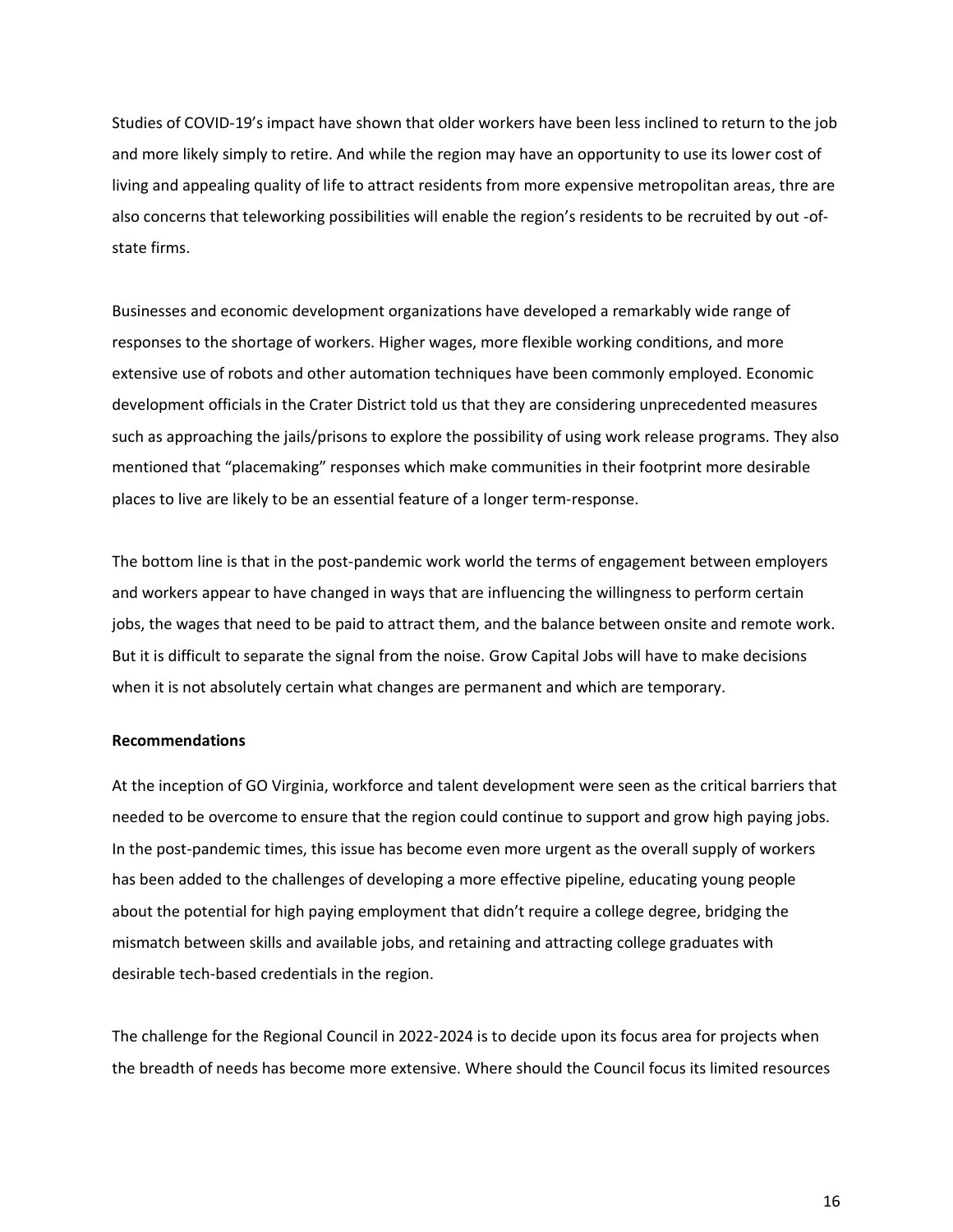Studies of COVID-19's impact have shown that older workers have been less inclined to return to the job and more likely simply to retire. And while the region may have an opportunity to use its lower cost of living and appealing quality of life to attract residents from more expensive metropolitan areas, thre are also concerns that teleworking possibilities will enable the region's residents to be recruited by out -ofstate firms.

Businesses and economic development organizations have developed a remarkably wide range of responses to the shortage of workers. Higher wages, more flexible working conditions, and more extensive use of robots and other automation techniques have been commonly employed. Economic development officials in the Crater District told us that they are considering unprecedented measures such as approaching the jails/prisons to explore the possibility of using work release programs. They also mentioned that "placemaking" responses which make communities in their footprint more desirable places to live are likely to be an essential feature of a longer term-response.

The bottom line is that in the post-pandemic work world the terms of engagement between employers and workers appear to have changed in ways that are influencing the willingness to perform certain jobs, the wages that need to be paid to attract them, and the balance between onsite and remote work. But it is difficult to separate the signal from the noise. Grow Capital Jobs will have to make decisions when it is not absolutely certain what changes are permanent and which are temporary.

#### **Recommendations**

At the inception of GO Virginia, workforce and talent development were seen as the critical barriers that needed to be overcome to ensure that the region could continue to support and grow high paying jobs. In the post-pandemic times, this issue has become even more urgent as the overall supply of workers has been added to the challenges of developing a more effective pipeline, educating young people about the potential for high paying employment that didn't require a college degree, bridging the mismatch between skills and available jobs, and retaining and attracting college graduates with desirable tech-based credentials in the region.

The challenge for the Regional Council in 2022-2024 is to decide upon its focus area for projects when the breadth of needs has become more extensive. Where should the Council focus its limited resources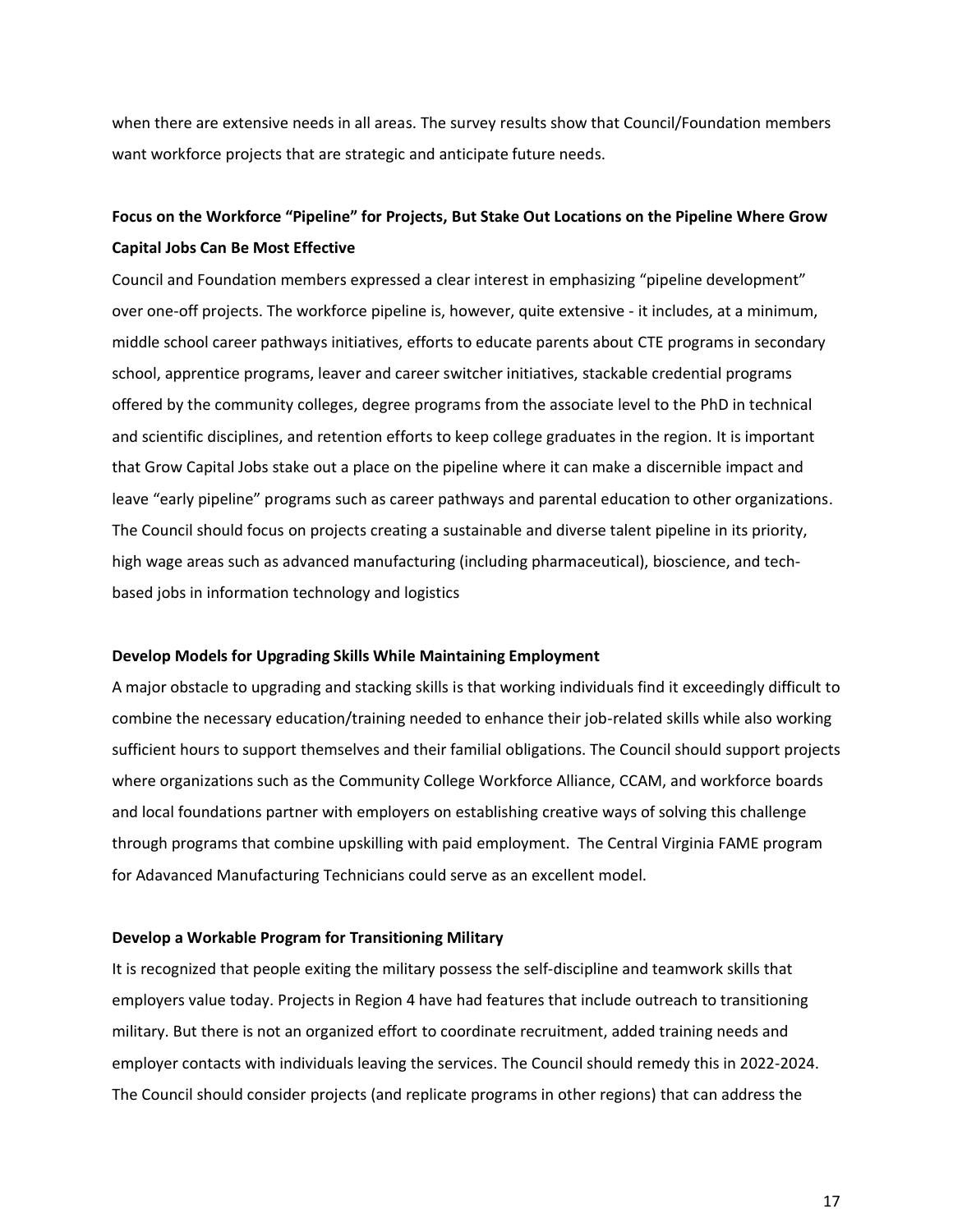when there are extensive needs in all areas. The survey results show that Council/Foundation members want workforce projects that are strategic and anticipate future needs.

## **Focus on the Workforce "Pipeline" for Projects, But Stake Out Locations on the Pipeline Where Grow Capital Jobs Can Be Most Effective**

Council and Foundation members expressed a clear interest in emphasizing "pipeline development" over one-off projects. The workforce pipeline is, however, quite extensive - it includes, at a minimum, middle school career pathways initiatives, efforts to educate parents about CTE programs in secondary school, apprentice programs, leaver and career switcher initiatives, stackable credential programs offered by the community colleges, degree programs from the associate level to the PhD in technical and scientific disciplines, and retention efforts to keep college graduates in the region. It is important that Grow Capital Jobs stake out a place on the pipeline where it can make a discernible impact and leave "early pipeline" programs such as career pathways and parental education to other organizations. The Council should focus on projects creating a sustainable and diverse talent pipeline in its priority, high wage areas such as advanced manufacturing (including pharmaceutical), bioscience, and techbased jobs in information technology and logistics

#### **Develop Models for Upgrading Skills While Maintaining Employment**

A major obstacle to upgrading and stacking skills is that working individuals find it exceedingly difficult to combine the necessary education/training needed to enhance their job-related skills while also working sufficient hours to support themselves and their familial obligations. The Council should support projects where organizations such as the Community College Workforce Alliance, CCAM, and workforce boards and local foundations partner with employers on establishing creative ways of solving this challenge through programs that combine upskilling with paid employment. The Central Virginia FAME program for Adavanced Manufacturing Technicians could serve as an excellent model.

#### **Develop a Workable Program for Transitioning Military**

It is recognized that people exiting the military possess the self-discipline and teamwork skills that employers value today. Projects in Region 4 have had features that include outreach to transitioning military. But there is not an organized effort to coordinate recruitment, added training needs and employer contacts with individuals leaving the services. The Council should remedy this in 2022-2024. The Council should consider projects (and replicate programs in other regions) that can address the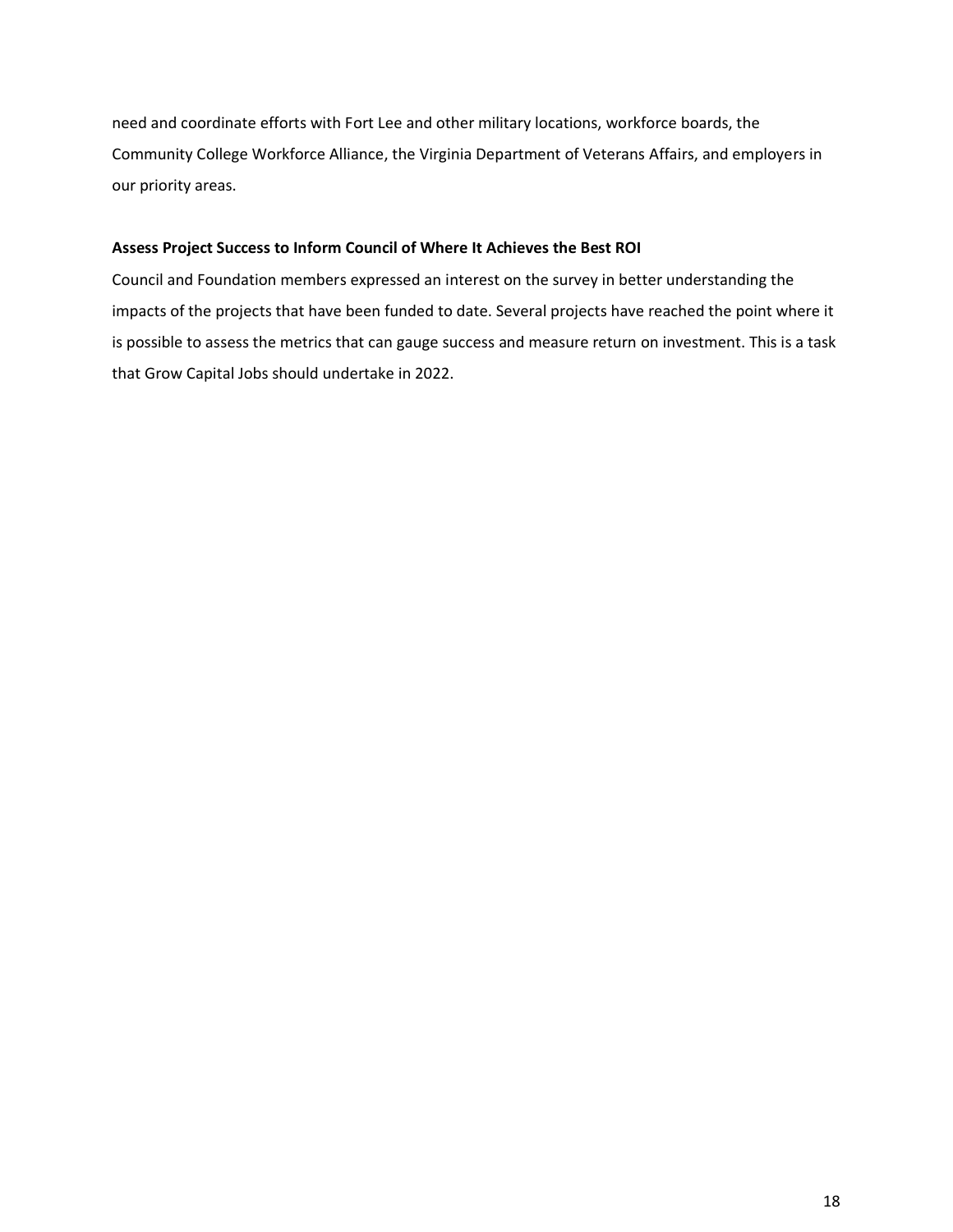need and coordinate efforts with Fort Lee and other military locations, workforce boards, the Community College Workforce Alliance, the Virginia Department of Veterans Affairs, and employers in our priority areas.

#### **Assess Project Success to Inform Council of Where It Achieves the Best ROI**

Council and Foundation members expressed an interest on the survey in better understanding the impacts of the projects that have been funded to date. Several projects have reached the point where it is possible to assess the metrics that can gauge success and measure return on investment. This is a task that Grow Capital Jobs should undertake in 2022.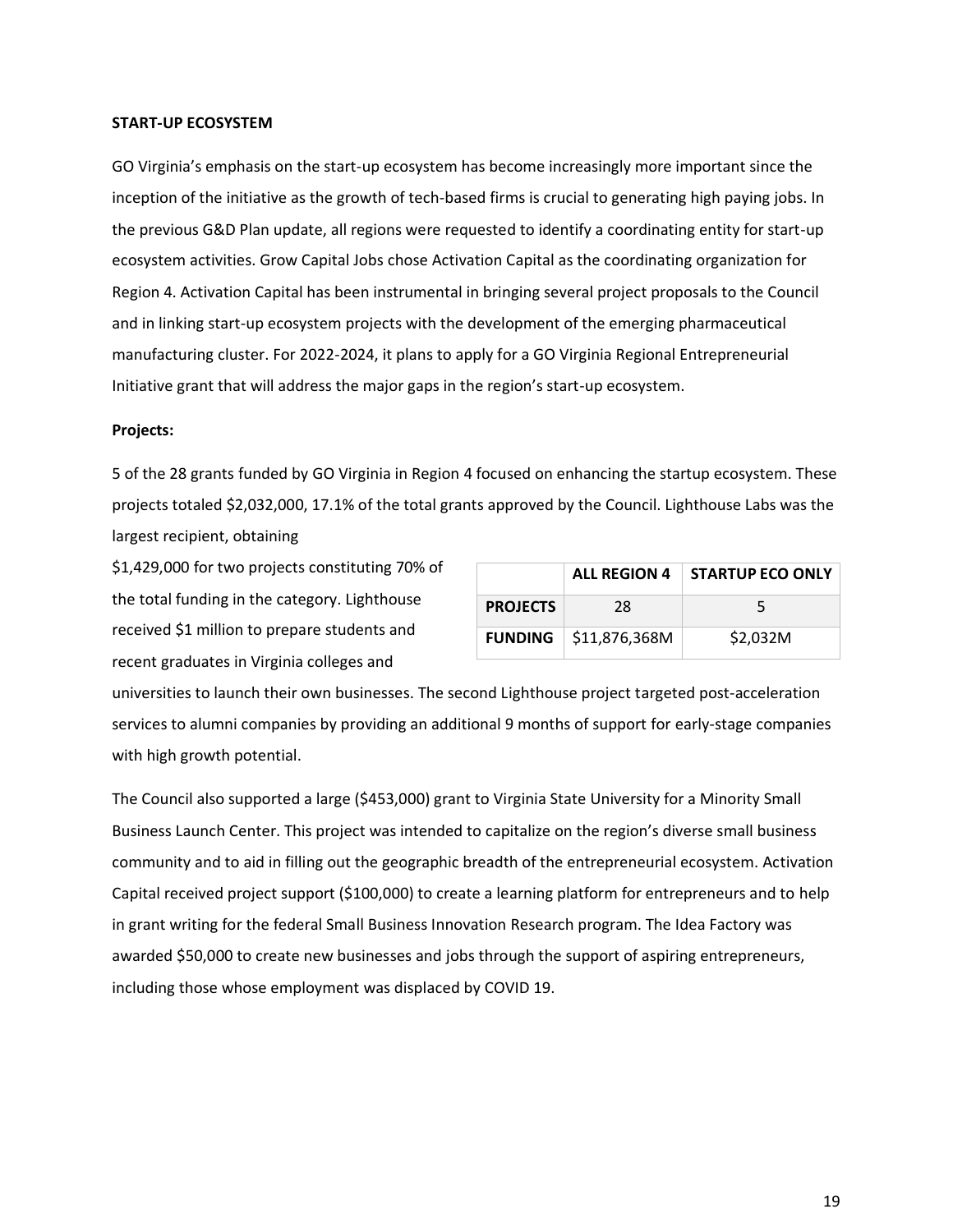#### **START-UP ECOSYSTEM**

GO Virginia's emphasis on the start-up ecosystem has become increasingly more important since the inception of the initiative as the growth of tech-based firms is crucial to generating high paying jobs. In the previous G&D Plan update, all regions were requested to identify a coordinating entity for start-up ecosystem activities. Grow Capital Jobs chose Activation Capital as the coordinating organization for Region 4. Activation Capital has been instrumental in bringing several project proposals to the Council and in linking start-up ecosystem projects with the development of the emerging pharmaceutical manufacturing cluster. For 2022-2024, it plans to apply for a GO Virginia Regional Entrepreneurial Initiative grant that will address the major gaps in the region's start-up ecosystem.

#### **Projects:**

5 of the 28 grants funded by GO Virginia in Region 4 focused on enhancing the startup ecosystem. These projects totaled \$2,032,000, 17.1% of the total grants approved by the Council. Lighthouse Labs was the largest recipient, obtaining

\$1,429,000 for two projects constituting 70% of the total funding in the category. Lighthouse received \$1 million to prepare students and recent graduates in Virginia colleges and

|                 | <b>ALL REGION 4</b>                  | <b>STARTUP ECO ONLY</b> |
|-----------------|--------------------------------------|-------------------------|
| <b>PROJECTS</b> | 28                                   |                         |
|                 | <b>FUNDING</b> $\vert$ \$11,876,368M | \$2,032M                |

universities to launch their own businesses. The second Lighthouse project targeted post-acceleration services to alumni companies by providing an additional 9 months of support for early-stage companies with high growth potential.

The Council also supported a large (\$453,000) grant to Virginia State University for a Minority Small Business Launch Center. This project was intended to capitalize on the region's diverse small business community and to aid in filling out the geographic breadth of the entrepreneurial ecosystem. Activation Capital received project support (\$100,000) to create a learning platform for entrepreneurs and to help in grant writing for the federal Small Business Innovation Research program. The Idea Factory was awarded \$50,000 to create new businesses and jobs through the support of aspiring entrepreneurs, including those whose employment was displaced by COVID 19.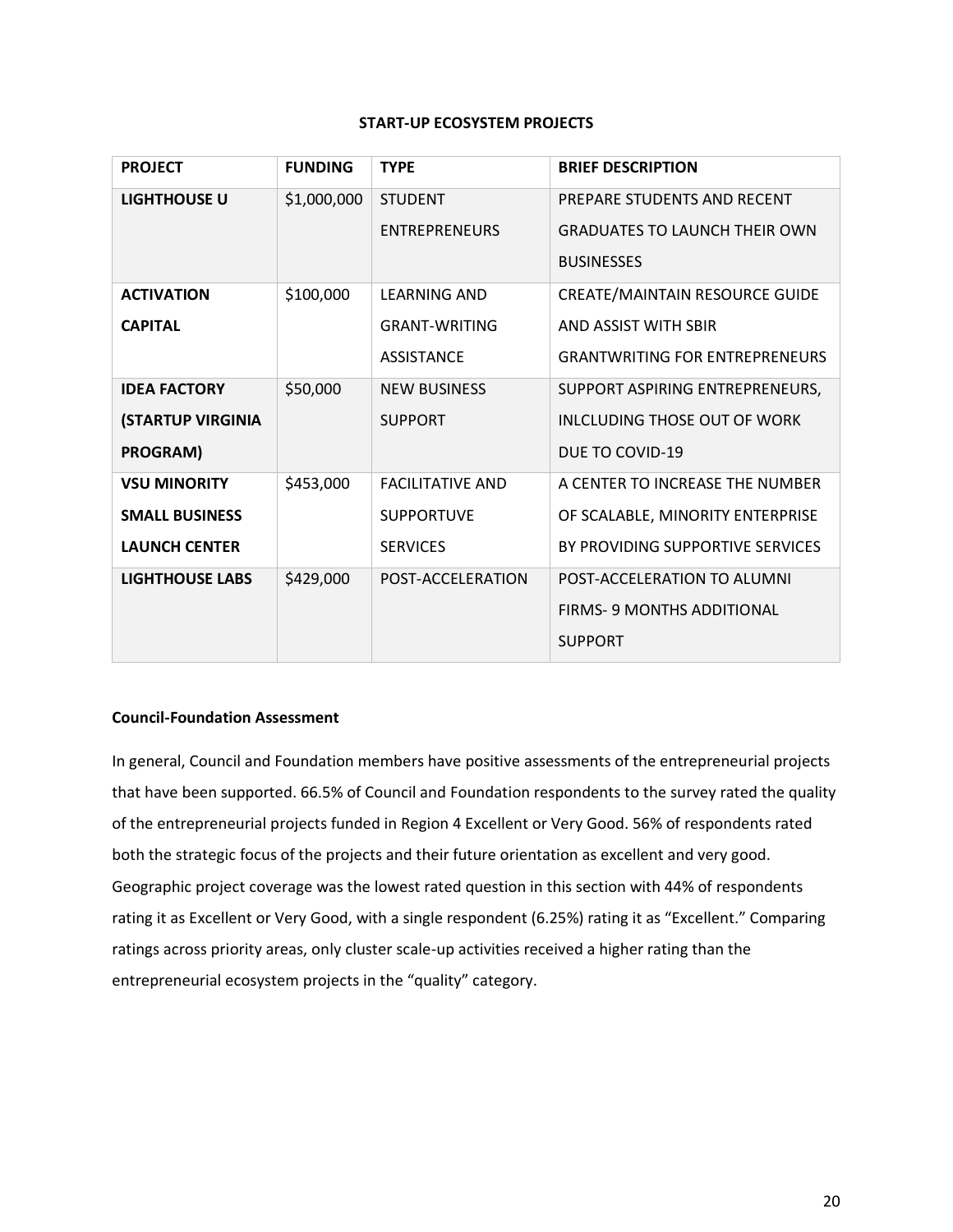#### **START-UP ECOSYSTEM PROJECTS**

| <b>PROJECT</b>           | <b>FUNDING</b> | <b>TYPE</b>             | <b>BRIEF DESCRIPTION</b>              |
|--------------------------|----------------|-------------------------|---------------------------------------|
| <b>LIGHTHOUSE U</b>      | \$1,000,000    | <b>STUDENT</b>          | PREPARE STUDENTS AND RECENT           |
|                          |                | <b>ENTREPRENEURS</b>    | <b>GRADUATES TO LAUNCH THEIR OWN</b>  |
|                          |                |                         | <b>BUSINESSES</b>                     |
| <b>ACTIVATION</b>        | \$100,000      | <b>LEARNING AND</b>     | CREATE/MAINTAIN RESOURCE GUIDE        |
| <b>CAPITAL</b>           |                | <b>GRANT-WRITING</b>    | AND ASSIST WITH SBIR                  |
|                          |                | <b>ASSISTANCE</b>       | <b>GRANTWRITING FOR ENTREPRENEURS</b> |
| <b>IDEA FACTORY</b>      | \$50,000       | <b>NEW BUSINESS</b>     | SUPPORT ASPIRING ENTREPRENEURS,       |
| <b>(STARTUP VIRGINIA</b> |                | <b>SUPPORT</b>          | INLCLUDING THOSE OUT OF WORK          |
| <b>PROGRAM)</b>          |                |                         | DUE TO COVID-19                       |
| <b>VSU MINORITY</b>      | \$453,000      | <b>FACILITATIVE AND</b> | A CENTER TO INCREASE THE NUMBER       |
| <b>SMALL BUSINESS</b>    |                | <b>SUPPORTUVE</b>       | OF SCALABLE, MINORITY ENTERPRISE      |
| <b>LAUNCH CENTER</b>     |                | <b>SERVICES</b>         | BY PROVIDING SUPPORTIVE SERVICES      |
| <b>LIGHTHOUSE LABS</b>   | \$429,000      | POST-ACCELERATION       | POST-ACCELERATION TO ALUMNI           |
|                          |                |                         | <b>FIRMS- 9 MONTHS ADDITIONAL</b>     |
|                          |                |                         | <b>SUPPORT</b>                        |

#### **Council-Foundation Assessment**

In general, Council and Foundation members have positive assessments of the entrepreneurial projects that have been supported. 66.5% of Council and Foundation respondents to the survey rated the quality of the entrepreneurial projects funded in Region 4 Excellent or Very Good. 56% of respondents rated both the strategic focus of the projects and their future orientation as excellent and very good. Geographic project coverage was the lowest rated question in this section with 44% of respondents rating it as Excellent or Very Good, with a single respondent (6.25%) rating it as "Excellent." Comparing ratings across priority areas, only cluster scale-up activities received a higher rating than the entrepreneurial ecosystem projects in the "quality" category.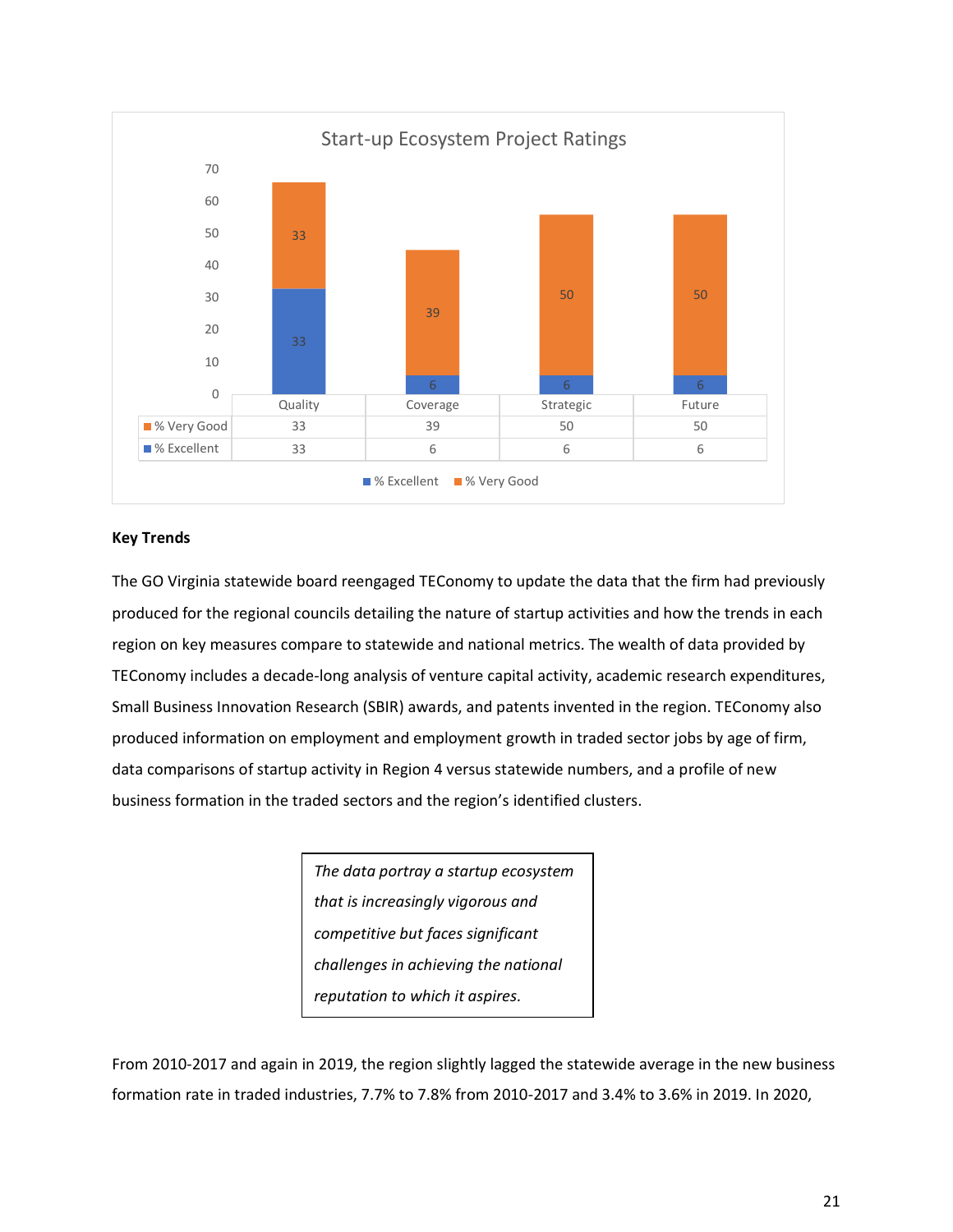

#### **Key Trends**

The GO Virginia statewide board reengaged TEConomy to update the data that the firm had previously produced for the regional councils detailing the nature of startup activities and how the trends in each region on key measures compare to statewide and national metrics. The wealth of data provided by TEConomy includes a decade-long analysis of venture capital activity, academic research expenditures, Small Business Innovation Research (SBIR) awards, and patents invented in the region. TEConomy also produced information on employment and employment growth in traded sector jobs by age of firm, data comparisons of startup activity in Region 4 versus statewide numbers, and a profile of new business formation in the traded sectors and the region's identified clusters.

> *The data portray a startup ecosystem that is increasingly vigorous and competitive but faces significant challenges in achieving the national reputation to which it aspires.*

From 2010-2017 and again in 2019, the region slightly lagged the statewide average in the new business formation rate in traded industries, 7.7% to 7.8% from 2010-2017 and 3.4% to 3.6% in 2019. In 2020,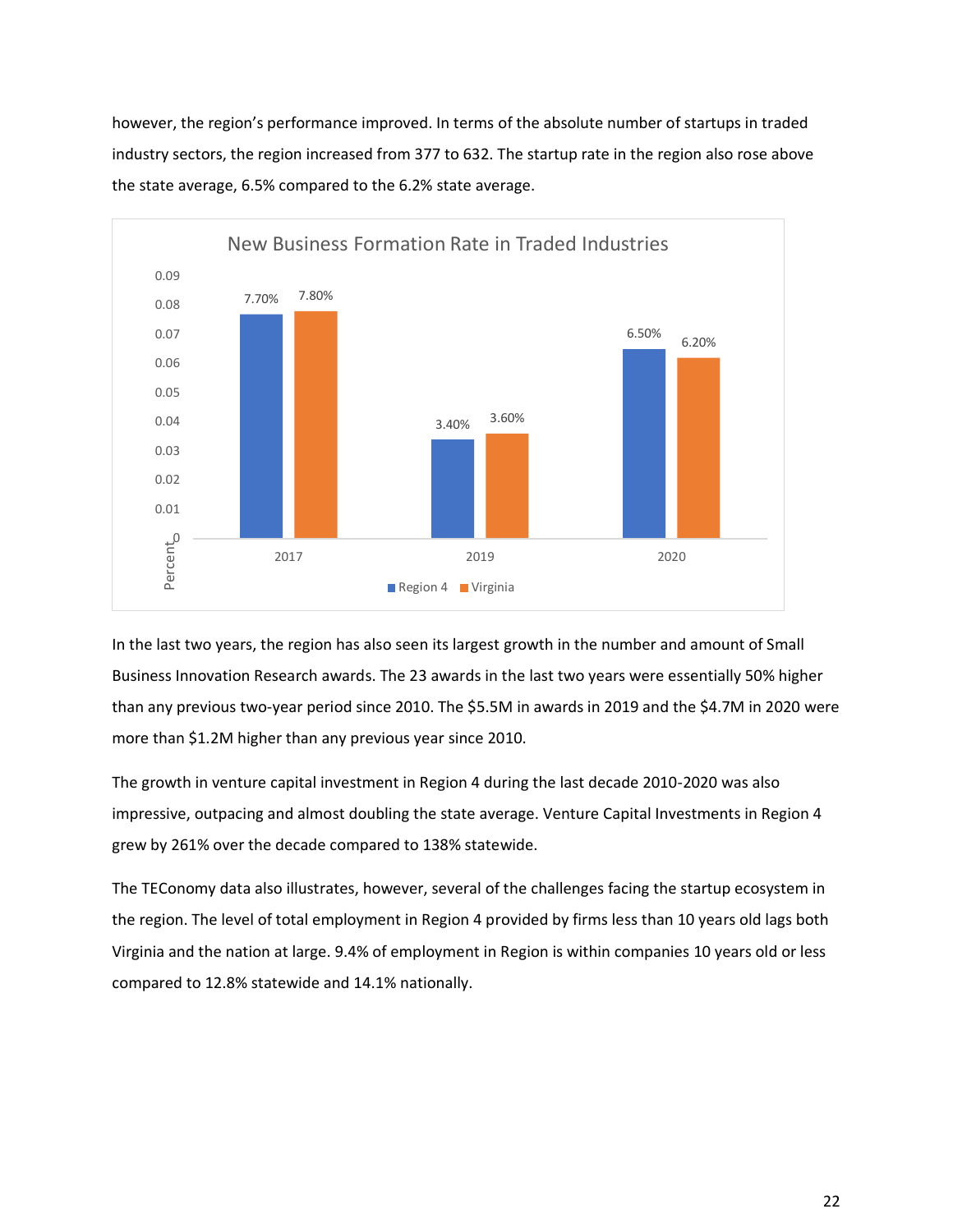however, the region's performance improved. In terms of the absolute number of startups in traded industry sectors, the region increased from 377 to 632. The startup rate in the region also rose above the state average, 6.5% compared to the 6.2% state average.



In the last two years, the region has also seen its largest growth in the number and amount of Small Business Innovation Research awards. The 23 awards in the last two years were essentially 50% higher than any previous two-year period since 2010. The \$5.5M in awards in 2019 and the \$4.7M in 2020 were more than \$1.2M higher than any previous year since 2010.

The growth in venture capital investment in Region 4 during the last decade 2010-2020 was also impressive, outpacing and almost doubling the state average. Venture Capital Investments in Region 4 grew by 261% over the decade compared to 138% statewide.

The TEConomy data also illustrates, however, several of the challenges facing the startup ecosystem in the region. The level of total employment in Region 4 provided by firms less than 10 years old lags both Virginia and the nation at large. 9.4% of employment in Region is within companies 10 years old or less compared to 12.8% statewide and 14.1% nationally.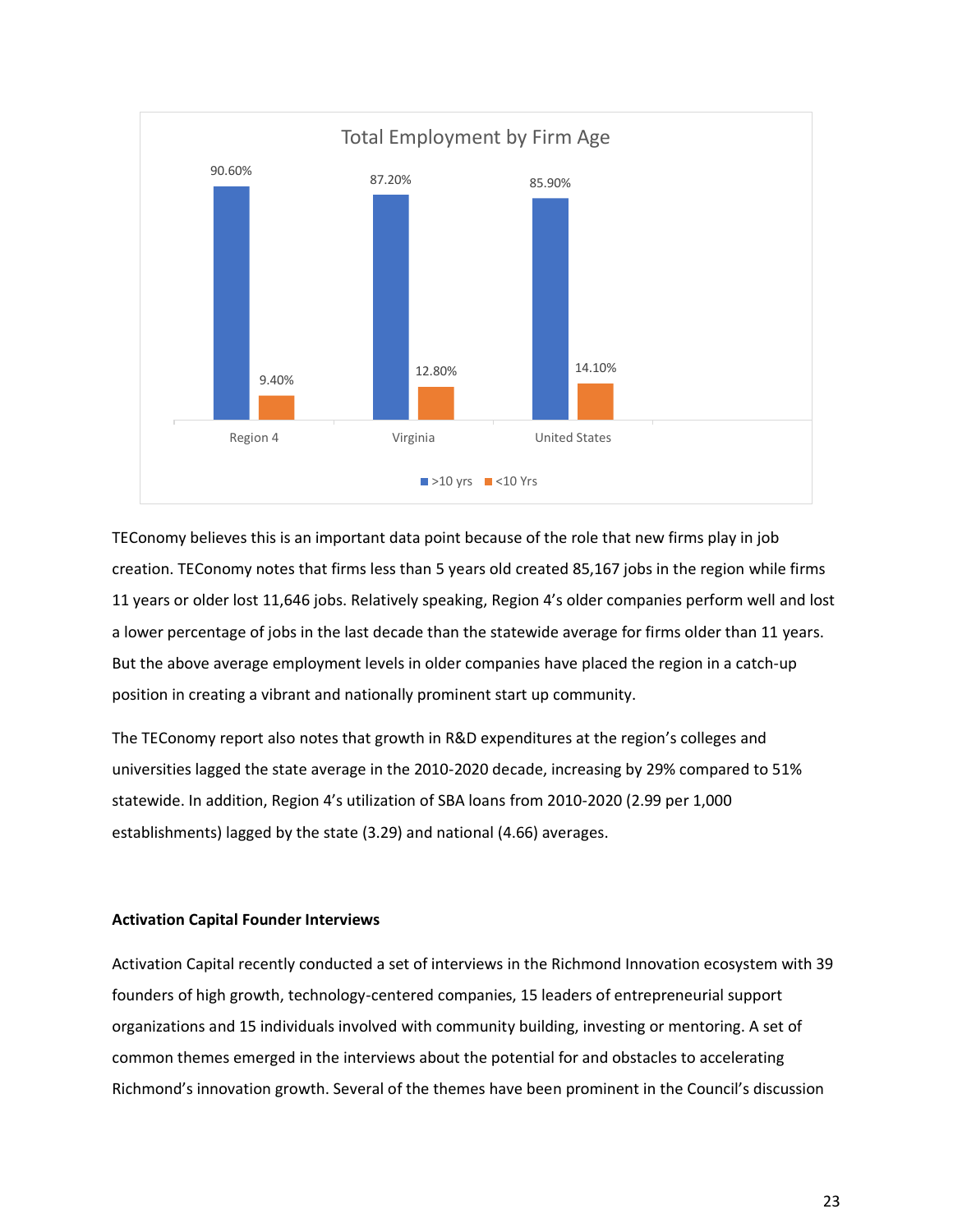

TEConomy believes this is an important data point because of the role that new firms play in job creation. TEConomy notes that firms less than 5 years old created 85,167 jobs in the region while firms 11 years or older lost 11,646 jobs. Relatively speaking, Region 4's older companies perform well and lost a lower percentage of jobs in the last decade than the statewide average for firms older than 11 years. But the above average employment levels in older companies have placed the region in a catch-up position in creating a vibrant and nationally prominent start up community.

The TEConomy report also notes that growth in R&D expenditures at the region's colleges and universities lagged the state average in the 2010-2020 decade, increasing by 29% compared to 51% statewide. In addition, Region 4's utilization of SBA loans from 2010-2020 (2.99 per 1,000 establishments) lagged by the state (3.29) and national (4.66) averages.

#### **Activation Capital Founder Interviews**

Activation Capital recently conducted a set of interviews in the Richmond Innovation ecosystem with 39 founders of high growth, technology-centered companies, 15 leaders of entrepreneurial support organizations and 15 individuals involved with community building, investing or mentoring. A set of common themes emerged in the interviews about the potential for and obstacles to accelerating Richmond's innovation growth. Several of the themes have been prominent in the Council's discussion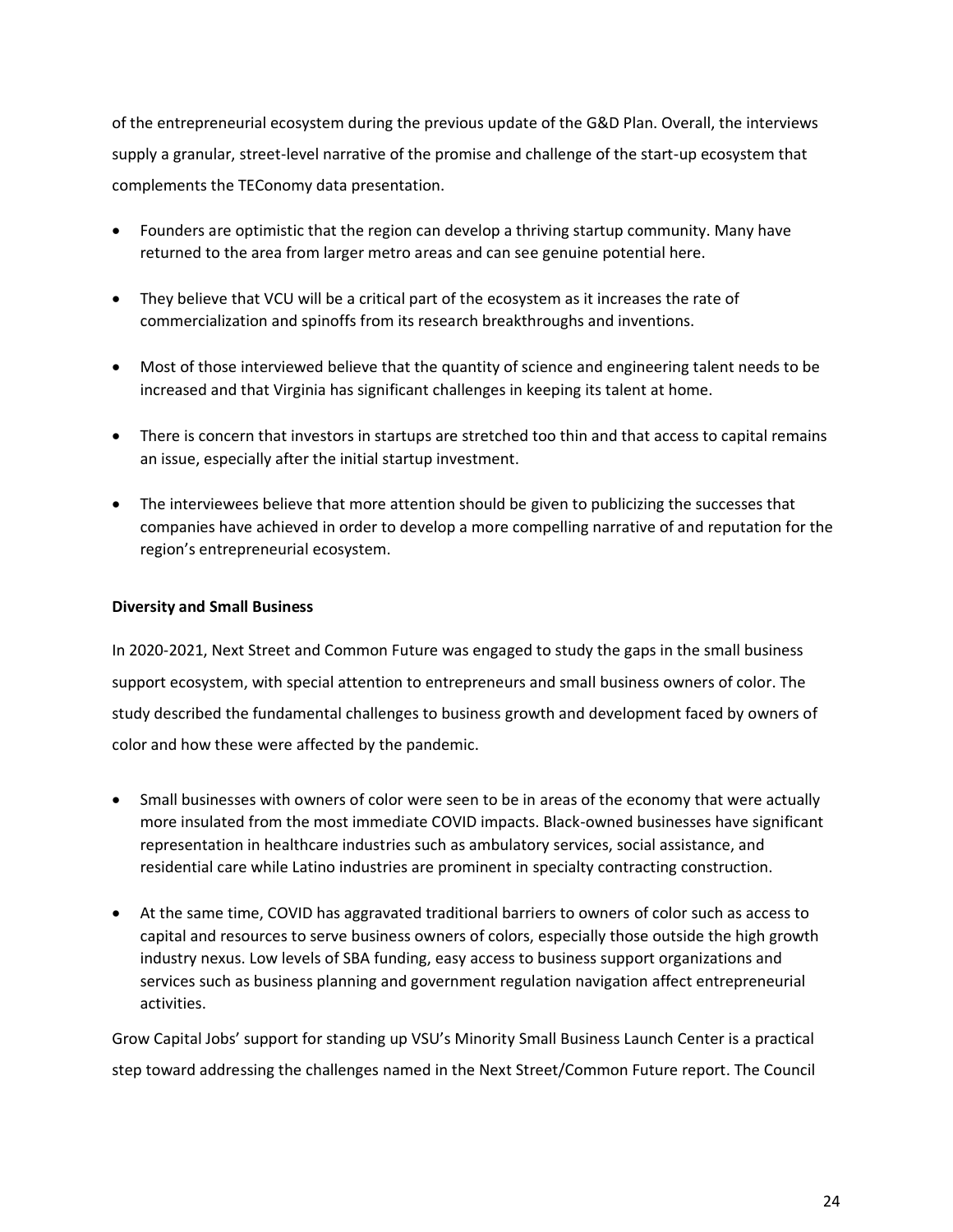of the entrepreneurial ecosystem during the previous update of the G&D Plan. Overall, the interviews supply a granular, street-level narrative of the promise and challenge of the start-up ecosystem that complements the TEConomy data presentation.

- Founders are optimistic that the region can develop a thriving startup community. Many have returned to the area from larger metro areas and can see genuine potential here.
- They believe that VCU will be a critical part of the ecosystem as it increases the rate of commercialization and spinoffs from its research breakthroughs and inventions.
- Most of those interviewed believe that the quantity of science and engineering talent needs to be increased and that Virginia has significant challenges in keeping its talent at home.
- There is concern that investors in startups are stretched too thin and that access to capital remains an issue, especially after the initial startup investment.
- The interviewees believe that more attention should be given to publicizing the successes that companies have achieved in order to develop a more compelling narrative of and reputation for the region's entrepreneurial ecosystem.

#### **Diversity and Small Business**

In 2020-2021, Next Street and Common Future was engaged to study the gaps in the small business support ecosystem, with special attention to entrepreneurs and small business owners of color. The study described the fundamental challenges to business growth and development faced by owners of color and how these were affected by the pandemic.

- Small businesses with owners of color were seen to be in areas of the economy that were actually more insulated from the most immediate COVID impacts. Black-owned businesses have significant representation in healthcare industries such as ambulatory services, social assistance, and residential care while Latino industries are prominent in specialty contracting construction.
- At the same time, COVID has aggravated traditional barriers to owners of color such as access to capital and resources to serve business owners of colors, especially those outside the high growth industry nexus. Low levels of SBA funding, easy access to business support organizations and services such as business planning and government regulation navigation affect entrepreneurial activities.

Grow Capital Jobs' support for standing up VSU's Minority Small Business Launch Center is a practical step toward addressing the challenges named in the Next Street/Common Future report. The Council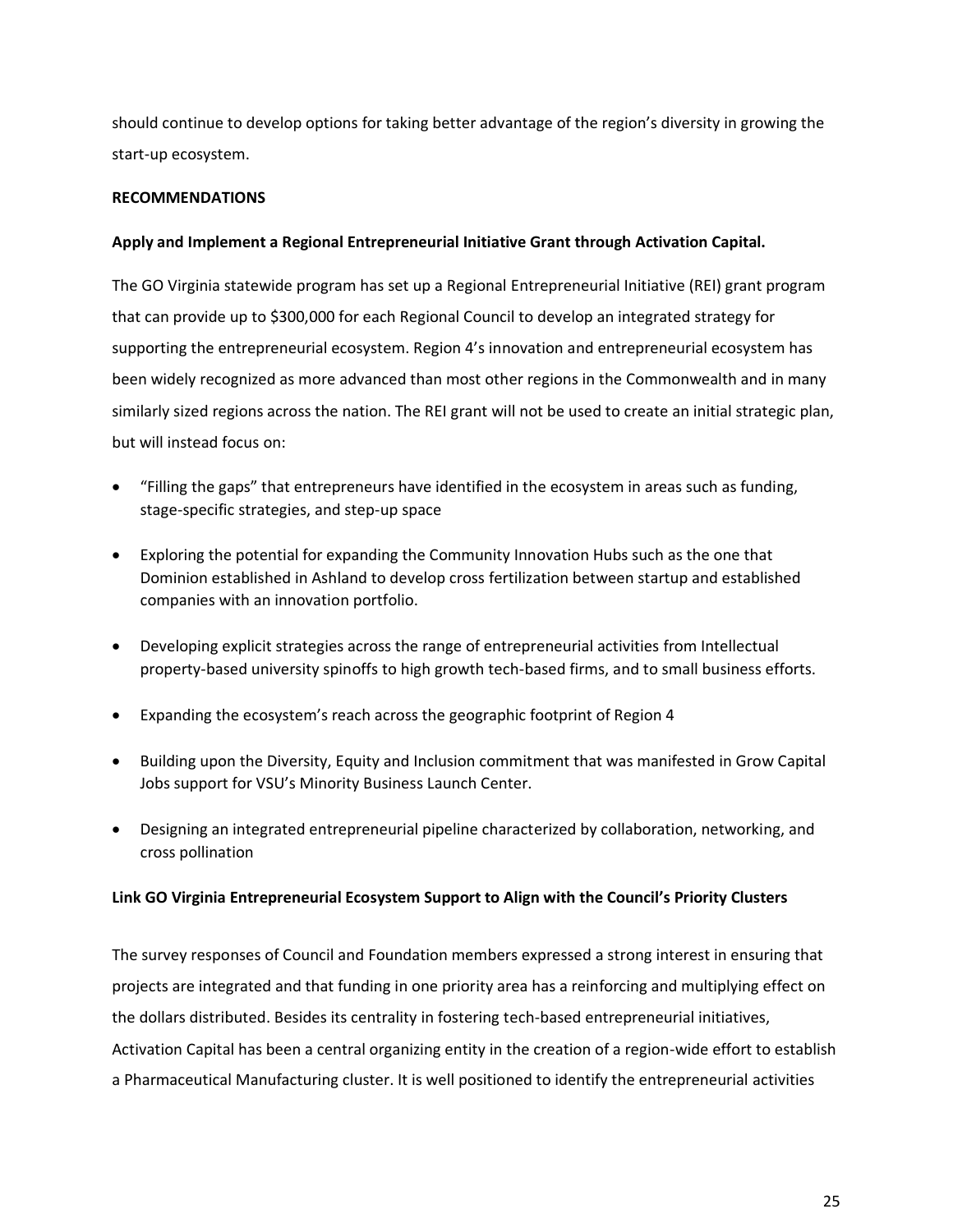should continue to develop options for taking better advantage of the region's diversity in growing the start-up ecosystem.

#### **RECOMMENDATIONS**

#### **Apply and Implement a Regional Entrepreneurial Initiative Grant through Activation Capital.**

The GO Virginia statewide program has set up a Regional Entrepreneurial Initiative (REI) grant program that can provide up to \$300,000 for each Regional Council to develop an integrated strategy for supporting the entrepreneurial ecosystem. Region 4's innovation and entrepreneurial ecosystem has been widely recognized as more advanced than most other regions in the Commonwealth and in many similarly sized regions across the nation. The REI grant will not be used to create an initial strategic plan, but will instead focus on:

- "Filling the gaps" that entrepreneurs have identified in the ecosystem in areas such as funding, stage-specific strategies, and step-up space
- Exploring the potential for expanding the Community Innovation Hubs such as the one that Dominion established in Ashland to develop cross fertilization between startup and established companies with an innovation portfolio.
- Developing explicit strategies across the range of entrepreneurial activities from Intellectual property-based university spinoffs to high growth tech-based firms, and to small business efforts.
- Expanding the ecosystem's reach across the geographic footprint of Region 4
- Building upon the Diversity, Equity and Inclusion commitment that was manifested in Grow Capital Jobs support for VSU's Minority Business Launch Center.
- Designing an integrated entrepreneurial pipeline characterized by collaboration, networking, and cross pollination

#### **Link GO Virginia Entrepreneurial Ecosystem Support to Align with the Council's Priority Clusters**

The survey responses of Council and Foundation members expressed a strong interest in ensuring that projects are integrated and that funding in one priority area has a reinforcing and multiplying effect on the dollars distributed. Besides its centrality in fostering tech-based entrepreneurial initiatives, Activation Capital has been a central organizing entity in the creation of a region-wide effort to establish a Pharmaceutical Manufacturing cluster. It is well positioned to identify the entrepreneurial activities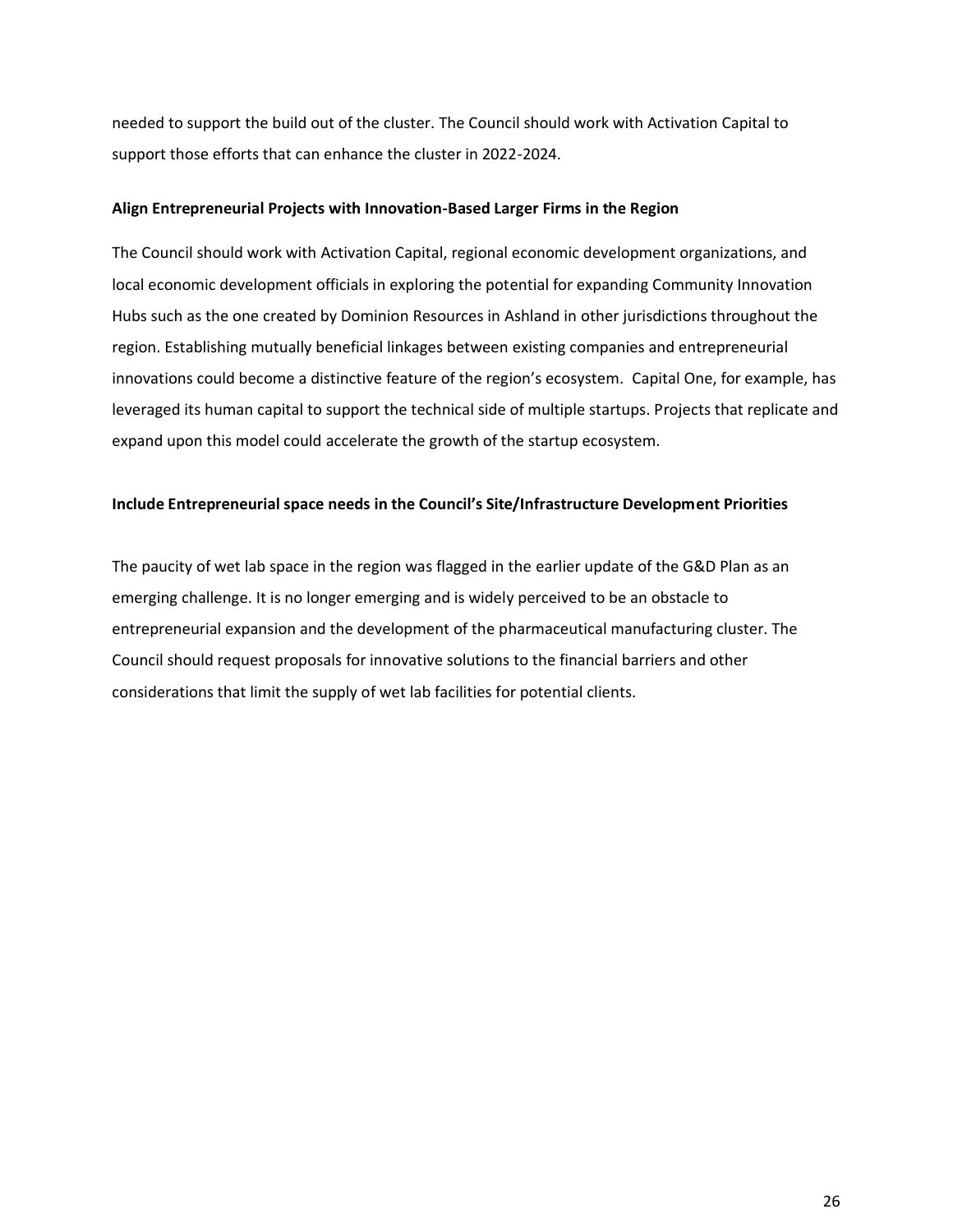needed to support the build out of the cluster. The Council should work with Activation Capital to support those efforts that can enhance the cluster in 2022-2024.

#### **Align Entrepreneurial Projects with Innovation-Based Larger Firms in the Region**

The Council should work with Activation Capital, regional economic development organizations, and local economic development officials in exploring the potential for expanding Community Innovation Hubs such as the one created by Dominion Resources in Ashland in other jurisdictions throughout the region. Establishing mutually beneficial linkages between existing companies and entrepreneurial innovations could become a distinctive feature of the region's ecosystem. Capital One, for example, has leveraged its human capital to support the technical side of multiple startups. Projects that replicate and expand upon this model could accelerate the growth of the startup ecosystem.

#### **Include Entrepreneurial space needs in the Council's Site/Infrastructure Development Priorities**

The paucity of wet lab space in the region was flagged in the earlier update of the G&D Plan as an emerging challenge. It is no longer emerging and is widely perceived to be an obstacle to entrepreneurial expansion and the development of the pharmaceutical manufacturing cluster. The Council should request proposals for innovative solutions to the financial barriers and other considerations that limit the supply of wet lab facilities for potential clients.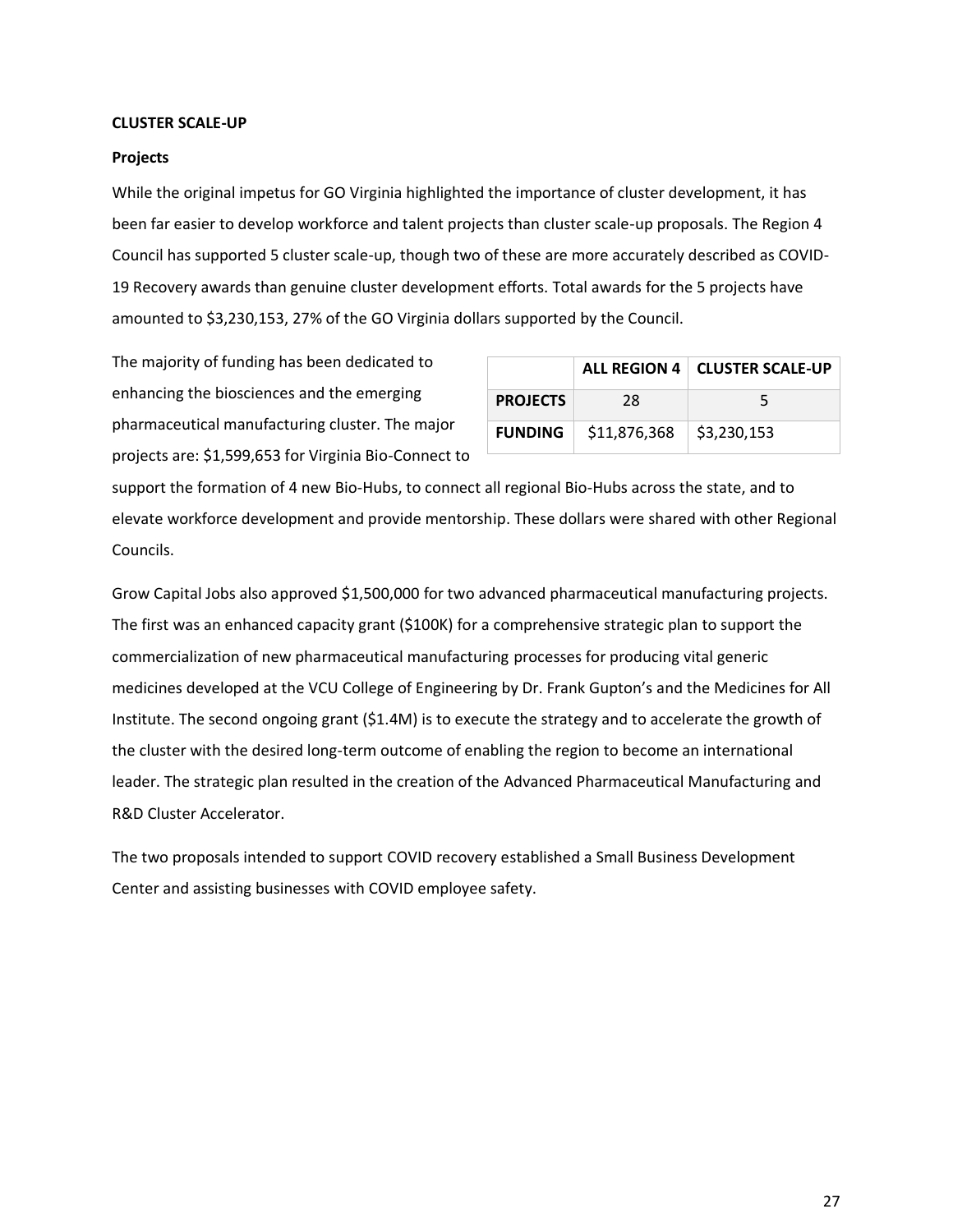#### **CLUSTER SCALE-UP**

#### **Projects**

While the original impetus for GO Virginia highlighted the importance of cluster development, it has been far easier to develop workforce and talent projects than cluster scale-up proposals. The Region 4 Council has supported 5 cluster scale-up, though two of these are more accurately described as COVID-19 Recovery awards than genuine cluster development efforts. Total awards for the 5 projects have amounted to \$3,230,153, 27% of the GO Virginia dollars supported by the Council.

The majority of funding has been dedicated to enhancing the biosciences and the emerging pharmaceutical manufacturing cluster. The major projects are: \$1,599,653 for Virginia Bio-Connect to

|                 |              | ALL REGION 4   CLUSTER SCALE-UP |
|-----------------|--------------|---------------------------------|
| <b>PROJECTS</b> | 28           | $\mathbf{A}$                    |
| <b>FUNDING</b>  | \$11,876,368 | \$3,230,153                     |

support the formation of 4 new Bio-Hubs, to connect all regional Bio-Hubs across the state, and to elevate workforce development and provide mentorship. These dollars were shared with other Regional Councils.

Grow Capital Jobs also approved \$1,500,000 for two advanced pharmaceutical manufacturing projects. The first was an enhanced capacity grant (\$100K) for a comprehensive strategic plan to support the commercialization of new pharmaceutical manufacturing processes for producing vital generic medicines developed at the VCU College of Engineering by Dr. Frank Gupton's and the Medicines for All Institute. The second ongoing grant (\$1.4M) is to execute the strategy and to accelerate the growth of the cluster with the desired long-term outcome of enabling the region to become an international leader. The strategic plan resulted in the creation of the Advanced Pharmaceutical Manufacturing and R&D Cluster Accelerator.

The two proposals intended to support COVID recovery established a Small Business Development Center and assisting businesses with COVID employee safety.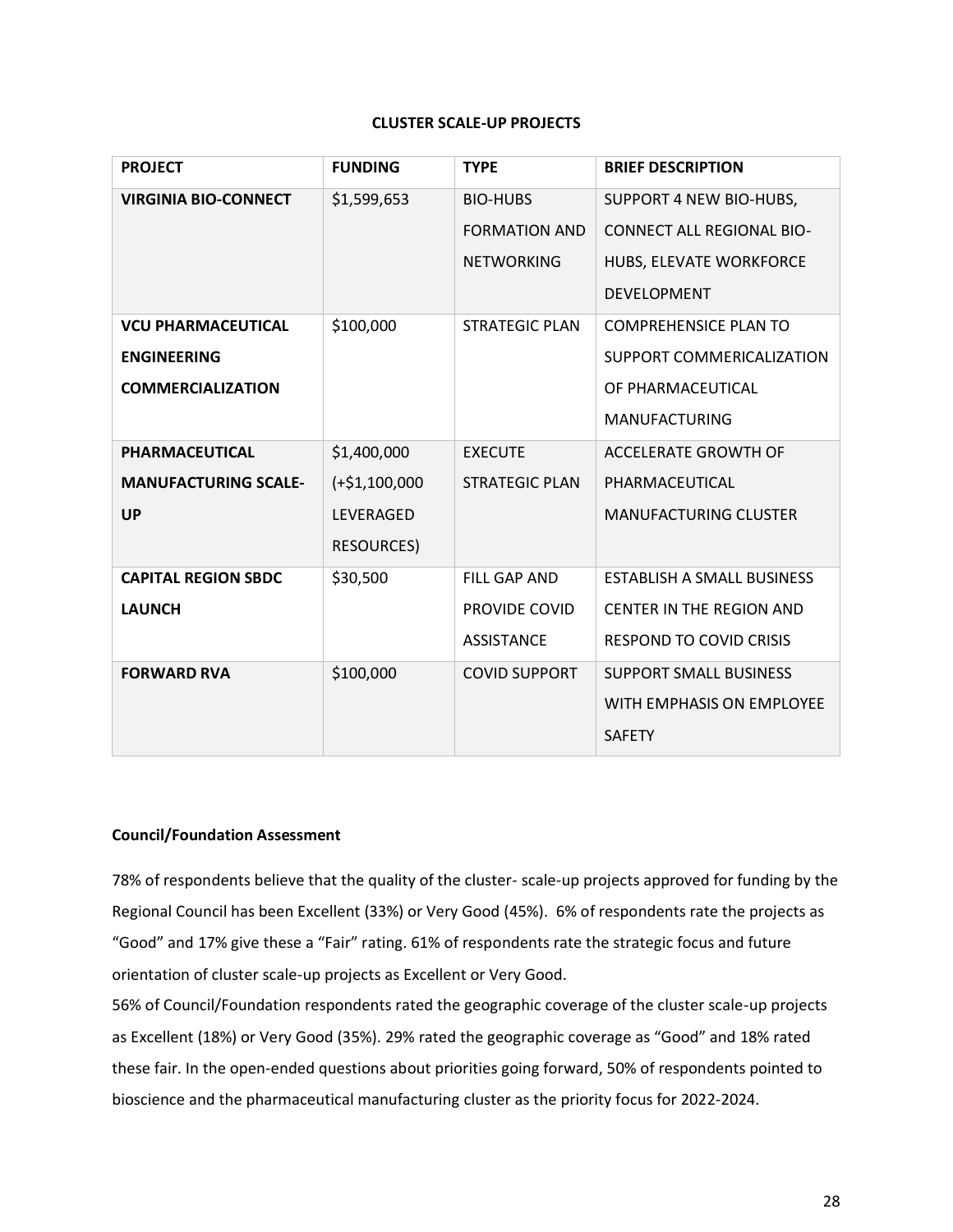#### **CLUSTER SCALE-UP PROJECTS**

| <b>PROJECT</b>              | <b>FUNDING</b>    | <b>TYPE</b>           | <b>BRIEF DESCRIPTION</b>          |
|-----------------------------|-------------------|-----------------------|-----------------------------------|
| <b>VIRGINIA BIO-CONNECT</b> | \$1,599,653       | <b>BIO-HUBS</b>       | SUPPORT 4 NEW BIO-HUBS,           |
|                             |                   | <b>FORMATION AND</b>  | <b>CONNECT ALL REGIONAL BIO-</b>  |
|                             |                   | <b>NETWORKING</b>     | HUBS, ELEVATE WORKFORCE           |
|                             |                   |                       | <b>DEVELOPMENT</b>                |
| <b>VCU PHARMACEUTICAL</b>   | \$100,000         | <b>STRATEGIC PLAN</b> | <b>COMPREHENSICE PLAN TO</b>      |
| <b>ENGINEERING</b>          |                   |                       | SUPPORT COMMERICALIZATION         |
| <b>COMMERCIALIZATION</b>    |                   |                       | OF PHARMACEUTICAL                 |
|                             |                   |                       | <b>MANUFACTURING</b>              |
| PHARMACEUTICAL              | \$1,400,000       | <b>EXECUTE</b>        | <b>ACCELERATE GROWTH OF</b>       |
| <b>MANUFACTURING SCALE-</b> | $(+$1,100,000$    | <b>STRATEGIC PLAN</b> | PHARMACEUTICAL                    |
| UP                          | LEVERAGED         |                       | <b>MANUFACTURING CLUSTER</b>      |
|                             | <b>RESOURCES)</b> |                       |                                   |
| <b>CAPITAL REGION SBDC</b>  | \$30,500          | <b>FILL GAP AND</b>   | <b>ESTABLISH A SMALL BUSINESS</b> |
| <b>LAUNCH</b>               |                   | PROVIDE COVID         | <b>CENTER IN THE REGION AND</b>   |
|                             |                   | <b>ASSISTANCE</b>     | <b>RESPOND TO COVID CRISIS</b>    |
| <b>FORWARD RVA</b>          | \$100,000         | <b>COVID SUPPORT</b>  | <b>SUPPORT SMALL BUSINESS</b>     |
|                             |                   |                       | WITH EMPHASIS ON EMPLOYEE         |
|                             |                   |                       | <b>SAFETY</b>                     |

#### **Council/Foundation Assessment**

78% of respondents believe that the quality of the cluster- scale-up projects approved for funding by the Regional Council has been Excellent (33%) or Very Good (45%). 6% of respondents rate the projects as "Good" and 17% give these a "Fair" rating. 61% of respondents rate the strategic focus and future orientation of cluster scale-up projects as Excellent or Very Good.

56% of Council/Foundation respondents rated the geographic coverage of the cluster scale-up projects as Excellent (18%) or Very Good (35%). 29% rated the geographic coverage as "Good" and 18% rated these fair. In the open-ended questions about priorities going forward, 50% of respondents pointed to bioscience and the pharmaceutical manufacturing cluster as the priority focus for 2022-2024.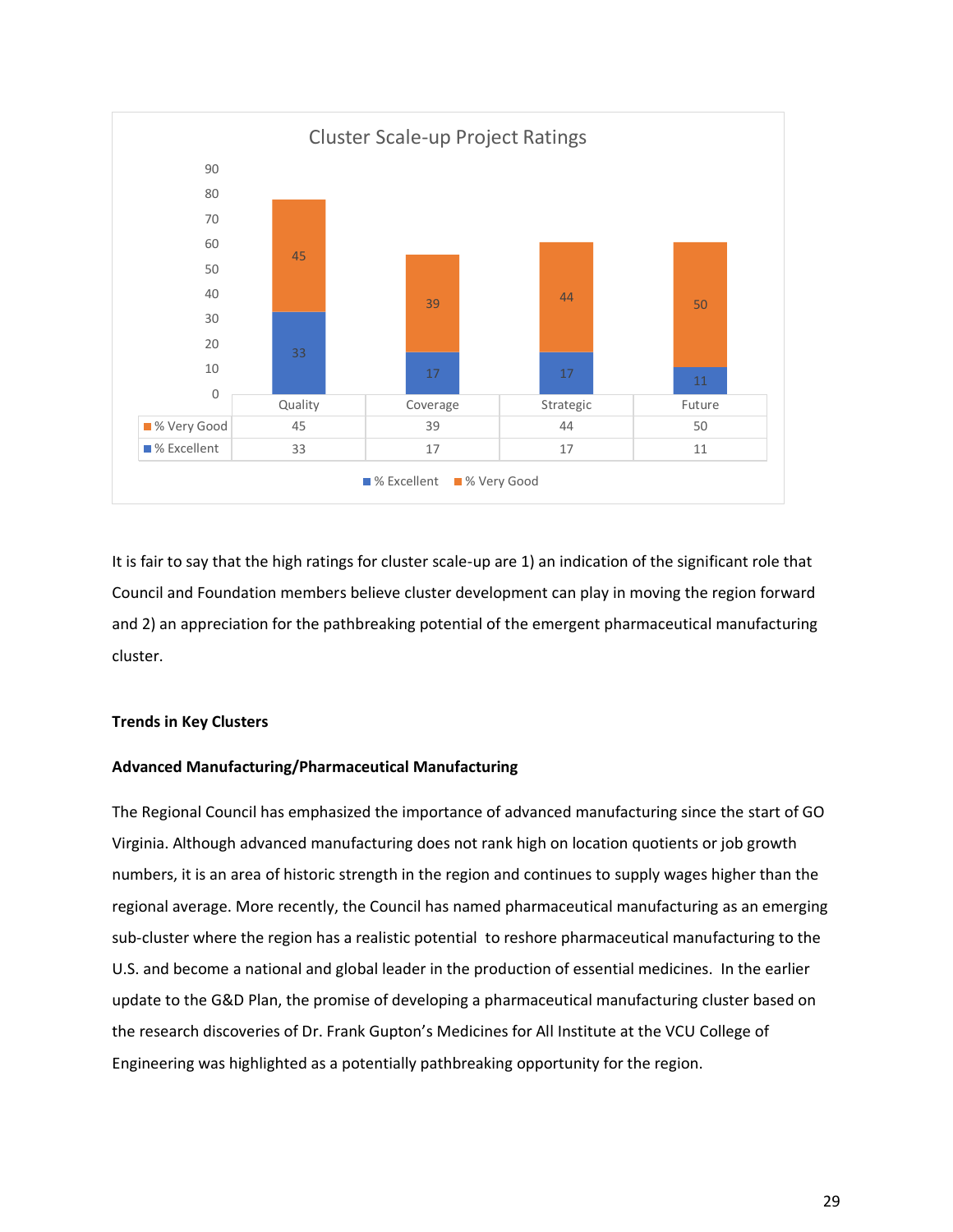

It is fair to say that the high ratings for cluster scale-up are 1) an indication of the significant role that Council and Foundation members believe cluster development can play in moving the region forward and 2) an appreciation for the pathbreaking potential of the emergent pharmaceutical manufacturing cluster.

#### **Trends in Key Clusters**

#### **Advanced Manufacturing/Pharmaceutical Manufacturing**

The Regional Council has emphasized the importance of advanced manufacturing since the start of GO Virginia. Although advanced manufacturing does not rank high on location quotients or job growth numbers, it is an area of historic strength in the region and continues to supply wages higher than the regional average. More recently, the Council has named pharmaceutical manufacturing as an emerging sub-cluster where the region has a realistic potential to reshore pharmaceutical manufacturing to the U.S. and become a national and global leader in the production of essential medicines. In the earlier update to the G&D Plan, the promise of developing a pharmaceutical manufacturing cluster based on the research discoveries of Dr. Frank Gupton's Medicines for All Institute at the VCU College of Engineering was highlighted as a potentially pathbreaking opportunity for the region.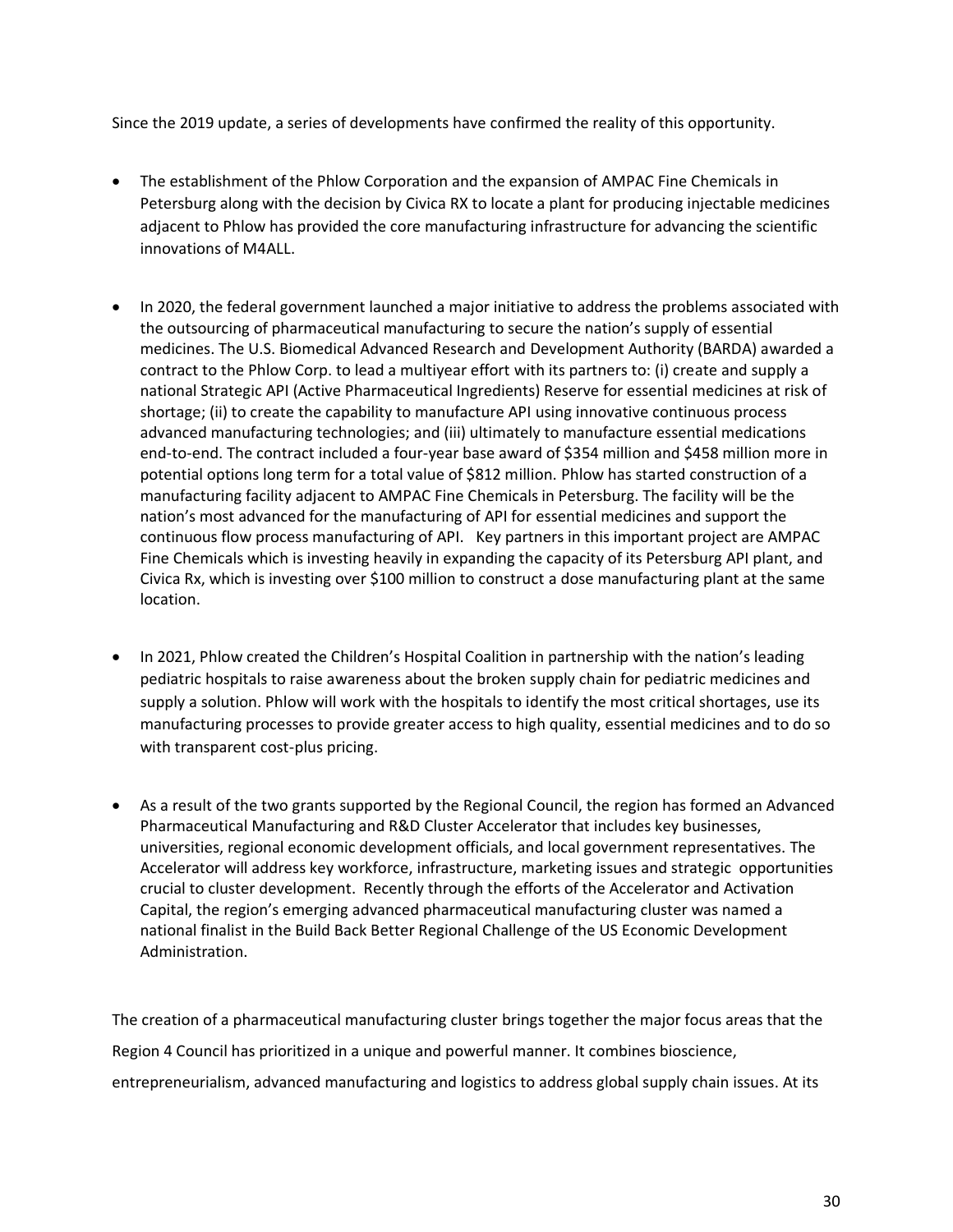Since the 2019 update, a series of developments have confirmed the reality of this opportunity.

- The establishment of the Phlow Corporation and the expansion of AMPAC Fine Chemicals in Petersburg along with the decision by Civica RX to locate a plant for producing injectable medicines adjacent to Phlow has provided the core manufacturing infrastructure for advancing the scientific innovations of M4ALL.
- In 2020, the federal government launched a major initiative to address the problems associated with the outsourcing of pharmaceutical manufacturing to secure the nation's supply of essential medicines. The U.S. Biomedical Advanced Research and Development Authority (BARDA) awarded a contract to the Phlow Corp. to lead a multiyear effort with its partners to: (i) create and supply a national Strategic API (Active Pharmaceutical Ingredients) Reserve for essential medicines at risk of shortage; (ii) to create the capability to manufacture API using innovative continuous process advanced manufacturing technologies; and (iii) ultimately to manufacture essential medications end-to-end. The contract included a four-year base award of \$354 million and \$458 million more in potential options long term for a total value of \$812 million. Phlow has started construction of a manufacturing facility adjacent to AMPAC Fine Chemicals in Petersburg. The facility will be the nation's most advanced for the manufacturing of API for essential medicines and support the continuous flow process manufacturing of API. Key partners in this important project are AMPAC Fine Chemicals which is investing heavily in expanding the capacity of its Petersburg API plant, and Civica Rx, which is investing over \$100 million to construct a dose manufacturing plant at the same location.
- In 2021, Phlow created the Children's Hospital Coalition in partnership with the nation's leading pediatric hospitals to raise awareness about the broken supply chain for pediatric medicines and supply a solution. Phlow will work with the hospitals to identify the most critical shortages, use its manufacturing processes to provide greater access to high quality, essential medicines and to do so with transparent cost-plus pricing.
- As a result of the two grants supported by the Regional Council, the region has formed an Advanced Pharmaceutical Manufacturing and R&D Cluster Accelerator that includes key businesses, universities, regional economic development officials, and local government representatives. The Accelerator will address key workforce, infrastructure, marketing issues and strategic opportunities crucial to cluster development. Recently through the efforts of the Accelerator and Activation Capital, the region's emerging advanced pharmaceutical manufacturing cluster was named a national finalist in the Build Back Better Regional Challenge of the US Economic Development Administration.

The creation of a pharmaceutical manufacturing cluster brings together the major focus areas that the Region 4 Council has prioritized in a unique and powerful manner. It combines bioscience, entrepreneurialism, advanced manufacturing and logistics to address global supply chain issues. At its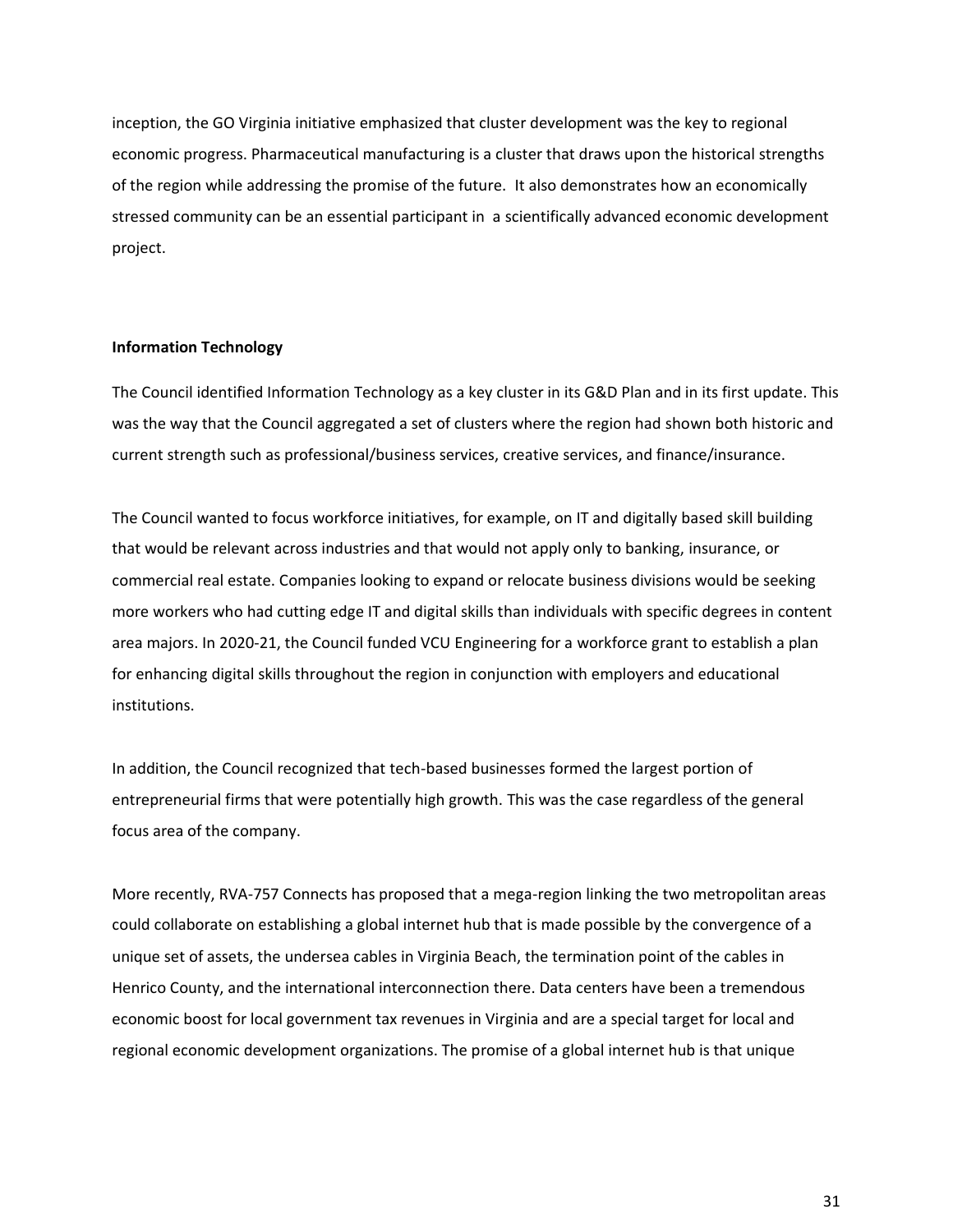inception, the GO Virginia initiative emphasized that cluster development was the key to regional economic progress. Pharmaceutical manufacturing is a cluster that draws upon the historical strengths of the region while addressing the promise of the future. It also demonstrates how an economically stressed community can be an essential participant in a scientifically advanced economic development project.

#### **Information Technology**

The Council identified Information Technology as a key cluster in its G&D Plan and in its first update. This was the way that the Council aggregated a set of clusters where the region had shown both historic and current strength such as professional/business services, creative services, and finance/insurance.

The Council wanted to focus workforce initiatives, for example, on IT and digitally based skill building that would be relevant across industries and that would not apply only to banking, insurance, or commercial real estate. Companies looking to expand or relocate business divisions would be seeking more workers who had cutting edge IT and digital skills than individuals with specific degrees in content area majors. In 2020-21, the Council funded VCU Engineering for a workforce grant to establish a plan for enhancing digital skills throughout the region in conjunction with employers and educational institutions.

In addition, the Council recognized that tech-based businesses formed the largest portion of entrepreneurial firms that were potentially high growth. This was the case regardless of the general focus area of the company.

More recently, RVA-757 Connects has proposed that a mega-region linking the two metropolitan areas could collaborate on establishing a global internet hub that is made possible by the convergence of a unique set of assets, the undersea cables in Virginia Beach, the termination point of the cables in Henrico County, and the international interconnection there. Data centers have been a tremendous economic boost for local government tax revenues in Virginia and are a special target for local and regional economic development organizations. The promise of a global internet hub is that unique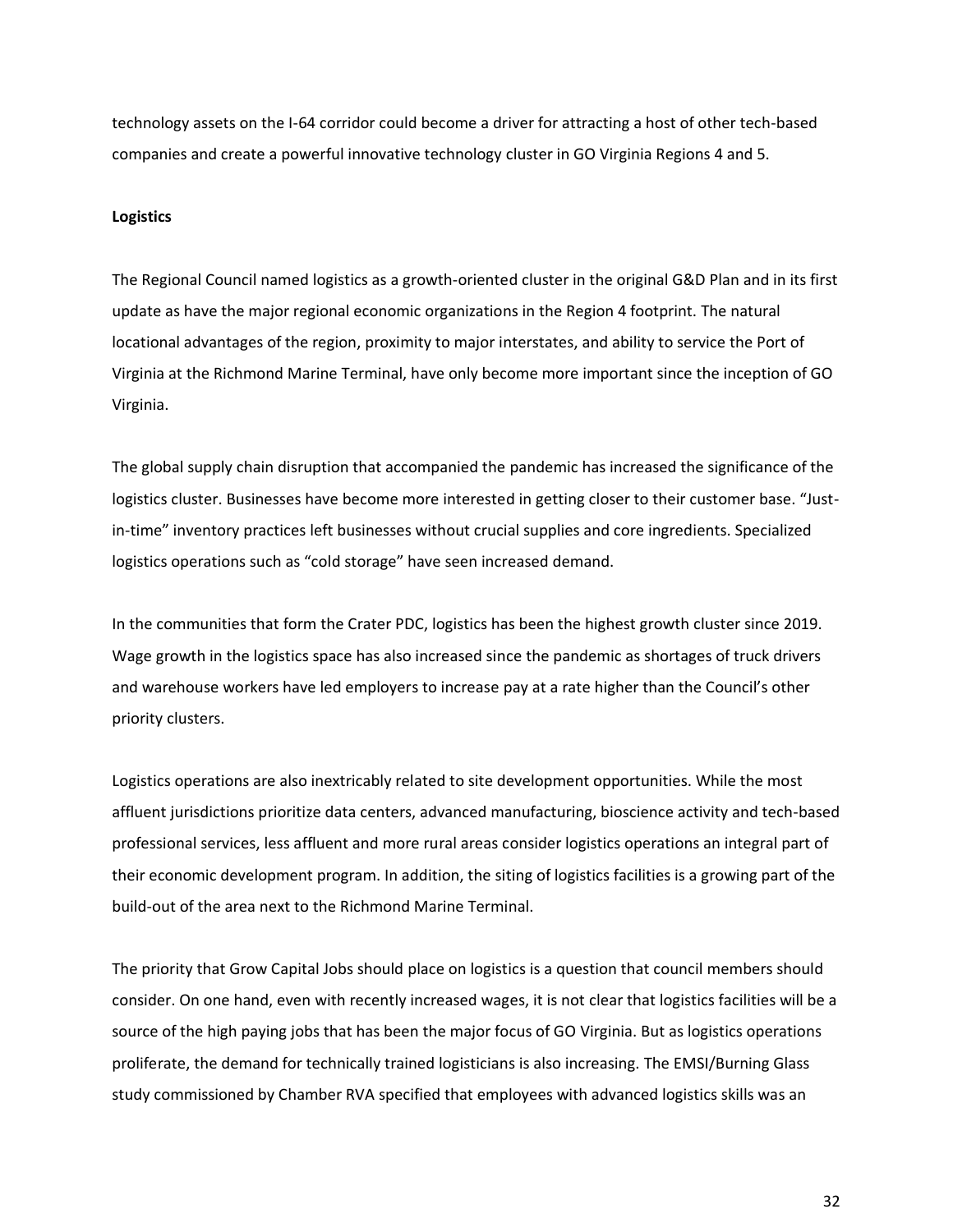technology assets on the I-64 corridor could become a driver for attracting a host of other tech-based companies and create a powerful innovative technology cluster in GO Virginia Regions 4 and 5.

#### **Logistics**

The Regional Council named logistics as a growth-oriented cluster in the original G&D Plan and in its first update as have the major regional economic organizations in the Region 4 footprint. The natural locational advantages of the region, proximity to major interstates, and ability to service the Port of Virginia at the Richmond Marine Terminal, have only become more important since the inception of GO Virginia.

The global supply chain disruption that accompanied the pandemic has increased the significance of the logistics cluster. Businesses have become more interested in getting closer to their customer base. "Justin-time" inventory practices left businesses without crucial supplies and core ingredients. Specialized logistics operations such as "cold storage" have seen increased demand.

In the communities that form the Crater PDC, logistics has been the highest growth cluster since 2019. Wage growth in the logistics space has also increased since the pandemic as shortages of truck drivers and warehouse workers have led employers to increase pay at a rate higher than the Council's other priority clusters.

Logistics operations are also inextricably related to site development opportunities. While the most affluent jurisdictions prioritize data centers, advanced manufacturing, bioscience activity and tech-based professional services, less affluent and more rural areas consider logistics operations an integral part of their economic development program. In addition, the siting of logistics facilities is a growing part of the build-out of the area next to the Richmond Marine Terminal.

The priority that Grow Capital Jobs should place on logistics is a question that council members should consider. On one hand, even with recently increased wages, it is not clear that logistics facilities will be a source of the high paying jobs that has been the major focus of GO Virginia. But as logistics operations proliferate, the demand for technically trained logisticians is also increasing. The EMSI/Burning Glass study commissioned by Chamber RVA specified that employees with advanced logistics skills was an

32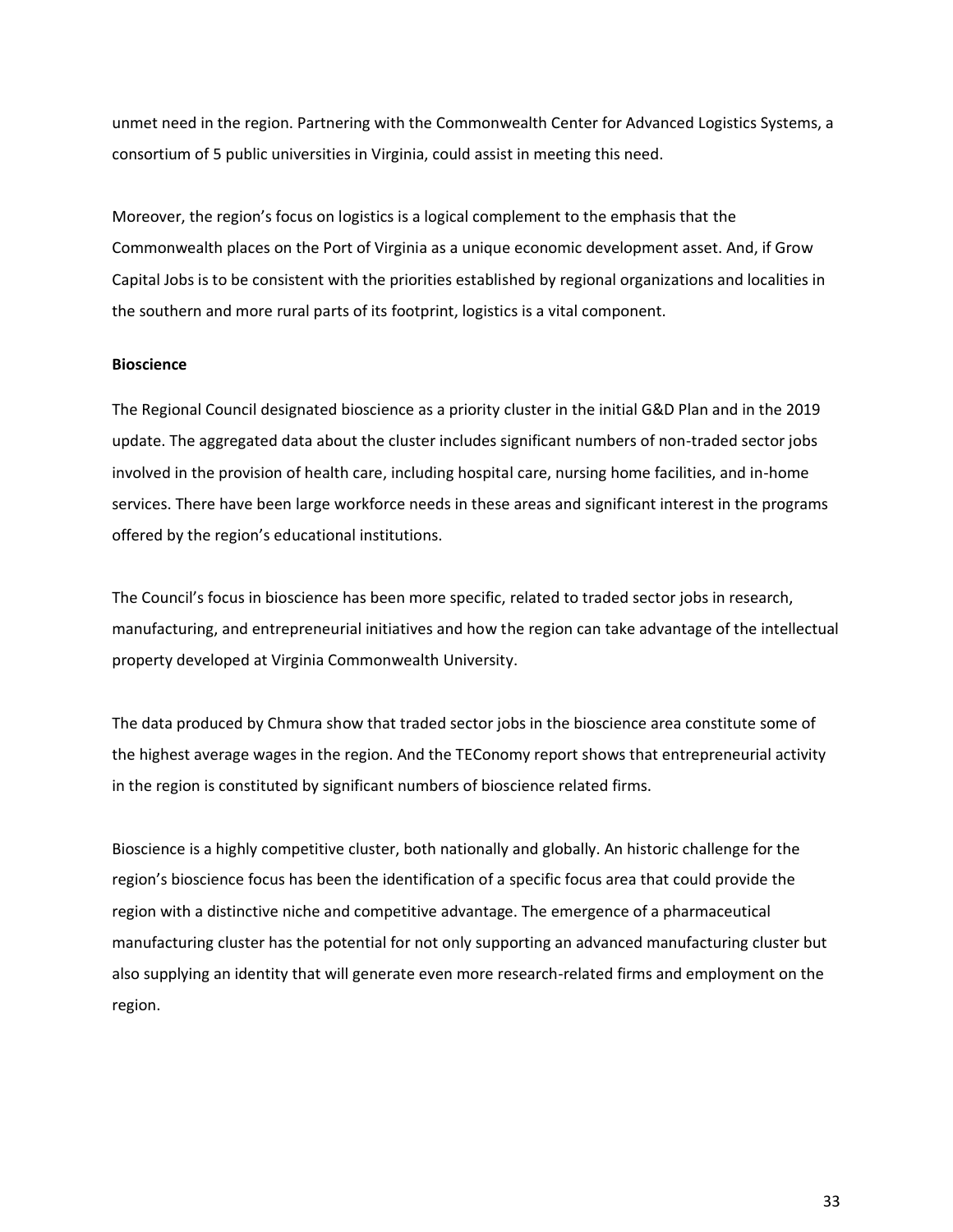unmet need in the region. Partnering with the Commonwealth Center for Advanced Logistics Systems, a consortium of 5 public universities in Virginia, could assist in meeting this need.

Moreover, the region's focus on logistics is a logical complement to the emphasis that the Commonwealth places on the Port of Virginia as a unique economic development asset. And, if Grow Capital Jobs is to be consistent with the priorities established by regional organizations and localities in the southern and more rural parts of its footprint, logistics is a vital component.

#### **Bioscience**

The Regional Council designated bioscience as a priority cluster in the initial G&D Plan and in the 2019 update. The aggregated data about the cluster includes significant numbers of non-traded sector jobs involved in the provision of health care, including hospital care, nursing home facilities, and in-home services. There have been large workforce needs in these areas and significant interest in the programs offered by the region's educational institutions.

The Council's focus in bioscience has been more specific, related to traded sector jobs in research, manufacturing, and entrepreneurial initiatives and how the region can take advantage of the intellectual property developed at Virginia Commonwealth University.

The data produced by Chmura show that traded sector jobs in the bioscience area constitute some of the highest average wages in the region. And the TEConomy report shows that entrepreneurial activity in the region is constituted by significant numbers of bioscience related firms.

Bioscience is a highly competitive cluster, both nationally and globally. An historic challenge for the region's bioscience focus has been the identification of a specific focus area that could provide the region with a distinctive niche and competitive advantage. The emergence of a pharmaceutical manufacturing cluster has the potential for not only supporting an advanced manufacturing cluster but also supplying an identity that will generate even more research-related firms and employment on the region.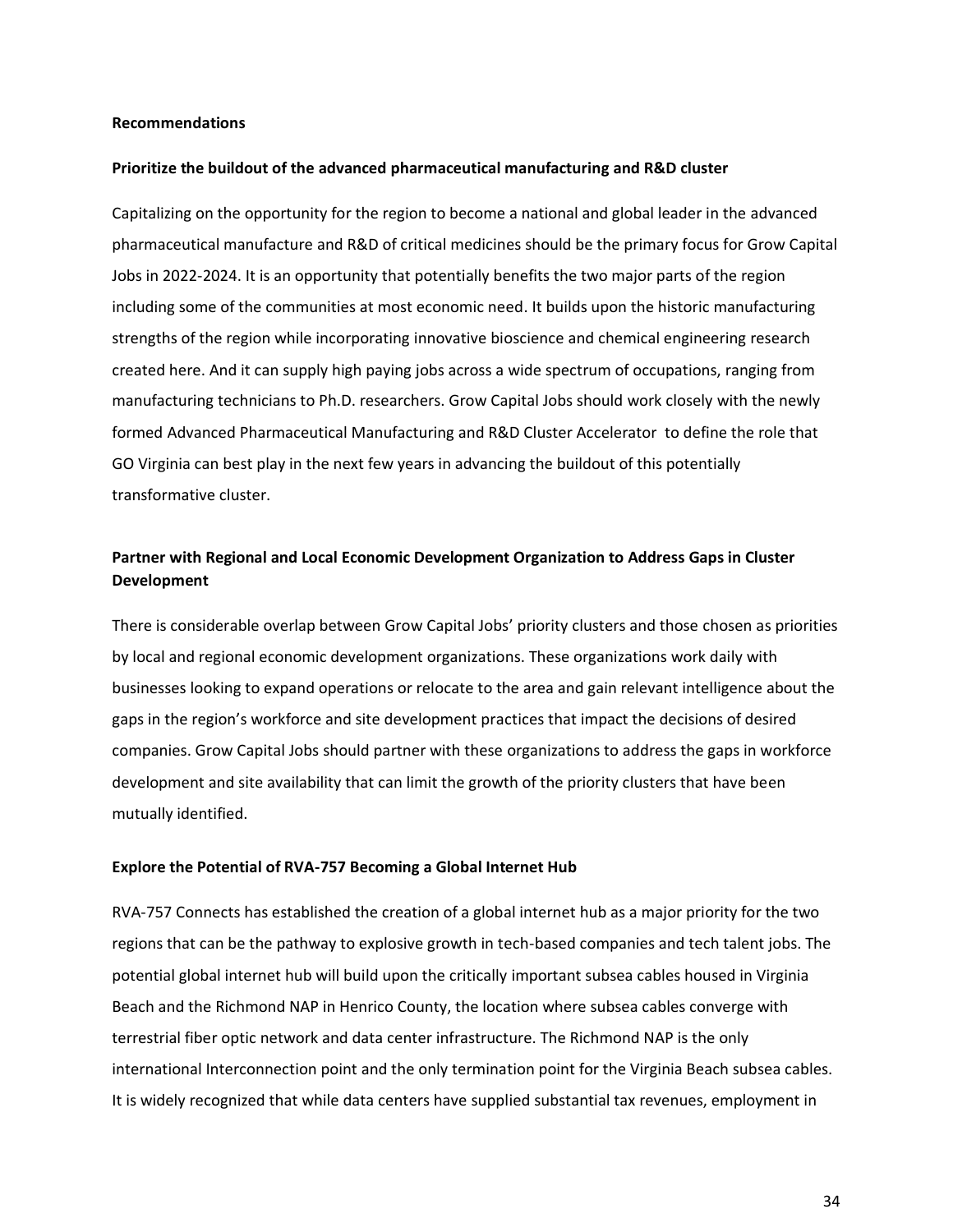#### **Recommendations**

#### **Prioritize the buildout of the advanced pharmaceutical manufacturing and R&D cluster**

Capitalizing on the opportunity for the region to become a national and global leader in the advanced pharmaceutical manufacture and R&D of critical medicines should be the primary focus for Grow Capital Jobs in 2022-2024. It is an opportunity that potentially benefits the two major parts of the region including some of the communities at most economic need. It builds upon the historic manufacturing strengths of the region while incorporating innovative bioscience and chemical engineering research created here. And it can supply high paying jobs across a wide spectrum of occupations, ranging from manufacturing technicians to Ph.D. researchers. Grow Capital Jobs should work closely with the newly formed Advanced Pharmaceutical Manufacturing and R&D Cluster Accelerator to define the role that GO Virginia can best play in the next few years in advancing the buildout of this potentially transformative cluster.

## **Partner with Regional and Local Economic Development Organization to Address Gaps in Cluster Development**

There is considerable overlap between Grow Capital Jobs' priority clusters and those chosen as priorities by local and regional economic development organizations. These organizations work daily with businesses looking to expand operations or relocate to the area and gain relevant intelligence about the gaps in the region's workforce and site development practices that impact the decisions of desired companies. Grow Capital Jobs should partner with these organizations to address the gaps in workforce development and site availability that can limit the growth of the priority clusters that have been mutually identified.

#### **Explore the Potential of RVA-757 Becoming a Global Internet Hub**

RVA-757 Connects has established the creation of a global internet hub as a major priority for the two regions that can be the pathway to explosive growth in tech-based companies and tech talent jobs. The potential global internet hub will build upon the critically important subsea cables housed in Virginia Beach and the Richmond NAP in Henrico County, the location where subsea cables converge with terrestrial fiber optic network and data center infrastructure. The Richmond NAP is the only international Interconnection point and the only termination point for the Virginia Beach subsea cables. It is widely recognized that while data centers have supplied substantial tax revenues, employment in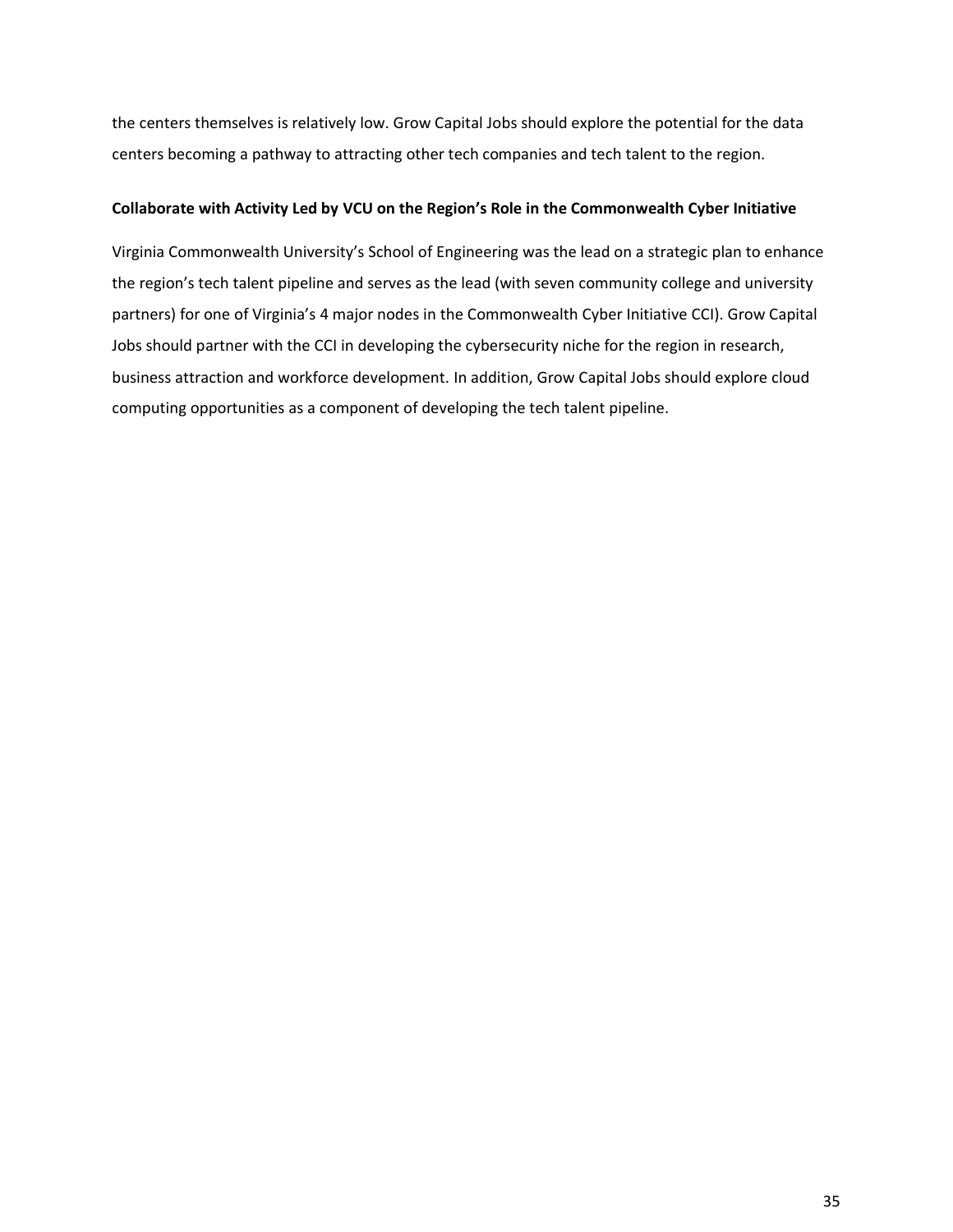the centers themselves is relatively low. Grow Capital Jobs should explore the potential for the data centers becoming a pathway to attracting other tech companies and tech talent to the region.

#### **Collaborate with Activity Led by VCU on the Region's Role in the Commonwealth Cyber Initiative**

Virginia Commonwealth University's School of Engineering was the lead on a strategic plan to enhance the region's tech talent pipeline and serves as the lead (with seven community college and university partners) for one of Virginia's 4 major nodes in the Commonwealth Cyber Initiative CCI). Grow Capital Jobs should partner with the CCI in developing the cybersecurity niche for the region in research, business attraction and workforce development. In addition, Grow Capital Jobs should explore cloud computing opportunities as a component of developing the tech talent pipeline.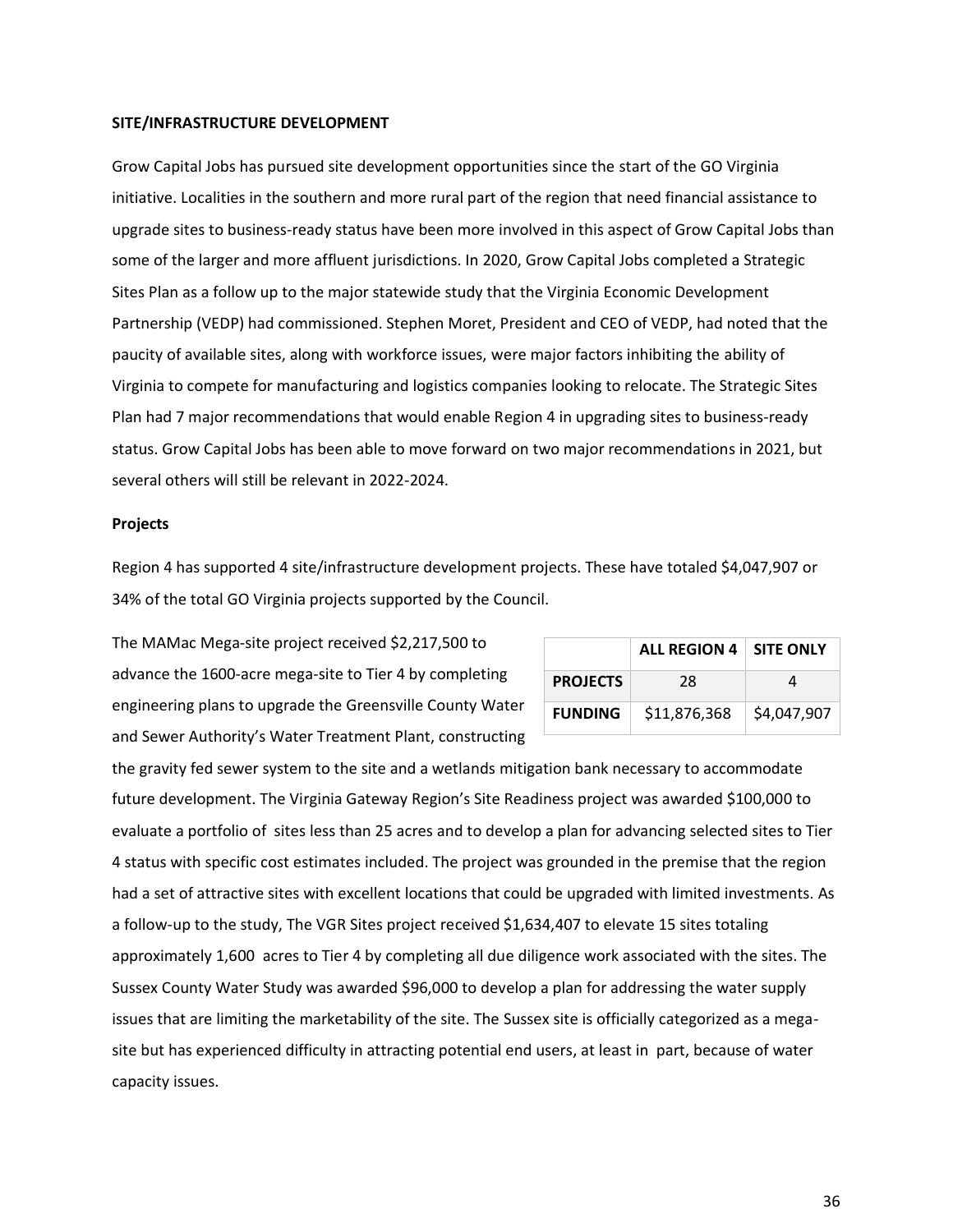#### **SITE/INFRASTRUCTURE DEVELOPMENT**

Grow Capital Jobs has pursued site development opportunities since the start of the GO Virginia initiative. Localities in the southern and more rural part of the region that need financial assistance to upgrade sites to business-ready status have been more involved in this aspect of Grow Capital Jobs than some of the larger and more affluent jurisdictions. In 2020, Grow Capital Jobs completed a Strategic Sites Plan as a follow up to the major statewide study that the Virginia Economic Development Partnership (VEDP) had commissioned. Stephen Moret, President and CEO of VEDP, had noted that the paucity of available sites, along with workforce issues, were major factors inhibiting the ability of Virginia to compete for manufacturing and logistics companies looking to relocate. The Strategic Sites Plan had 7 major recommendations that would enable Region 4 in upgrading sites to business-ready status. Grow Capital Jobs has been able to move forward on two major recommendations in 2021, but several others will still be relevant in 2022-2024.

#### **Projects**

Region 4 has supported 4 site/infrastructure development projects. These have totaled \$4,047,907 or 34% of the total GO Virginia projects supported by the Council.

The MAMac Mega-site project received \$2,217,500 to advance the 1600-acre mega-site to Tier 4 by completing engineering plans to upgrade the Greensville County Water and Sewer Authority's Water Treatment Plant, constructing

|                 | ALL REGION 4   SITE ONLY |             |
|-----------------|--------------------------|-------------|
| <b>PROJECTS</b> | 28                       |             |
| <b>FUNDING</b>  | \$11,876,368             | \$4,047,907 |

the gravity fed sewer system to the site and a wetlands mitigation bank necessary to accommodate future development. The Virginia Gateway Region's Site Readiness project was awarded \$100,000 to evaluate a portfolio of sites less than 25 acres and to develop a plan for advancing selected sites to Tier 4 status with specific cost estimates included. The project was grounded in the premise that the region had a set of attractive sites with excellent locations that could be upgraded with limited investments. As a follow-up to the study, The VGR Sites project received \$1,634,407 to elevate 15 sites totaling approximately 1,600 acres to Tier 4 by completing all due diligence work associated with the sites. The Sussex County Water Study was awarded \$96,000 to develop a plan for addressing the water supply issues that are limiting the marketability of the site. The Sussex site is officially categorized as a megasite but has experienced difficulty in attracting potential end users, at least in part, because of water capacity issues.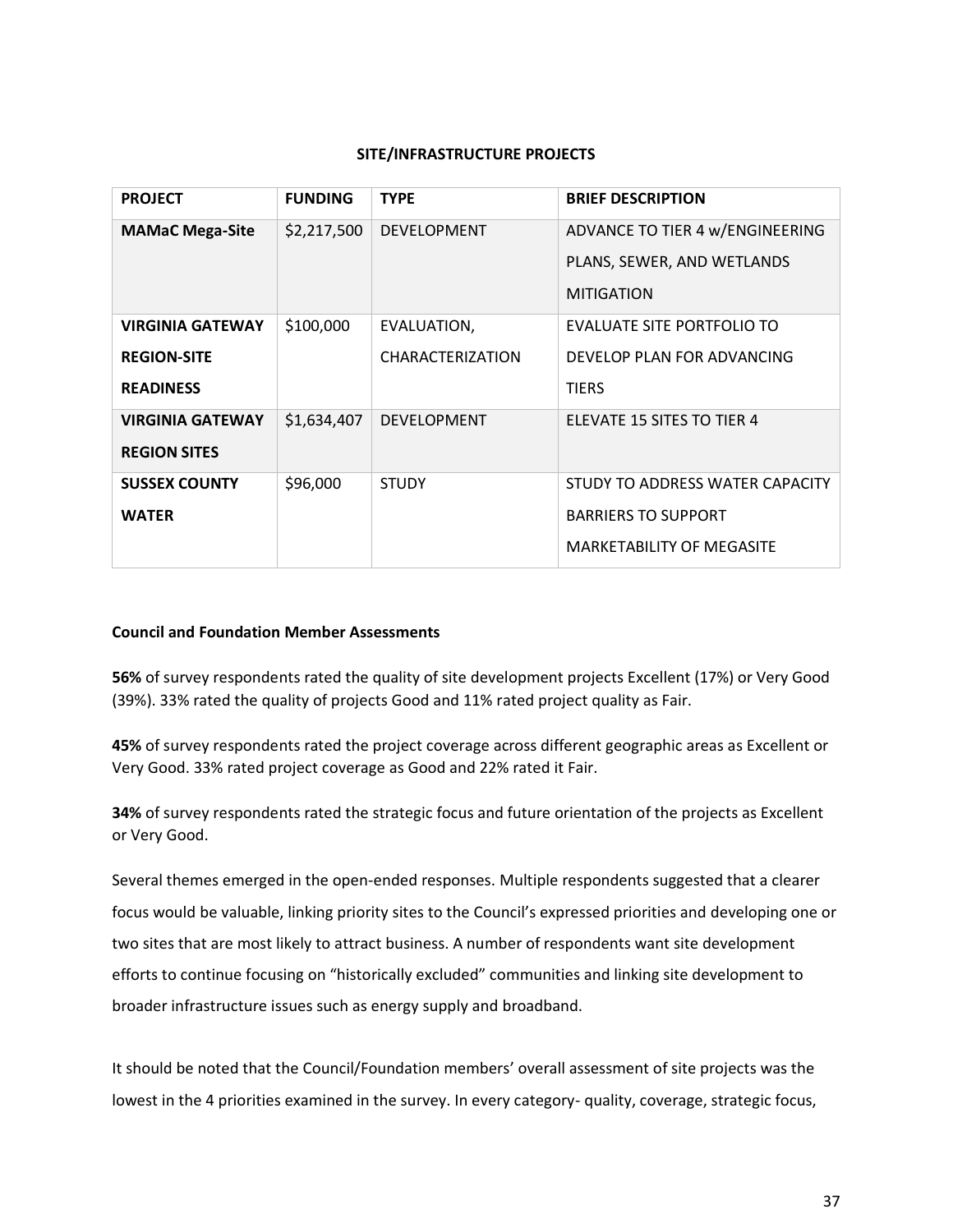#### **SITE/INFRASTRUCTURE PROJECTS**

| <b>PROJECT</b>                                                    | <b>FUNDING</b> | <b>TYPE</b>                            | <b>BRIEF DESCRIPTION</b>                                                                          |
|-------------------------------------------------------------------|----------------|----------------------------------------|---------------------------------------------------------------------------------------------------|
| <b>MAMaC Mega-Site</b>                                            | \$2,217,500    | <b>DEVELOPMENT</b>                     | ADVANCE TO TIER 4 w/ENGINEERING<br>PLANS, SEWER, AND WETLANDS<br><b>MITIGATION</b>                |
| <b>VIRGINIA GATEWAY</b><br><b>REGION-SITE</b><br><b>READINESS</b> | \$100,000      | EVALUATION,<br><b>CHARACTERIZATION</b> | EVALUATE SITE PORTFOLIO TO<br>DEVELOP PLAN FOR ADVANCING<br><b>TIERS</b>                          |
| <b>VIRGINIA GATEWAY</b><br><b>REGION SITES</b>                    | \$1,634,407    | <b>DEVELOPMENT</b>                     | <b>FLEVATE 15 SITES TO TIER 4</b>                                                                 |
| <b>SUSSEX COUNTY</b><br><b>WATER</b>                              | \$96,000       | <b>STUDY</b>                           | STUDY TO ADDRESS WATER CAPACITY<br><b>BARRIERS TO SUPPORT</b><br><b>MARKETABILITY OF MEGASITE</b> |

#### **Council and Foundation Member Assessments**

**56%** of survey respondents rated the quality of site development projects Excellent (17%) or Very Good (39%). 33% rated the quality of projects Good and 11% rated project quality as Fair.

**45%** of survey respondents rated the project coverage across different geographic areas as Excellent or Very Good. 33% rated project coverage as Good and 22% rated it Fair.

**34%** of survey respondents rated the strategic focus and future orientation of the projects as Excellent or Very Good.

Several themes emerged in the open-ended responses. Multiple respondents suggested that a clearer focus would be valuable, linking priority sites to the Council's expressed priorities and developing one or two sites that are most likely to attract business. A number of respondents want site development efforts to continue focusing on "historically excluded" communities and linking site development to broader infrastructure issues such as energy supply and broadband.

It should be noted that the Council/Foundation members' overall assessment of site projects was the lowest in the 4 priorities examined in the survey. In every category- quality, coverage, strategic focus,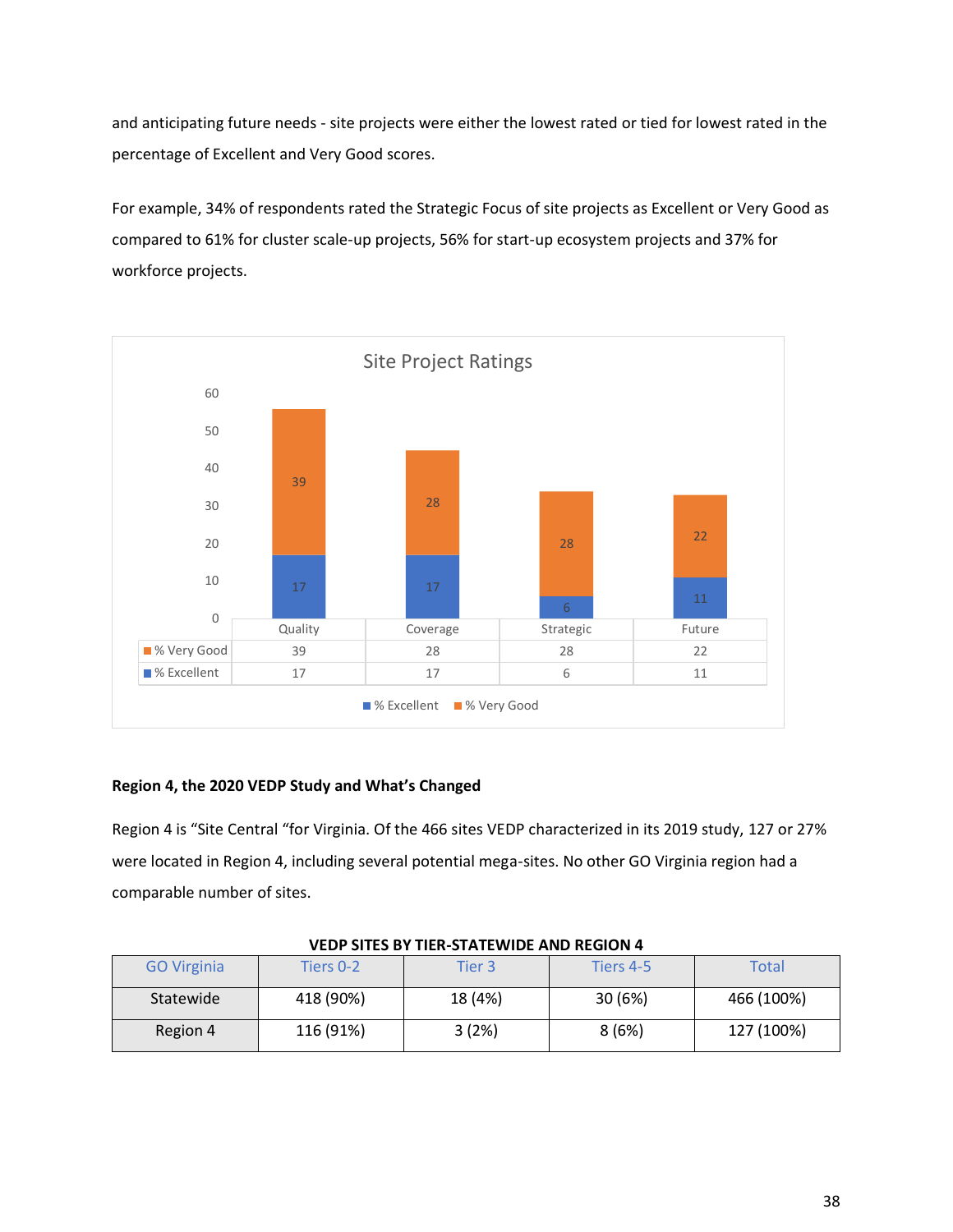and anticipating future needs - site projects were either the lowest rated or tied for lowest rated in the percentage of Excellent and Very Good scores.

For example, 34% of respondents rated the Strategic Focus of site projects as Excellent or Very Good as compared to 61% for cluster scale-up projects, 56% for start-up ecosystem projects and 37% for workforce projects.



## **Region 4, the 2020 VEDP Study and What's Changed**

Region 4 is "Site Central "for Virginia. Of the 466 sites VEDP characterized in its 2019 study, 127 or 27% were located in Region 4, including several potential mega-sites. No other GO Virginia region had a comparable number of sites.

| <b>GO Virginia</b> | Tiers 0-2 | Tier 3  | Tiers 4-5 | Total      |
|--------------------|-----------|---------|-----------|------------|
| Statewide          | 418 (90%) | 18 (4%) | 30 (6%)   | 466 (100%) |
| Region 4           | 116 (91%) | 3(2%)   | 8(6%)     | 127 (100%) |

#### **VEDP SITES BY TIER-STATEWIDE AND REGION 4**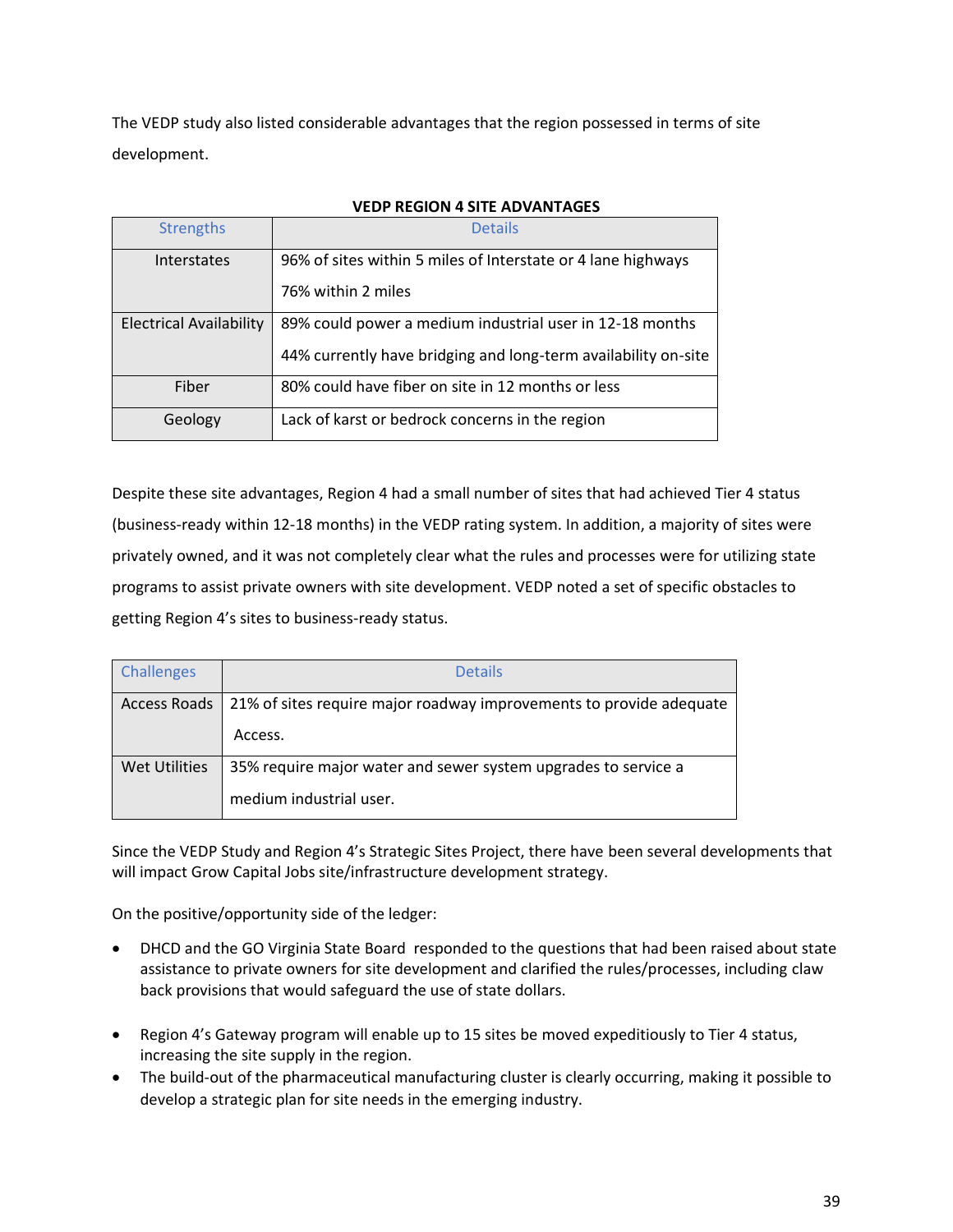The VEDP study also listed considerable advantages that the region possessed in terms of site development.

| <b>Strengths</b>               | <b>Details</b>                                                 |
|--------------------------------|----------------------------------------------------------------|
| <b>Interstates</b>             | 96% of sites within 5 miles of Interstate or 4 lane highways   |
|                                | 76% within 2 miles                                             |
| <b>Electrical Availability</b> | 89% could power a medium industrial user in 12-18 months       |
|                                | 44% currently have bridging and long-term availability on-site |
| Fiber                          | 80% could have fiber on site in 12 months or less              |
| Geology                        | Lack of karst or bedrock concerns in the region                |

## **VEDP REGION 4 SITE ADVANTAGES**

Despite these site advantages, Region 4 had a small number of sites that had achieved Tier 4 status (business-ready within 12-18 months) in the VEDP rating system. In addition, a majority of sites were privately owned, and it was not completely clear what the rules and processes were for utilizing state programs to assist private owners with site development. VEDP noted a set of specific obstacles to getting Region 4's sites to business-ready status.

| Challenges    | <b>Details</b>                                                                                |
|---------------|-----------------------------------------------------------------------------------------------|
|               | Access Roads   21% of sites require major roadway improvements to provide adequate<br>Access. |
| Wet Utilities | 35% require major water and sewer system upgrades to service a<br>medium industrial user.     |

Since the VEDP Study and Region 4's Strategic Sites Project, there have been several developments that will impact Grow Capital Jobs site/infrastructure development strategy.

On the positive/opportunity side of the ledger:

- DHCD and the GO Virginia State Board responded to the questions that had been raised about state assistance to private owners for site development and clarified the rules/processes, including claw back provisions that would safeguard the use of state dollars.
- Region 4's Gateway program will enable up to 15 sites be moved expeditiously to Tier 4 status, increasing the site supply in the region.
- The build-out of the pharmaceutical manufacturing cluster is clearly occurring, making it possible to develop a strategic plan for site needs in the emerging industry.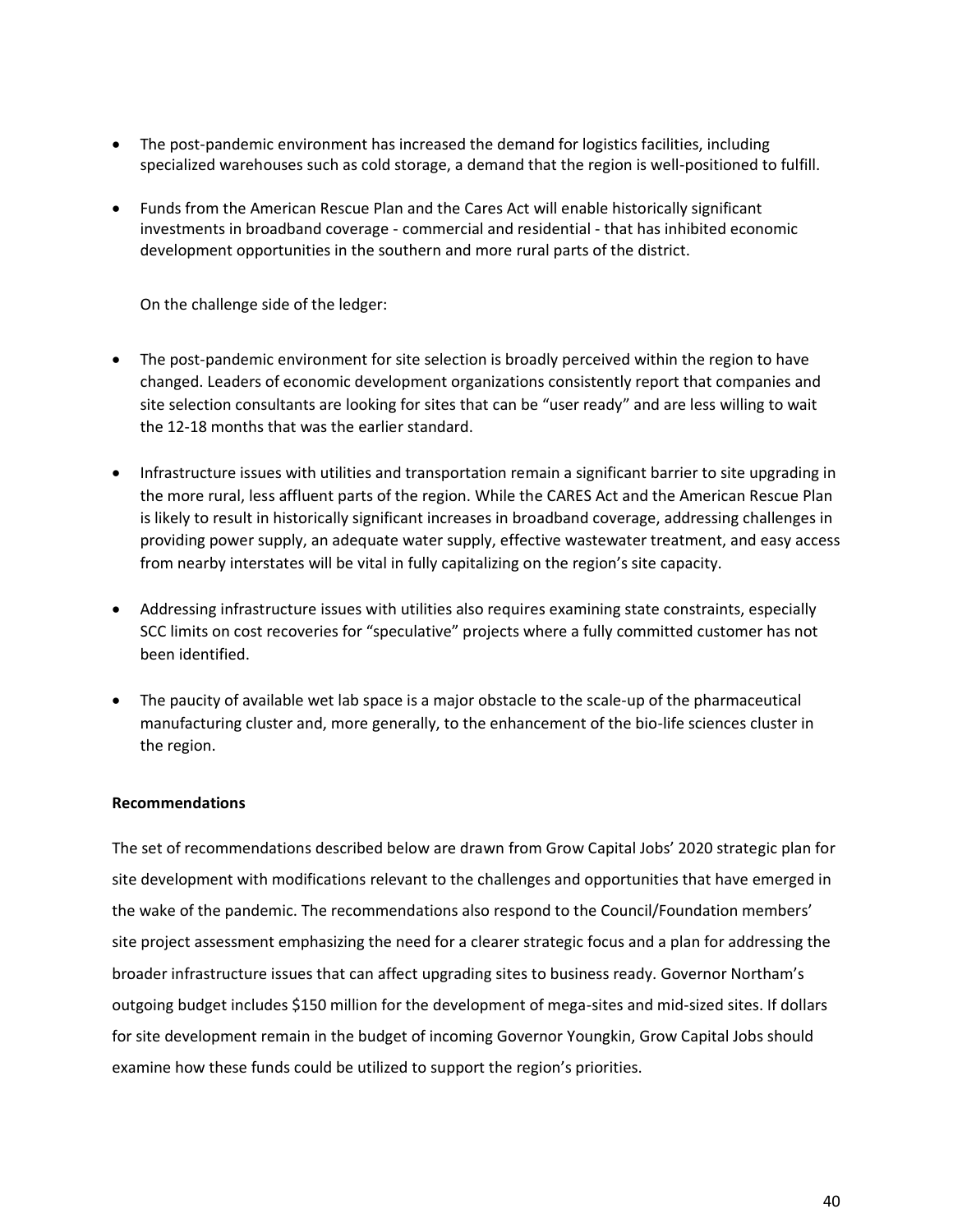- The post-pandemic environment has increased the demand for logistics facilities, including specialized warehouses such as cold storage, a demand that the region is well-positioned to fulfill.
- Funds from the American Rescue Plan and the Cares Act will enable historically significant investments in broadband coverage - commercial and residential - that has inhibited economic development opportunities in the southern and more rural parts of the district.

On the challenge side of the ledger:

- The post-pandemic environment for site selection is broadly perceived within the region to have changed. Leaders of economic development organizations consistently report that companies and site selection consultants are looking for sites that can be "user ready" and are less willing to wait the 12-18 months that was the earlier standard.
- Infrastructure issues with utilities and transportation remain a significant barrier to site upgrading in the more rural, less affluent parts of the region. While the CARES Act and the American Rescue Plan is likely to result in historically significant increases in broadband coverage, addressing challenges in providing power supply, an adequate water supply, effective wastewater treatment, and easy access from nearby interstates will be vital in fully capitalizing on the region's site capacity.
- Addressing infrastructure issues with utilities also requires examining state constraints, especially SCC limits on cost recoveries for "speculative" projects where a fully committed customer has not been identified.
- The paucity of available wet lab space is a major obstacle to the scale-up of the pharmaceutical manufacturing cluster and, more generally, to the enhancement of the bio-life sciences cluster in the region.

#### **Recommendations**

The set of recommendations described below are drawn from Grow Capital Jobs' 2020 strategic plan for site development with modifications relevant to the challenges and opportunities that have emerged in the wake of the pandemic. The recommendations also respond to the Council/Foundation members' site project assessment emphasizing the need for a clearer strategic focus and a plan for addressing the broader infrastructure issues that can affect upgrading sites to business ready. Governor Northam's outgoing budget includes \$150 million for the development of mega-sites and mid-sized sites. If dollars for site development remain in the budget of incoming Governor Youngkin, Grow Capital Jobs should examine how these funds could be utilized to support the region's priorities.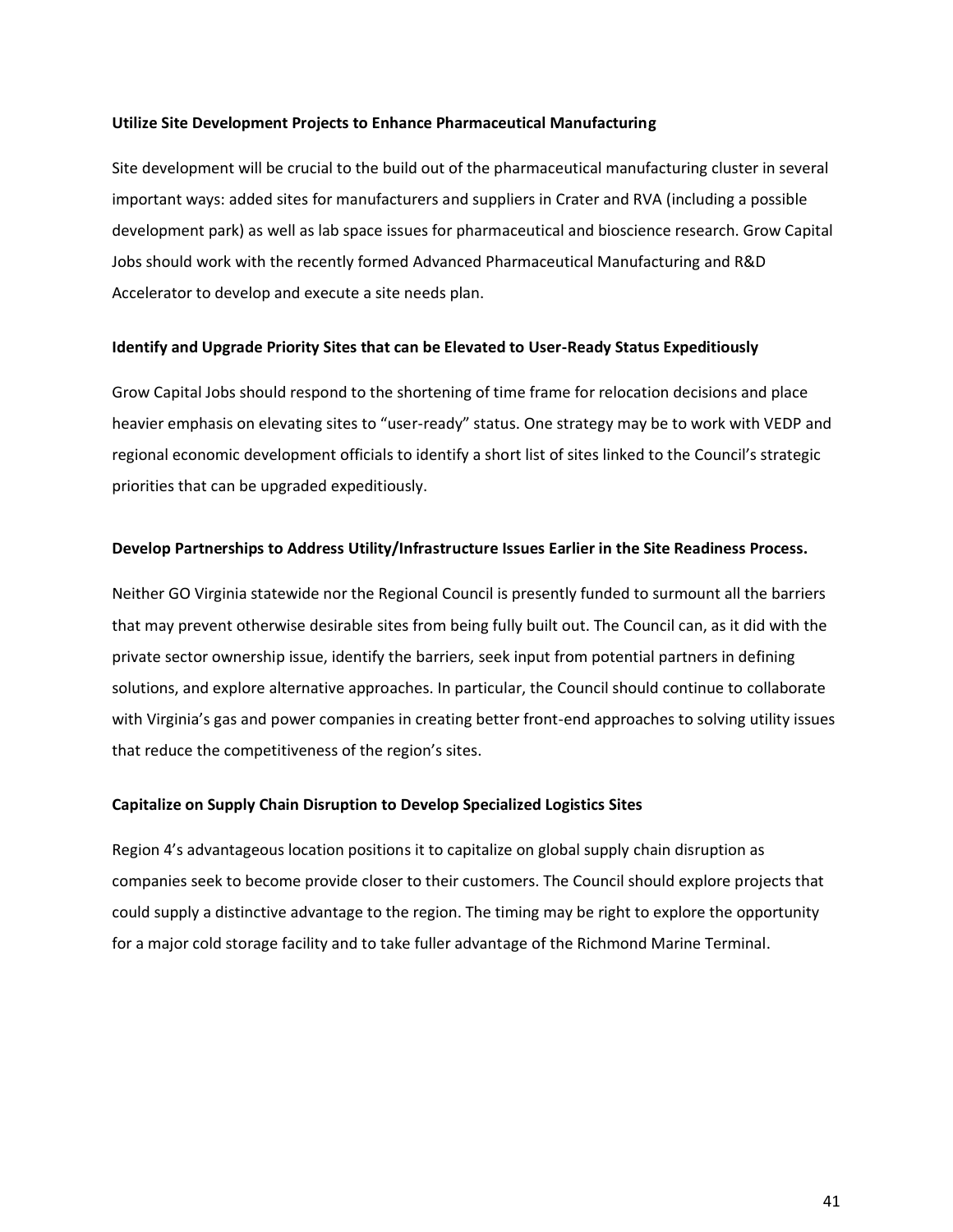#### **Utilize Site Development Projects to Enhance Pharmaceutical Manufacturing**

Site development will be crucial to the build out of the pharmaceutical manufacturing cluster in several important ways: added sites for manufacturers and suppliers in Crater and RVA (including a possible development park) as well as lab space issues for pharmaceutical and bioscience research. Grow Capital Jobs should work with the recently formed Advanced Pharmaceutical Manufacturing and R&D Accelerator to develop and execute a site needs plan.

#### **Identify and Upgrade Priority Sites that can be Elevated to User-Ready Status Expeditiously**

Grow Capital Jobs should respond to the shortening of time frame for relocation decisions and place heavier emphasis on elevating sites to "user-ready" status. One strategy may be to work with VEDP and regional economic development officials to identify a short list of sites linked to the Council's strategic priorities that can be upgraded expeditiously.

#### **Develop Partnerships to Address Utility/Infrastructure Issues Earlier in the Site Readiness Process.**

Neither GO Virginia statewide nor the Regional Council is presently funded to surmount all the barriers that may prevent otherwise desirable sites from being fully built out. The Council can, as it did with the private sector ownership issue, identify the barriers, seek input from potential partners in defining solutions, and explore alternative approaches. In particular, the Council should continue to collaborate with Virginia's gas and power companies in creating better front-end approaches to solving utility issues that reduce the competitiveness of the region's sites.

#### **Capitalize on Supply Chain Disruption to Develop Specialized Logistics Sites**

Region 4's advantageous location positions it to capitalize on global supply chain disruption as companies seek to become provide closer to their customers. The Council should explore projects that could supply a distinctive advantage to the region. The timing may be right to explore the opportunity for a major cold storage facility and to take fuller advantage of the Richmond Marine Terminal.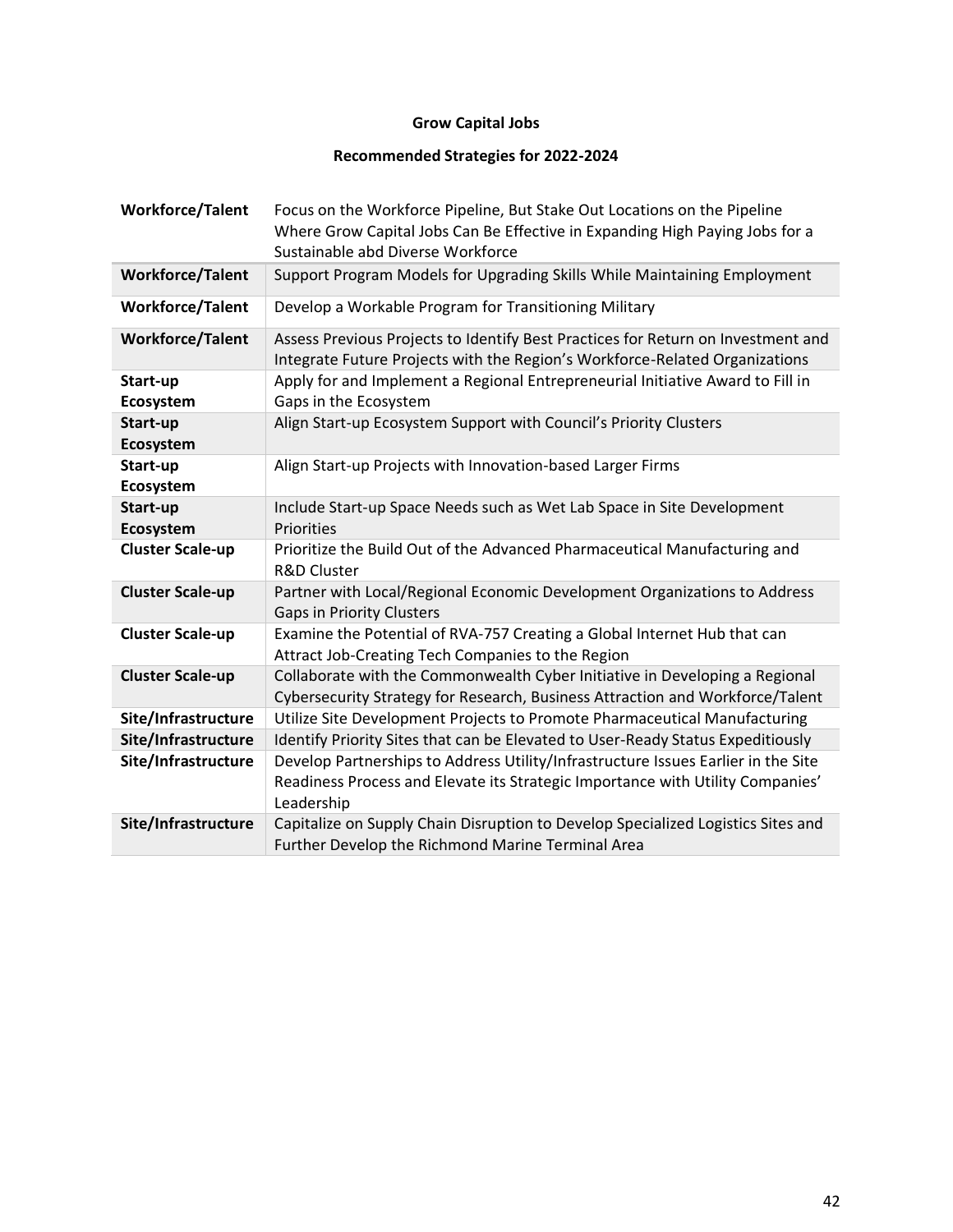## **Grow Capital Jobs**

## **Recommended Strategies for 2022-2024**

| <b>Workforce/Talent</b> | Focus on the Workforce Pipeline, But Stake Out Locations on the Pipeline<br>Where Grow Capital Jobs Can Be Effective in Expanding High Paying Jobs for a<br>Sustainable abd Diverse Workforce |
|-------------------------|-----------------------------------------------------------------------------------------------------------------------------------------------------------------------------------------------|
| <b>Workforce/Talent</b> | Support Program Models for Upgrading Skills While Maintaining Employment                                                                                                                      |
| <b>Workforce/Talent</b> | Develop a Workable Program for Transitioning Military                                                                                                                                         |
| <b>Workforce/Talent</b> | Assess Previous Projects to Identify Best Practices for Return on Investment and<br>Integrate Future Projects with the Region's Workforce-Related Organizations                               |
| Start-up<br>Ecosystem   | Apply for and Implement a Regional Entrepreneurial Initiative Award to Fill in<br>Gaps in the Ecosystem                                                                                       |
| Start-up<br>Ecosystem   | Align Start-up Ecosystem Support with Council's Priority Clusters                                                                                                                             |
| Start-up<br>Ecosystem   | Align Start-up Projects with Innovation-based Larger Firms                                                                                                                                    |
| Start-up<br>Ecosystem   | Include Start-up Space Needs such as Wet Lab Space in Site Development<br>Priorities                                                                                                          |
| <b>Cluster Scale-up</b> | Prioritize the Build Out of the Advanced Pharmaceutical Manufacturing and<br><b>R&amp;D Cluster</b>                                                                                           |
| <b>Cluster Scale-up</b> | Partner with Local/Regional Economic Development Organizations to Address<br><b>Gaps in Priority Clusters</b>                                                                                 |
| <b>Cluster Scale-up</b> | Examine the Potential of RVA-757 Creating a Global Internet Hub that can<br>Attract Job-Creating Tech Companies to the Region                                                                 |
| <b>Cluster Scale-up</b> | Collaborate with the Commonwealth Cyber Initiative in Developing a Regional<br>Cybersecurity Strategy for Research, Business Attraction and Workforce/Talent                                  |
| Site/Infrastructure     | Utilize Site Development Projects to Promote Pharmaceutical Manufacturing                                                                                                                     |
| Site/Infrastructure     | Identify Priority Sites that can be Elevated to User-Ready Status Expeditiously                                                                                                               |
| Site/Infrastructure     | Develop Partnerships to Address Utility/Infrastructure Issues Earlier in the Site<br>Readiness Process and Elevate its Strategic Importance with Utility Companies'<br>Leadership             |
| Site/Infrastructure     | Capitalize on Supply Chain Disruption to Develop Specialized Logistics Sites and<br>Further Develop the Richmond Marine Terminal Area                                                         |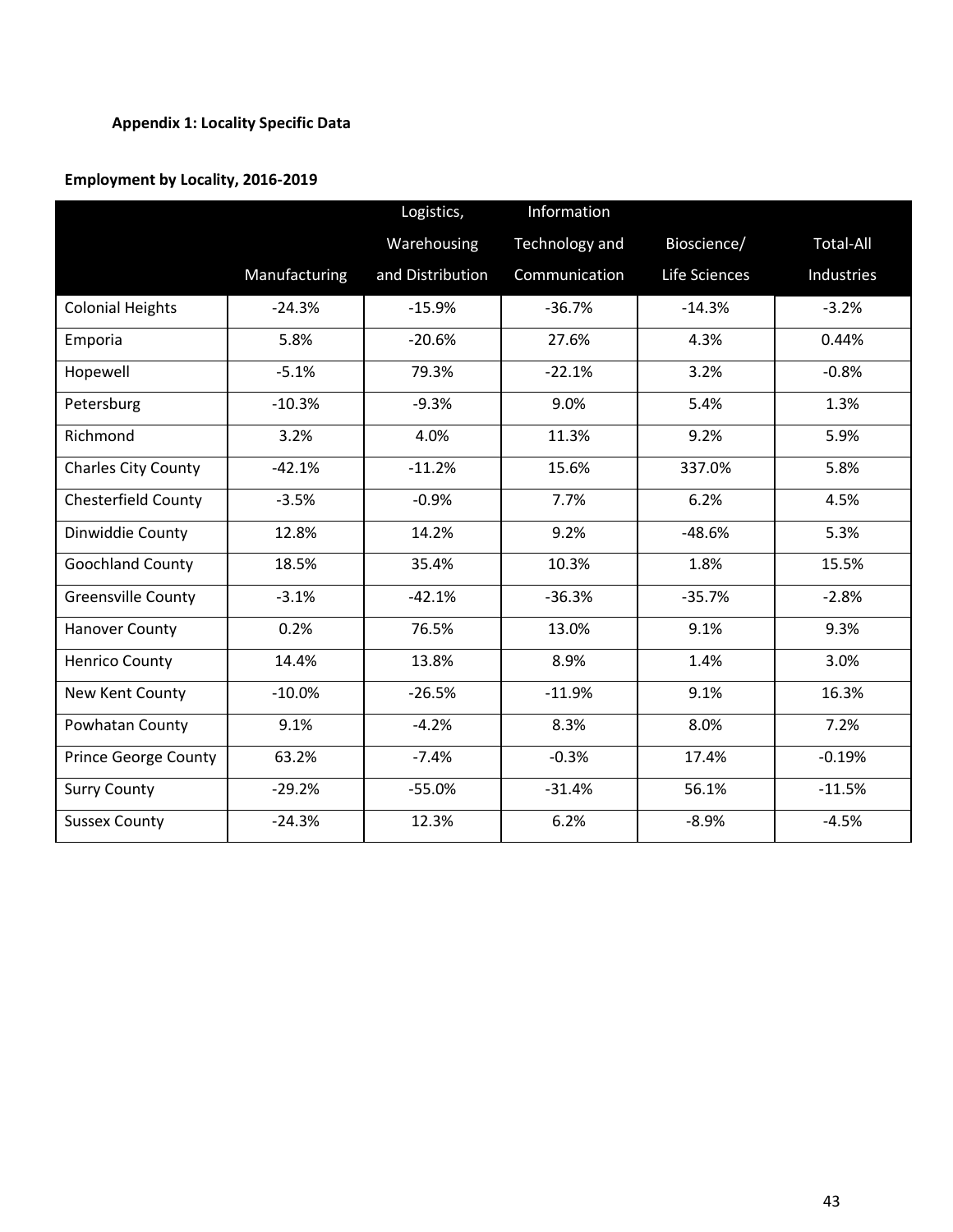## **Appendix 1: Locality Specific Data**

## **Employment by Locality, 2016-2019**

|                             |               | Logistics,       | Information    |               |                  |
|-----------------------------|---------------|------------------|----------------|---------------|------------------|
|                             |               | Warehousing      | Technology and | Bioscience/   | <b>Total-All</b> |
|                             | Manufacturing | and Distribution | Communication  | Life Sciences | Industries       |
| <b>Colonial Heights</b>     | $-24.3%$      | $-15.9%$         | $-36.7%$       | $-14.3%$      | $-3.2%$          |
| Emporia                     | 5.8%          | $-20.6%$         | 27.6%          | 4.3%          | 0.44%            |
| Hopewell                    | $-5.1%$       | 79.3%            | $-22.1%$       | 3.2%          | $-0.8%$          |
| Petersburg                  | $-10.3%$      | $-9.3%$          | 9.0%           | 5.4%          | 1.3%             |
| Richmond                    | 3.2%          | 4.0%             | 11.3%          | 9.2%          | 5.9%             |
| <b>Charles City County</b>  | $-42.1%$      | $-11.2%$         | 15.6%          | 337.0%        | 5.8%             |
| Chesterfield County         | $-3.5%$       | $-0.9%$          | 7.7%           | 6.2%          | 4.5%             |
| Dinwiddie County            | 12.8%         | 14.2%            | 9.2%           | $-48.6%$      | 5.3%             |
| <b>Goochland County</b>     | 18.5%         | 35.4%            | 10.3%          | 1.8%          | 15.5%            |
| <b>Greensville County</b>   | $-3.1%$       | $-42.1%$         | $-36.3%$       | $-35.7%$      | $-2.8%$          |
| <b>Hanover County</b>       | 0.2%          | 76.5%            | 13.0%          | 9.1%          | 9.3%             |
| <b>Henrico County</b>       | 14.4%         | 13.8%            | 8.9%           | 1.4%          | 3.0%             |
| New Kent County             | $-10.0%$      | $-26.5%$         | $-11.9%$       | 9.1%          | 16.3%            |
| Powhatan County             | 9.1%          | $-4.2%$          | 8.3%           | 8.0%          | 7.2%             |
| <b>Prince George County</b> | 63.2%         | $-7.4%$          | $-0.3%$        | 17.4%         | $-0.19%$         |
| <b>Surry County</b>         | $-29.2%$      | $-55.0%$         | $-31.4%$       | 56.1%         | $-11.5%$         |
| <b>Sussex County</b>        | $-24.3%$      | 12.3%            | 6.2%           | $-8.9%$       | $-4.5%$          |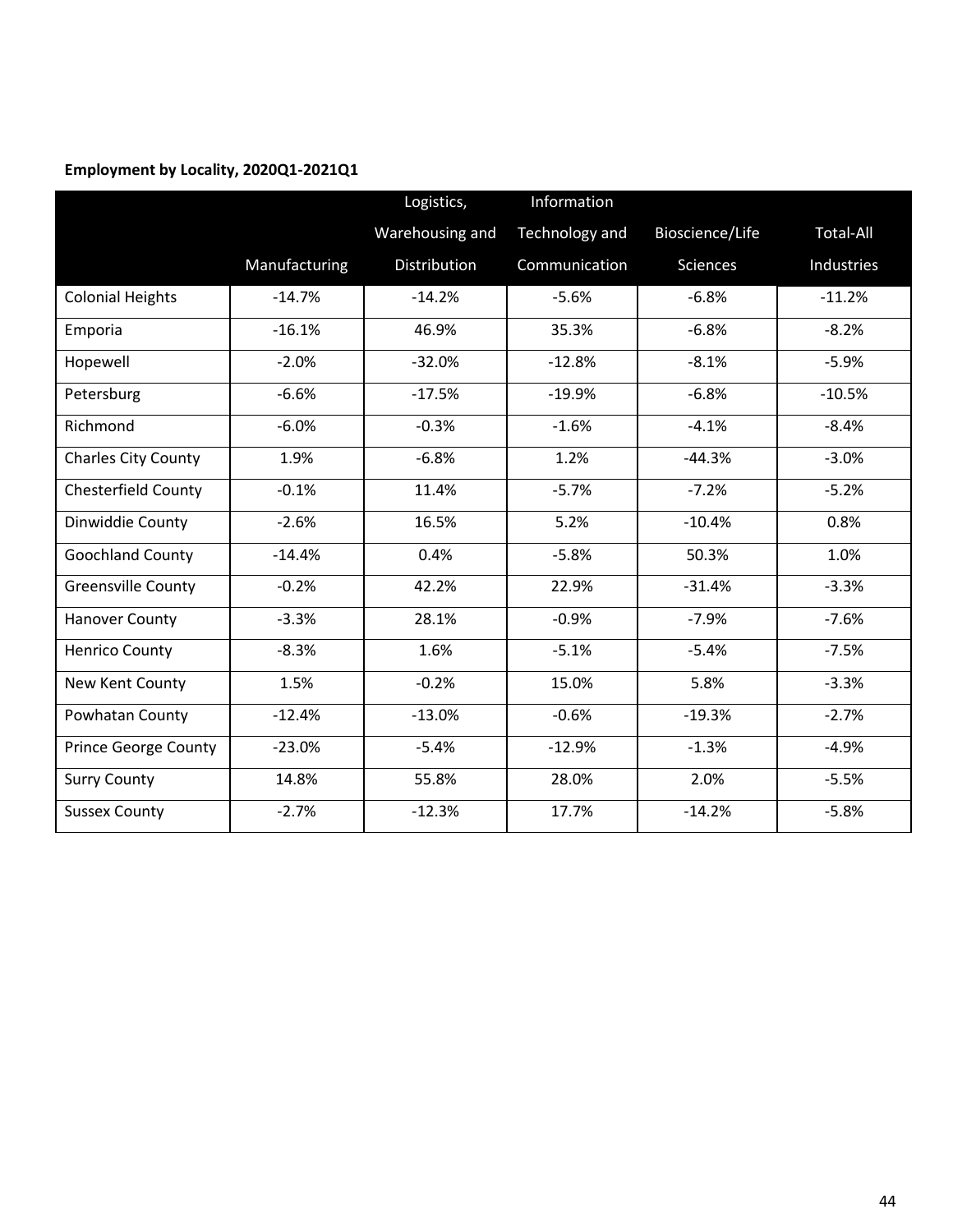## **Employment by Locality, 2020Q1-2021Q1**

|                             |               | Logistics,      | Information    |                 |                  |
|-----------------------------|---------------|-----------------|----------------|-----------------|------------------|
|                             |               | Warehousing and | Technology and | Bioscience/Life | <b>Total-All</b> |
|                             | Manufacturing | Distribution    | Communication  | Sciences        | Industries       |
| <b>Colonial Heights</b>     | $-14.7%$      | $-14.2%$        | $-5.6%$        | $-6.8%$         | $-11.2%$         |
| Emporia                     | $-16.1%$      | 46.9%           | 35.3%          | $-6.8%$         | $-8.2%$          |
| Hopewell                    | $-2.0%$       | $-32.0%$        | $-12.8%$       | $-8.1%$         | $-5.9%$          |
| Petersburg                  | $-6.6%$       | $-17.5%$        | $-19.9%$       | $-6.8%$         | $-10.5%$         |
| Richmond                    | $-6.0%$       | $-0.3%$         | $-1.6%$        | $-4.1%$         | $-8.4%$          |
| Charles City County         | 1.9%          | $-6.8%$         | 1.2%           | $-44.3%$        | $-3.0%$          |
| Chesterfield County         | $-0.1%$       | 11.4%           | $-5.7%$        | $-7.2%$         | $-5.2%$          |
| Dinwiddie County            | $-2.6%$       | 16.5%           | 5.2%           | $-10.4%$        | 0.8%             |
| <b>Goochland County</b>     | $-14.4%$      | 0.4%            | $-5.8%$        | 50.3%           | 1.0%             |
| <b>Greensville County</b>   | $-0.2%$       | 42.2%           | 22.9%          | $-31.4%$        | $-3.3%$          |
| <b>Hanover County</b>       | $-3.3%$       | 28.1%           | $-0.9%$        | $-7.9%$         | $-7.6%$          |
| <b>Henrico County</b>       | $-8.3%$       | 1.6%            | $-5.1%$        | $-5.4%$         | $-7.5%$          |
| New Kent County             | 1.5%          | $-0.2%$         | 15.0%          | 5.8%            | $-3.3%$          |
| Powhatan County             | $-12.4%$      | $-13.0%$        | $-0.6%$        | $-19.3%$        | $-2.7%$          |
| <b>Prince George County</b> | $-23.0%$      | $-5.4%$         | $-12.9%$       | $-1.3%$         | $-4.9%$          |
| <b>Surry County</b>         | 14.8%         | 55.8%           | 28.0%          | 2.0%            | $-5.5%$          |
| <b>Sussex County</b>        | $-2.7%$       | $-12.3%$        | 17.7%          | $-14.2%$        | $-5.8%$          |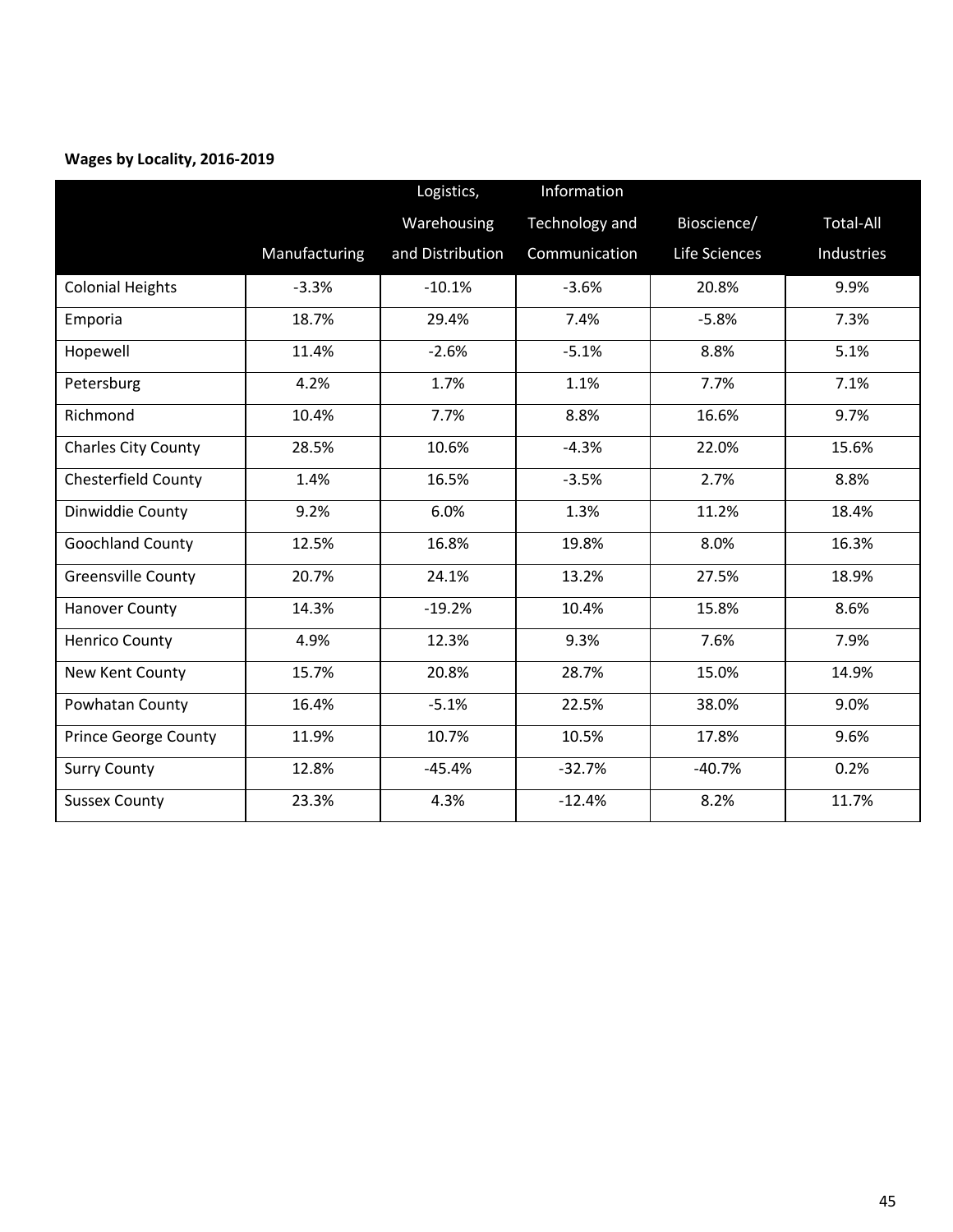## **Wages by Locality, 2016-2019**

|                             |               | Logistics,       | Information    |               |                  |
|-----------------------------|---------------|------------------|----------------|---------------|------------------|
|                             |               | Warehousing      | Technology and | Bioscience/   | <b>Total-All</b> |
|                             | Manufacturing | and Distribution | Communication  | Life Sciences | Industries       |
| <b>Colonial Heights</b>     | $-3.3%$       | $-10.1%$         | $-3.6%$        | 20.8%         | 9.9%             |
| Emporia                     | 18.7%         | 29.4%            | 7.4%           | $-5.8%$       | 7.3%             |
| Hopewell                    | 11.4%         | $-2.6%$          | $-5.1%$        | 8.8%          | 5.1%             |
| Petersburg                  | 4.2%          | 1.7%             | 1.1%           | 7.7%          | 7.1%             |
| Richmond                    | 10.4%         | 7.7%             | 8.8%           | 16.6%         | 9.7%             |
| <b>Charles City County</b>  | 28.5%         | 10.6%            | $-4.3%$        | 22.0%         | 15.6%            |
| Chesterfield County         | 1.4%          | 16.5%            | $-3.5%$        | 2.7%          | 8.8%             |
| Dinwiddie County            | 9.2%          | 6.0%             | 1.3%           | 11.2%         | 18.4%            |
| <b>Goochland County</b>     | 12.5%         | 16.8%            | 19.8%          | 8.0%          | 16.3%            |
| <b>Greensville County</b>   | 20.7%         | 24.1%            | 13.2%          | 27.5%         | 18.9%            |
| <b>Hanover County</b>       | 14.3%         | $-19.2%$         | 10.4%          | 15.8%         | 8.6%             |
| <b>Henrico County</b>       | 4.9%          | 12.3%            | 9.3%           | 7.6%          | 7.9%             |
| New Kent County             | 15.7%         | 20.8%            | 28.7%          | 15.0%         | 14.9%            |
| Powhatan County             | 16.4%         | $-5.1%$          | 22.5%          | 38.0%         | 9.0%             |
| <b>Prince George County</b> | 11.9%         | 10.7%            | 10.5%          | 17.8%         | 9.6%             |
| <b>Surry County</b>         | 12.8%         | $-45.4%$         | $-32.7%$       | $-40.7%$      | 0.2%             |
| <b>Sussex County</b>        | 23.3%         | 4.3%             | $-12.4%$       | 8.2%          | 11.7%            |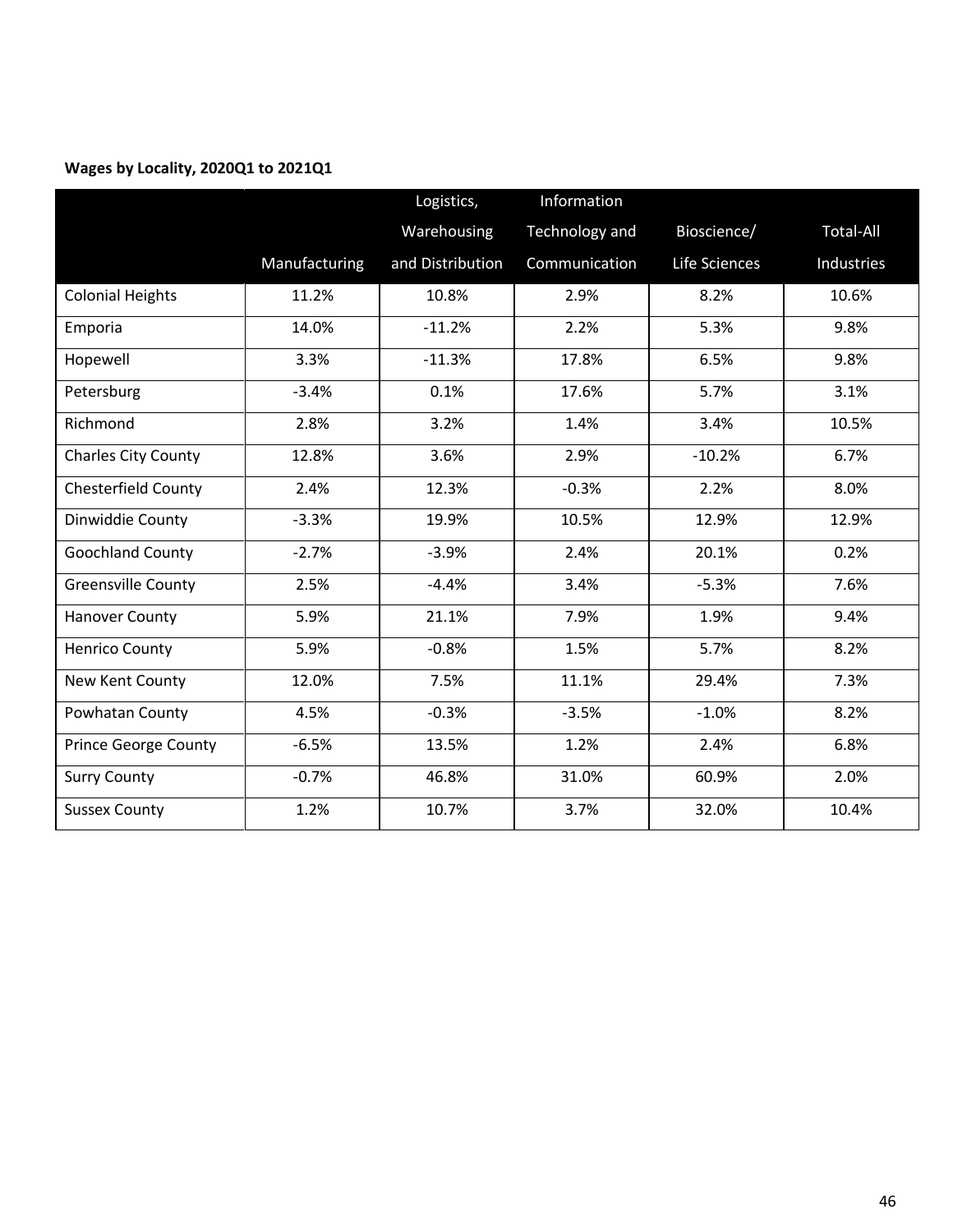## **Wages by Locality, 2020Q1 to 2021Q1**

|                             |               | Logistics,       | Information    |               |                  |
|-----------------------------|---------------|------------------|----------------|---------------|------------------|
|                             |               | Warehousing      | Technology and | Bioscience/   | <b>Total-All</b> |
|                             | Manufacturing | and Distribution | Communication  | Life Sciences | Industries       |
| <b>Colonial Heights</b>     | 11.2%         | 10.8%            | 2.9%           | 8.2%          | 10.6%            |
| Emporia                     | 14.0%         | $-11.2%$         | 2.2%           | 5.3%          | 9.8%             |
| Hopewell                    | 3.3%          | $-11.3%$         | 17.8%          | 6.5%          | 9.8%             |
| Petersburg                  | $-3.4%$       | 0.1%             | 17.6%          | 5.7%          | 3.1%             |
| Richmond                    | 2.8%          | 3.2%             | 1.4%           | 3.4%          | 10.5%            |
| <b>Charles City County</b>  | 12.8%         | 3.6%             | 2.9%           | $-10.2%$      | 6.7%             |
| Chesterfield County         | 2.4%          | 12.3%            | $-0.3%$        | 2.2%          | 8.0%             |
| Dinwiddie County            | $-3.3%$       | 19.9%            | 10.5%          | 12.9%         | 12.9%            |
| <b>Goochland County</b>     | $-2.7%$       | $-3.9%$          | 2.4%           | 20.1%         | 0.2%             |
| <b>Greensville County</b>   | 2.5%          | $-4.4%$          | 3.4%           | $-5.3%$       | 7.6%             |
| <b>Hanover County</b>       | 5.9%          | 21.1%            | 7.9%           | 1.9%          | 9.4%             |
| <b>Henrico County</b>       | 5.9%          | $-0.8%$          | 1.5%           | 5.7%          | 8.2%             |
| New Kent County             | 12.0%         | 7.5%             | 11.1%          | 29.4%         | 7.3%             |
| Powhatan County             | 4.5%          | $-0.3%$          | $-3.5%$        | $-1.0%$       | 8.2%             |
| <b>Prince George County</b> | $-6.5%$       | 13.5%            | 1.2%           | 2.4%          | 6.8%             |
| <b>Surry County</b>         | $-0.7%$       | 46.8%            | 31.0%          | 60.9%         | 2.0%             |
| <b>Sussex County</b>        | 1.2%          | 10.7%            | 3.7%           | 32.0%         | 10.4%            |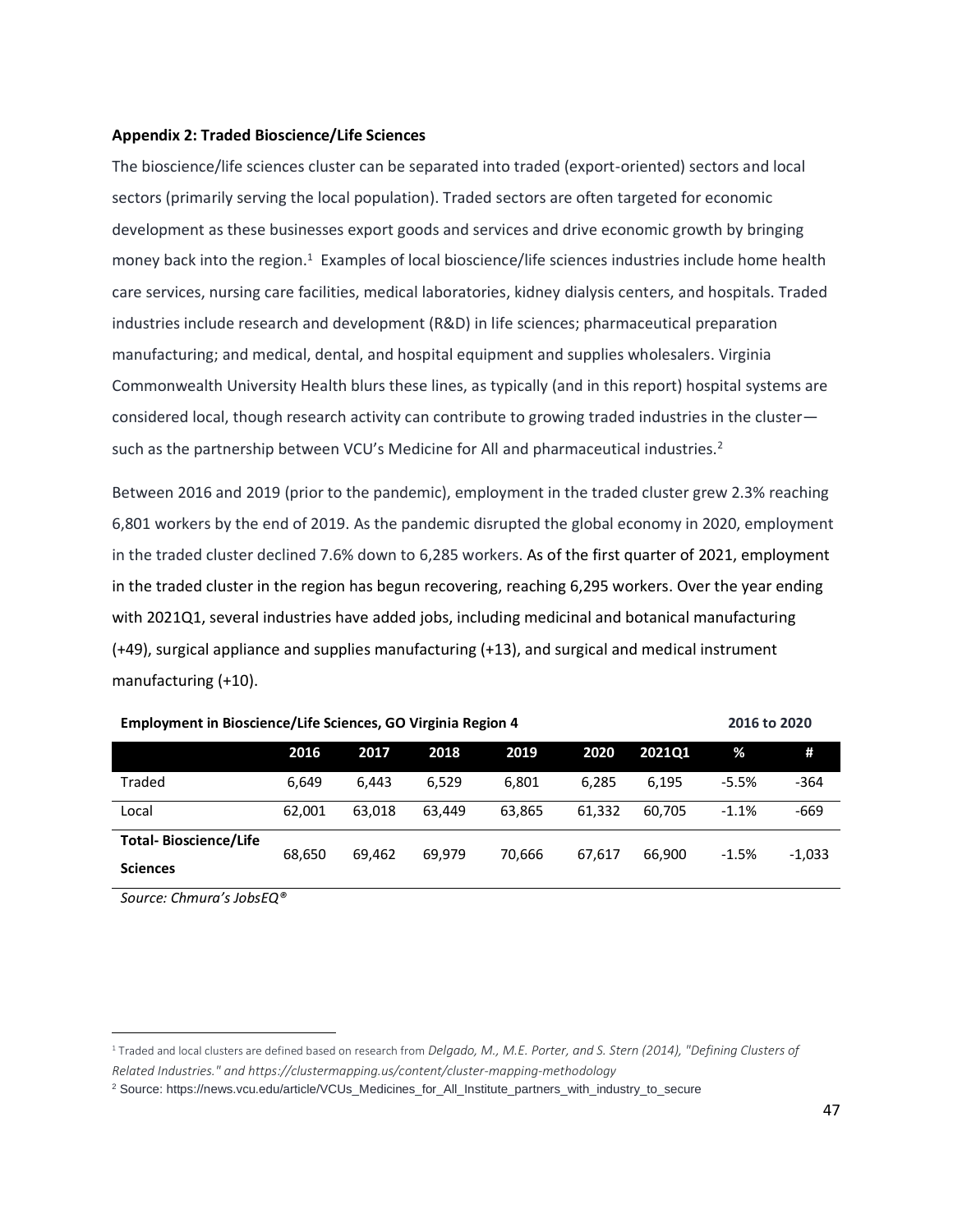#### **Appendix 2: Traded Bioscience/Life Sciences**

The bioscience/life sciences cluster can be separated into traded (export-oriented) sectors and local sectors (primarily serving the local population). Traded sectors are often targeted for economic development as these businesses export goods and services and drive economic growth by bringing money back into the region.<sup>1</sup> Examples of local bioscience/life sciences industries include home health care services, nursing care facilities, medical laboratories, kidney dialysis centers, and hospitals. Traded industries include research and development (R&D) in life sciences; pharmaceutical preparation manufacturing; and medical, dental, and hospital equipment and supplies wholesalers. Virginia Commonwealth University Health blurs these lines, as typically (and in this report) hospital systems are considered local, though research activity can contribute to growing traded industries in the cluster such as the partnership between VCU's Medicine for All and pharmaceutical industries.<sup>2</sup>

Between 2016 and 2019 (prior to the pandemic), employment in the traded cluster grew 2.3% reaching 6,801 workers by the end of 2019. As the pandemic disrupted the global economy in 2020, employment in the traded cluster declined 7.6% down to 6,285 workers. As of the first quarter of 2021, employment in the traded cluster in the region has begun recovering, reaching 6,295 workers. Over the year ending with 2021Q1, several industries have added jobs, including medicinal and botanical manufacturing (+49), surgical appliance and supplies manufacturing (+13), and surgical and medical instrument manufacturing (+10).

| Employment in Bioscience/Life Sciences, GO Virginia Region 4 |        |        |        |        |        |        | 2016 to 2020 |          |
|--------------------------------------------------------------|--------|--------|--------|--------|--------|--------|--------------|----------|
|                                                              | 2016   | 2017   | 2018   | 2019   | 2020   | 2021Q1 | %            | #        |
| Traded                                                       | 6.649  | 6.443  | 6,529  | 6,801  | 6,285  | 6.195  | $-5.5%$      | $-364$   |
| Local                                                        | 62.001 | 63.018 | 63.449 | 63.865 | 61,332 | 60.705 | $-1.1%$      | $-669$   |
| <b>Total-Bioscience/Life</b>                                 | 68.650 | 69.462 | 69.979 | 70.666 | 67.617 | 66.900 | $-1.5%$      | $-1,033$ |
| <b>Sciences</b>                                              |        |        |        |        |        |        |              |          |

*Source: Chmura's JobsEQ®*

<sup>&</sup>lt;sup>1</sup> Traded and local clusters are defined based on research from *Delgado, M., M.E. Porter, and S. Stern (2014), "Defining Clusters of Related Industries." and https://clustermapping.us/content/cluster-mapping-methodology*

<sup>2</sup> Source: https://news.vcu.edu/article/VCUs\_Medicines\_for\_All\_Institute\_partners\_with\_industry\_to\_secure